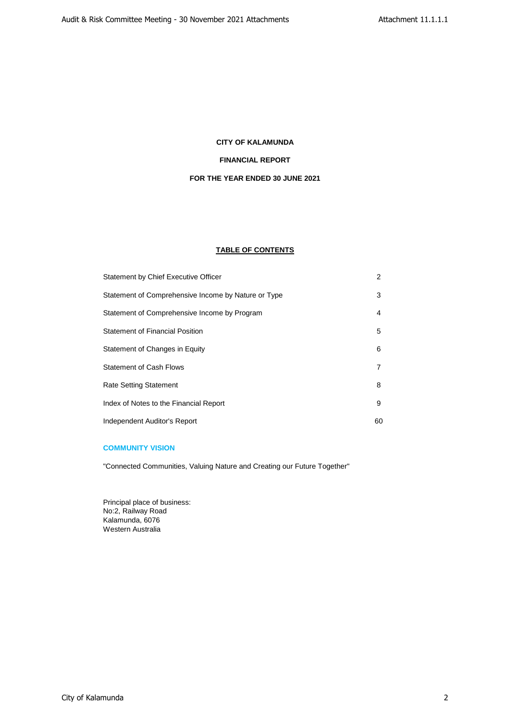## **CITY OF KALAMUNDA**

## **FINANCIAL REPORT**

## **FOR THE YEAR ENDED 30 JUNE 2021**

## **TABLE OF CONTENTS**

| Statement by Chief Executive Officer                | 2  |
|-----------------------------------------------------|----|
| Statement of Comprehensive Income by Nature or Type | 3  |
| Statement of Comprehensive Income by Program        | 4  |
| <b>Statement of Financial Position</b>              | 5  |
| Statement of Changes in Equity                      | 6  |
| <b>Statement of Cash Flows</b>                      | 7  |
| <b>Rate Setting Statement</b>                       | 8  |
| Index of Notes to the Financial Report              | 9  |
| Independent Auditor's Report                        | 60 |

## **COMMUNITY VISION**

"Connected Communities, Valuing Nature and Creating our Future Together"

Principal place of business: No:2, Railway Road Kalamunda, 6076 Western Australia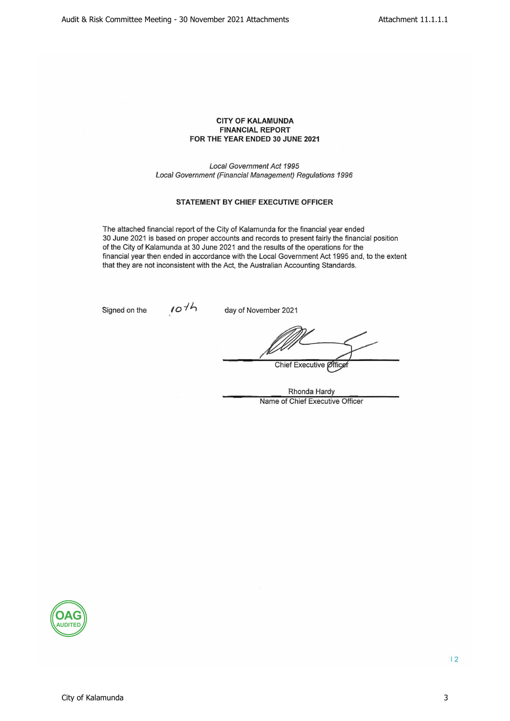## **CITY OF KALAMUNDA FINANCIAL REPORT** FOR THE YEAR ENDED 30 JUNE 2021

**Local Government Act 1995** Local Government (Financial Management) Regulations 1996

## **STATEMENT BY CHIEF EXECUTIVE OFFICER**

The attached financial report of the City of Kalamunda for the financial year ended 30 June 2021 is based on proper accounts and records to present fairly the financial position of the City of Kalamunda at 30 June 2021 and the results of the operations for the financial year then ended in accordance with the Local Government Act 1995 and, to the extent that they are not inconsistent with the Act, the Australian Accounting Standards.

Signed on the

 $107h$ 

day of November 2021

Chief Executive Øffice

Rhonda Hardy Name of Chief Executive Officer

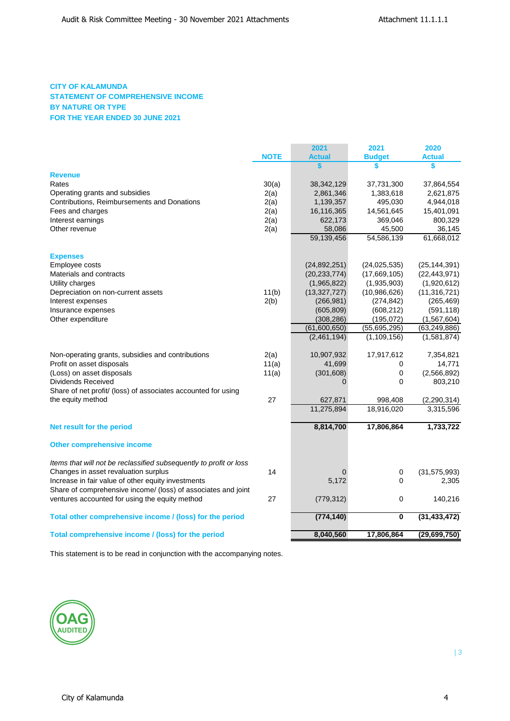## **CITY OF KALAMUNDA STATEMENT OF COMPREHENSIVE INCOME BY NATURE OR TYPE FOR THE YEAR ENDED 30 JUNE 2021**

|                                                                    |             | 2021           | 2021                    | 2020           |
|--------------------------------------------------------------------|-------------|----------------|-------------------------|----------------|
|                                                                    | <b>NOTE</b> | <b>Actual</b>  | <b>Budget</b>           | <b>Actual</b>  |
|                                                                    |             | \$             | \$                      | \$             |
| <b>Revenue</b>                                                     |             |                |                         |                |
| Rates                                                              | 30(a)       | 38, 342, 129   | 37,731,300              | 37,864,554     |
| Operating grants and subsidies                                     | 2(a)        | 2,861,346      | 1,383,618               | 2,621,875      |
| Contributions, Reimbursements and Donations                        | 2(a)        | 1,139,357      | 495,030                 | 4,944,018      |
| Fees and charges                                                   | 2(a)        | 16,116,365     | 14,561,645              | 15,401,091     |
| Interest earnings                                                  | 2(a)        | 622,173        | 369,046                 | 800,329        |
| Other revenue                                                      | 2(a)        | 58,086         | 45,500                  | 36,145         |
|                                                                    |             | 59,139,456     | 54,586,139              | 61,668,012     |
| <b>Expenses</b>                                                    |             |                |                         |                |
| Employee costs                                                     |             | (24, 892, 251) | (24, 025, 535)          | (25, 144, 391) |
| Materials and contracts                                            |             | (20, 233, 774) | (17,669,105)            | (22, 443, 971) |
| Utility charges                                                    |             | (1,965,822)    | (1,935,903)             | (1,920,612)    |
| Depreciation on non-current assets                                 | 11(b)       | (13, 327, 727) | (10,986,626)            | (11, 316, 721) |
| Interest expenses                                                  | 2(b)        | (266, 981)     | (274, 842)              | (265, 469)     |
| Insurance expenses                                                 |             | (605, 809)     | (608, 212)              | (591, 118)     |
| Other expenditure                                                  |             | (308, 286)     | (195, 072)              | (1, 567, 604)  |
|                                                                    |             | (61,600,650)   | (55,695,295)            | (63, 249, 886) |
|                                                                    |             | (2,461,194)    | (1, 109, 156)           | (1,581,874)    |
| Non-operating grants, subsidies and contributions                  | 2(a)        | 10,907,932     | 17,917,612              | 7,354,821      |
| Profit on asset disposals                                          | 11(a)       | 41,699         | 0                       | 14,771         |
| (Loss) on asset disposals                                          | 11(a)       | (301, 608)     | $\pmb{0}$               | (2,566,892)    |
| Dividends Received                                                 |             | $\Omega$       | 0                       | 803,210        |
| Share of net profit/ (loss) of associates accounted for using      |             |                |                         |                |
| the equity method                                                  | 27          | 627,871        | 998,408                 | (2, 290, 314)  |
|                                                                    |             | 11,275,894     | 18,916,020              | 3,315,596      |
| Net result for the period                                          |             | 8,814,700      | 17,806,864              | 1,733,722      |
| Other comprehensive income                                         |             |                |                         |                |
| Items that will not be reclassified subsequently to profit or loss |             |                |                         |                |
| Changes in asset revaluation surplus                               | 14          | $\overline{0}$ | $\pmb{0}$               | (31, 575, 993) |
| Increase in fair value of other equity investments                 |             | 5,172          | 0                       | 2,305          |
| Share of comprehensive income/ (loss) of associates and joint      |             |                |                         |                |
| ventures accounted for using the equity method                     | 27          | (779, 312)     | 0                       | 140,216        |
| Total other comprehensive income / (loss) for the period           |             | (774, 140)     | $\overline{\mathbf{0}}$ | (31, 433, 472) |
| Total comprehensive income / (loss) for the period                 |             | 8,040,560      | 17,806,864              | (29,699,750)   |
|                                                                    |             |                |                         |                |

This statement is to be read in conjunction with the accompanying notes.

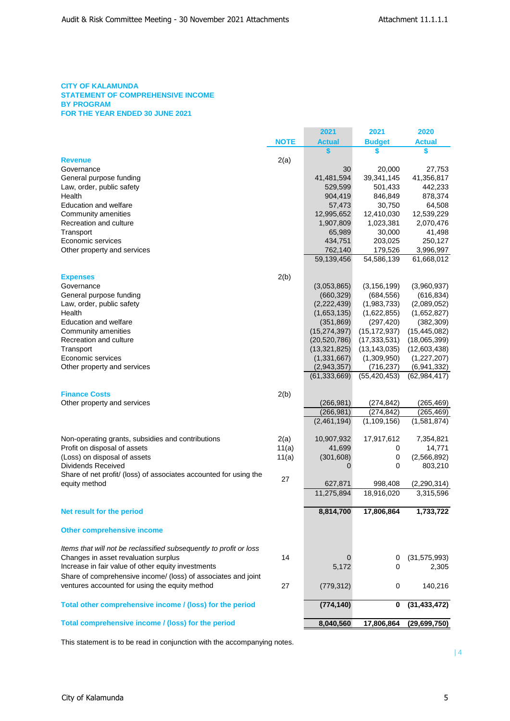## **CITY OF KALAMUNDA STATEMENT OF COMPREHENSIVE INCOME BY PROGRAM FOR THE YEAR ENDED 30 JUNE 2021**

|                                                                    |             | 2021                | 2021                | 2020                    |
|--------------------------------------------------------------------|-------------|---------------------|---------------------|-------------------------|
|                                                                    | <b>NOTE</b> | <b>Actual</b>       | <b>Budget</b>       | <b>Actual</b>           |
|                                                                    |             | S                   | S                   | \$                      |
| <b>Revenue</b>                                                     | 2(a)        |                     |                     |                         |
| Governance                                                         |             | 30                  | 20,000              | 27,753                  |
| General purpose funding                                            |             | 41,481,594          | 39,341,145          | 41,356,817              |
| Law, order, public safety                                          |             | 529,599             | 501,433             | 442,233                 |
| Health                                                             |             | 904,419             | 846,849             | 878,374                 |
| Education and welfare                                              |             | 57,473              | 30,750              | 64,508                  |
| Community amenities                                                |             | 12,995,652          | 12,410,030          | 12,539,229<br>2,070,476 |
| Recreation and culture<br>Transport                                |             | 1,907,809<br>65,989 | 1,023,381<br>30,000 | 41,498                  |
| Economic services                                                  |             | 434,751             | 203,025             | 250,127                 |
| Other property and services                                        |             | 762,140             | 179,526             | 3,996,997               |
|                                                                    |             | 59,139,456          | 54,586,139          | 61,668,012              |
|                                                                    |             |                     |                     |                         |
| <b>Expenses</b>                                                    | 2(b)        |                     |                     |                         |
| Governance                                                         |             | (3,053,865)         | (3, 156, 199)       | (3,960,937)             |
| General purpose funding                                            |             | (660, 329)          | (684, 556)          | (616, 834)              |
| Law, order, public safety                                          |             | (2,222,439)         | (1,983,733)         | (2,089,052)             |
| Health                                                             |             | (1,653,135)         | (1,622,855)         | (1,652,827)             |
| Education and welfare                                              |             | (351, 869)          | (297, 420)          | (382, 309)              |
| Community amenities                                                |             | (15, 274, 397)      | (15, 172, 937)      | (15, 445, 082)          |
| Recreation and culture                                             |             | (20, 520, 786)      | (17, 333, 531)      | (18,065,399)            |
| Transport                                                          |             | (13, 321, 825)      | (13, 143, 035)      | (12,603,438)            |
| Economic services                                                  |             | (1,331,667)         | (1,309,950)         | (1,227,207)             |
| Other property and services                                        |             | (2,943,357)         | (716, 237)          | (6,941,332)             |
|                                                                    |             | (61, 333, 669)      | (55, 420, 453)      | (62, 984, 417)          |
|                                                                    |             |                     |                     |                         |
| <b>Finance Costs</b>                                               | 2(b)        |                     |                     |                         |
| Other property and services                                        |             | (266, 981)          | (274, 842)          | (265, 469)              |
|                                                                    |             | (266, 981)          | (274, 842)          | (265, 469)              |
|                                                                    |             | (2,461,194)         | (1, 109, 156)       | (1, 581, 874)           |
| Non-operating grants, subsidies and contributions                  | 2(a)        | 10,907,932          | 17,917,612          | 7,354,821               |
| Profit on disposal of assets                                       | 11(a)       | 41,699              | 0                   | 14,771                  |
| (Loss) on disposal of assets                                       | 11(a)       | (301, 608)          | 0                   | (2,566,892)             |
| <b>Dividends Received</b>                                          |             | 0                   | 0                   | 803,210                 |
| Share of net profit/ (loss) of associates accounted for using the  |             |                     |                     |                         |
| equity method                                                      | 27          | 627,871             | 998,408             | (2,290,314)             |
|                                                                    |             | 11,275,894          | 18,916,020          | 3,315,596               |
|                                                                    |             |                     |                     |                         |
| Net result for the period                                          |             | 8,814,700           | 17,806,864          | 1,733,722               |
| <b>Other comprehensive income</b>                                  |             |                     |                     |                         |
|                                                                    |             |                     |                     |                         |
| Items that will not be reclassified subsequently to profit or loss | 14          |                     |                     |                         |
| Changes in asset revaluation surplus                               |             | 0                   | 0                   | (31, 575, 993)          |
| Increase in fair value of other equity investments                 |             | 5,172               | 0                   | 2,305                   |
| Share of comprehensive income/ (loss) of associates and joint      |             |                     |                     |                         |
| ventures accounted for using the equity method                     | 27          | (779, 312)          | 0                   | 140,216                 |
| Total other comprehensive income / (loss) for the period           |             | (774, 140)          | 0                   | (31, 433, 472)          |
| Total comprehensive income / (loss) for the period                 |             |                     |                     |                         |
|                                                                    |             | 8,040,560           | 17,806,864          | (29, 699, 750)          |

This statement is to be read in conjunction with the accompanying notes.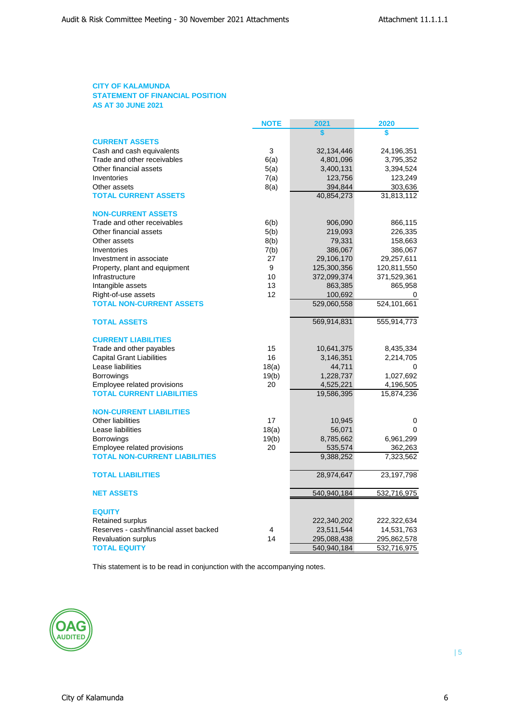## **CITY OF KALAMUNDA STATEMENT OF FINANCIAL POSITION AS AT 30 JUNE 2021**

|                                        | <b>NOTE</b> | 2021                      | 2020         |
|----------------------------------------|-------------|---------------------------|--------------|
|                                        |             | S                         | \$           |
| <b>CURRENT ASSETS</b>                  |             |                           |              |
| Cash and cash equivalents              | 3           | 32,134,446                | 24,196,351   |
| Trade and other receivables            | 6(a)        | 4,801,096                 | 3,795,352    |
| Other financial assets                 | 5(a)        | 3,400,131                 | 3,394,524    |
| Inventories                            | 7(a)        | 123,756                   | 123,249      |
| Other assets                           | 8(a)        | 394,844                   | 303,636      |
| <b>TOTAL CURRENT ASSETS</b>            |             | 40,854,273                | 31,813,112   |
| <b>NON-CURRENT ASSETS</b>              |             |                           |              |
| Trade and other receivables            | 6(b)        | 906,090                   | 866,115      |
| Other financial assets                 | 5(b)        | 219,093                   | 226,335      |
| Other assets                           | 8(b)        | 79,331                    | 158,663      |
| Inventories                            | 7(b)        | 386,067                   | 386,067      |
| Investment in associate                | 27          | 29,106,170                | 29,257,611   |
| Property, plant and equipment          | 9           | 125,300,356               | 120,811,550  |
| Infrastructure                         | 10          | 372,099,374               | 371,529,361  |
| Intangible assets                      | 13          | 863,385                   | 865,958      |
| Right-of-use assets                    | 12          | 100,692                   |              |
| <b>TOTAL NON-CURRENT ASSETS</b>        |             | 529,060,558               | 524,101,661  |
| <b>TOTAL ASSETS</b>                    |             | 569,914,831               | 555,914,773  |
| <b>CURRENT LIABILITIES</b>             |             |                           |              |
| Trade and other payables               | 15          | 10,641,375                | 8,435,334    |
| <b>Capital Grant Liabilities</b>       | 16          | 3,146,351                 | 2,214,705    |
| Lease liabilities                      | 18(a)       | 44,711                    | 0            |
| <b>Borrowings</b>                      | 19(b)       | 1,228,737                 | 1,027,692    |
| Employee related provisions            | 20          | 4,525,221                 | 4,196,505    |
| <b>TOTAL CURRENT LIABILITIES</b>       |             | 19,586,395                | 15,874,236   |
| <b>NON-CURRENT LIABILITIES</b>         |             |                           |              |
| <b>Other liabilities</b>               | 17          | 10,945                    | 0            |
| Lease liabilities                      | 18(a)       | 56,071                    | 0            |
| <b>Borrowings</b>                      | 19(b)       | 8,785,662                 | 6,961,299    |
| Employee related provisions            | 20          | 535,574                   | 362,263      |
| <b>TOTAL NON-CURRENT LIABILITIES</b>   |             | 9,388,252                 | 7,323,562    |
| <b>TOTAL LIABILITIES</b>               |             | 28,974,647                | 23, 197, 798 |
| <b>NET ASSETS</b>                      |             | 540,940,184               | 532,716,975  |
| <b>EQUITY</b>                          |             |                           |              |
| <b>Retained surplus</b>                |             |                           | 222,322,634  |
| Reserves - cash/financial asset backed | 4           | 222,340,202<br>23,511,544 | 14,531,763   |
|                                        | 14          |                           |              |
| <b>Revaluation surplus</b>             |             | 295,088,438               | 295,862,578  |
| <b>TOTAL EQUITY</b>                    |             | 540,940,184               | 532,716,975  |

This statement is to be read in conjunction with the accompanying notes.

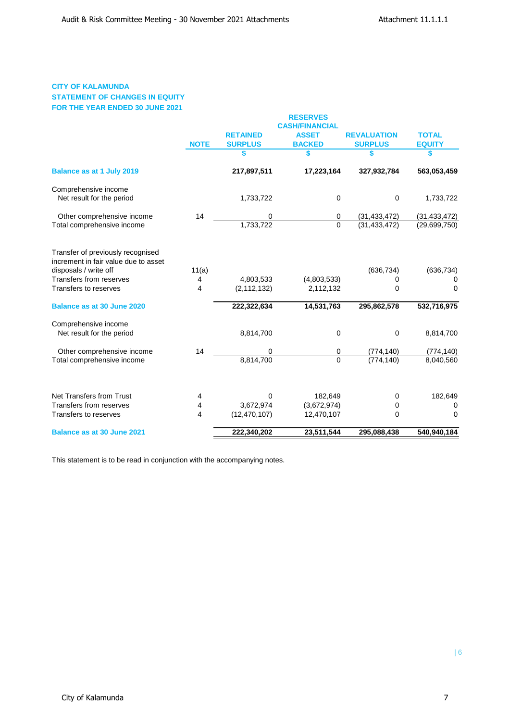## **CITY OF KALAMUNDA STATEMENT OF CHANGES IN EQUITY FOR THE YEAR ENDED 30 JUNE 2021**

|                                                                                                    |             |                 | <b>RESERVES</b>       |                    |                |
|----------------------------------------------------------------------------------------------------|-------------|-----------------|-----------------------|--------------------|----------------|
|                                                                                                    |             |                 | <b>CASH/FINANCIAL</b> |                    |                |
|                                                                                                    |             | <b>RETAINED</b> | <b>ASSET</b>          | <b>REVALUATION</b> | <b>TOTAL</b>   |
|                                                                                                    | <b>NOTE</b> | <b>SURPLUS</b>  | <b>BACKED</b>         | <b>SURPLUS</b>     | <b>EQUITY</b>  |
|                                                                                                    |             | \$              | \$                    | \$                 | \$             |
| <b>Balance as at 1 July 2019</b>                                                                   |             | 217,897,511     | 17,223,164            | 327,932,784        | 563,053,459    |
| Comprehensive income<br>Net result for the period                                                  |             | 1,733,722       | 0                     | $\mathbf 0$        | 1,733,722      |
| Other comprehensive income                                                                         | 14          | 0               | 0                     | (31, 433, 472)     | (31, 433, 472) |
| Total comprehensive income                                                                         |             | 1,733,722       | $\Omega$              | (31, 433, 472)     | (29,699,750)   |
| Transfer of previously recognised<br>increment in fair value due to asset<br>disposals / write off | 11(a)       |                 |                       | (636, 734)         | (636, 734)     |
| Transfers from reserves                                                                            | 4           | 4,803,533       | (4,803,533)           |                    | 0              |
| Transfers to reserves                                                                              | 4           | (2, 112, 132)   | 2,112,132             | 0<br>0             | $\Omega$       |
|                                                                                                    |             |                 |                       |                    |                |
| Balance as at 30 June 2020                                                                         |             | 222,322,634     | 14,531,763            | 295,862,578        | 532,716,975    |
| Comprehensive income<br>Net result for the period                                                  |             | 8,814,700       | 0                     | $\mathbf 0$        | 8,814,700      |
| Other comprehensive income                                                                         | 14          | 0               | 0                     | (774, 140)         | (774, 140)     |
| Total comprehensive income                                                                         |             | 8,814,700       | $\Omega$              | (774, 140)         | 8,040,560      |
|                                                                                                    |             |                 |                       |                    |                |
| <b>Net Transfers from Trust</b>                                                                    | 4           | 0               | 182,649               | 0                  | 182,649        |
| Transfers from reserves                                                                            | 4           | 3,672,974       | (3,672,974)           | 0                  | 0              |
| Transfers to reserves                                                                              | 4           | (12, 470, 107)  | 12,470,107            | 0                  | 0              |
| <b>Balance as at 30 June 2021</b>                                                                  |             | 222,340,202     | 23,511,544            | 295,088,438        | 540,940,184    |

This statement is to be read in conjunction with the accompanying notes.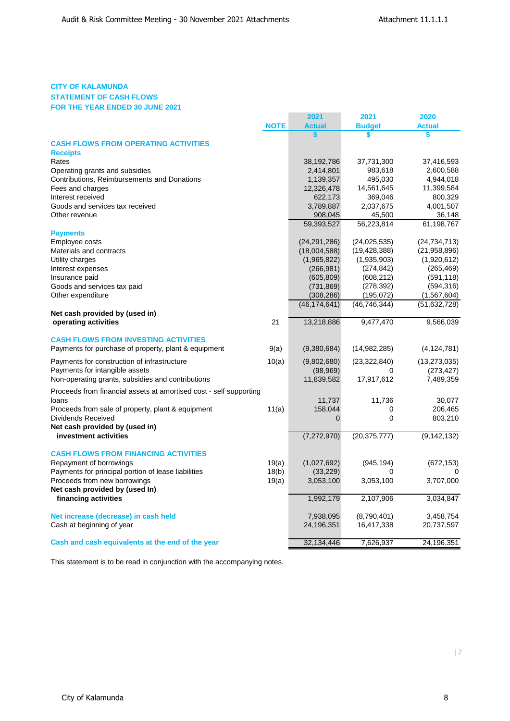## **CITY OF KALAMUNDA STATEMENT OF CASH FLOWS FOR THE YEAR ENDED 30 JUNE 2021**

|                                                                    |             | 2021           | 2021           | 2020           |
|--------------------------------------------------------------------|-------------|----------------|----------------|----------------|
|                                                                    | <b>NOTE</b> | <b>Actual</b>  | <b>Budget</b>  | <b>Actual</b>  |
|                                                                    |             |                | \$             | \$             |
| <b>CASH FLOWS FROM OPERATING ACTIVITIES</b>                        |             |                |                |                |
| <b>Receipts</b>                                                    |             |                |                |                |
| Rates                                                              |             | 38,192,786     | 37,731,300     | 37,416,593     |
| Operating grants and subsidies                                     |             | 2,414,801      | 983,618        | 2,600,588      |
| Contributions, Reimbursements and Donations                        |             | 1,139,357      | 495,030        | 4,944,018      |
| Fees and charges                                                   |             | 12,326,478     | 14,561,645     | 11,399,584     |
| Interest received                                                  |             | 622,173        | 369,046        | 800,329        |
| Goods and services tax received                                    |             | 3,789,887      | 2,037,675      | 4,001,507      |
| Other revenue                                                      |             | 908,045        | 45,500         | 36,148         |
|                                                                    |             | 59,393,527     | 56,223,814     | 61,198,767     |
| <b>Payments</b>                                                    |             |                |                |                |
| Employee costs                                                     |             | (24, 291, 286) | (24, 025, 535) | (24, 734, 713) |
| Materials and contracts                                            |             | (18,004,588)   | (19, 428, 388) | (21, 958, 896) |
| Utility charges                                                    |             | (1,965,822)    | (1,935,903)    | (1,920,612)    |
| Interest expenses                                                  |             | (266, 981)     | (274, 842)     | (265, 469)     |
| Insurance paid                                                     |             | (605, 809)     | (608, 212)     | (591, 118)     |
| Goods and services tax paid                                        |             | (731, 869)     | (278, 392)     | (594, 316)     |
| Other expenditure                                                  |             | (308, 286)     | (195,072)      | (1,567,604)    |
|                                                                    |             | (46, 174, 641) | (46, 746, 344) | (51, 632, 728) |
| Net cash provided by (used in)                                     |             |                |                |                |
| operating activities                                               | 21          | 13,218,886     | 9,477,470      | 9,566,039      |
|                                                                    |             |                |                |                |
| <b>CASH FLOWS FROM INVESTING ACTIVITIES</b>                        |             |                |                |                |
| Payments for purchase of property, plant & equipment               | 9(a)        | (9,380,684)    | (14,982,285)   | (4, 124, 781)  |
| Payments for construction of infrastructure                        | 10(a)       | (9,802,680)    | (23, 322, 840) | (13, 273, 035) |
| Payments for intangible assets                                     |             | (98, 969)      | 0              | (273, 427)     |
| Non-operating grants, subsidies and contributions                  |             | 11,839,582     | 17,917,612     | 7,489,359      |
| Proceeds from financial assets at amortised cost - self supporting |             |                |                |                |
| loans                                                              |             | 11,737         | 11,736         | 30,077         |
| Proceeds from sale of property, plant & equipment                  | 11(a)       | 158,044        | 0              | 206,465        |
| <b>Dividends Received</b>                                          |             | 0              | 0              | 803,210        |
| Net cash provided by (used in)                                     |             |                |                |                |
| investment activities                                              |             | (7, 272, 970)  | (20, 375, 777) | (9, 142, 132)  |
|                                                                    |             |                |                |                |
| <b>CASH FLOWS FROM FINANCING ACTIVITIES</b>                        |             |                |                |                |
| Repayment of borrowings                                            | 19(a)       | (1,027,692)    | (945, 194)     | (672, 153)     |
| Payments for principal portion of lease liabilities                | 18(b)       | (33, 229)      | 0              |                |
| Proceeds from new borrowings                                       | 19(a)       | 3,053,100      | 3,053,100      | 3,707,000      |
| Net cash provided by (used In)                                     |             |                |                |                |
| financing activities                                               |             | 1,992,179      | 2,107,906      | 3,034,847      |
|                                                                    |             |                |                |                |
| Net increase (decrease) in cash held                               |             | 7,938,095      | (8,790,401)    | 3,458,754      |
| Cash at beginning of year                                          |             | 24,196,351     | 16,417,338     | 20,737,597     |
|                                                                    |             |                |                |                |
| Cash and cash equivalents at the end of the year                   |             | 32,134,446     | 7,626,937      | 24,196,351     |

This statement is to be read in conjunction with the accompanying notes.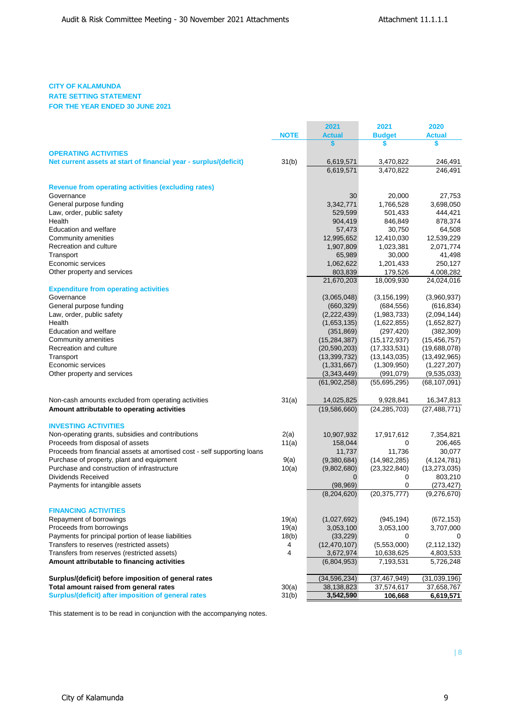\_\_\_\_\_\_\_

# **CITY OF KALAMUNDA**

## **RATE SETTING STATEMENT FOR THE YEAR ENDED 30 JUNE 2021**

|                                                                          |             | 2021                        | 2021                                   | 2020                    |
|--------------------------------------------------------------------------|-------------|-----------------------------|----------------------------------------|-------------------------|
|                                                                          | <b>NOTE</b> | <b>Actual</b>               | <b>Budget</b>                          | <b>Actual</b>           |
|                                                                          |             | \$                          | \$                                     | \$                      |
| <b>OPERATING ACTIVITIES</b>                                              |             |                             |                                        |                         |
| Net current assets at start of financial year - surplus/(deficit)        | 31(b)       | 6,619,571                   | 3,470,822                              | 246,491                 |
|                                                                          |             | 6,619,571                   | 3.470.822                              | 246,491                 |
|                                                                          |             |                             |                                        |                         |
| <b>Revenue from operating activities (excluding rates)</b>               |             |                             |                                        |                         |
| Governance                                                               |             | 30                          | 20,000                                 | 27,753                  |
| General purpose funding                                                  |             | 3,342,771                   | 1,766,528                              | 3,698,050               |
| Law, order, public safety                                                |             | 529,599                     | 501,433                                | 444,421                 |
| Health                                                                   |             | 904,419                     | 846,849                                | 878,374                 |
| <b>Education and welfare</b>                                             |             | 57,473                      | 30,750                                 | 64,508                  |
| Community amenities                                                      |             | 12,995,652                  | 12,410,030                             | 12,539,229              |
| Recreation and culture                                                   |             | 1,907,809                   | 1,023,381                              | 2,071,774               |
| Transport<br>Economic services                                           |             | 65,989                      | 30,000                                 | 41,498                  |
|                                                                          |             | 1,062,622                   | 1,201,433                              | 250,127                 |
| Other property and services                                              |             | 803,839<br>21,670,203       | 179,526<br>18,009,930                  | 4,008,282<br>24,024,016 |
|                                                                          |             |                             |                                        |                         |
| <b>Expenditure from operating activities</b><br>Governance               |             |                             |                                        |                         |
|                                                                          |             | (3,065,048)                 | (3, 156, 199)                          | (3,960,937)             |
| General purpose funding                                                  |             | (660, 329)                  | (684, 556)                             | (616, 834)              |
| Law, order, public safety<br>Health                                      |             | (2,222,439)                 | (1,983,733)                            | (2,094,144)             |
|                                                                          |             | (1,653,135)                 | (1,622,855)                            | (1,652,827)             |
| Education and welfare                                                    |             | (351, 869)                  | (297, 420)                             | (382, 309)              |
| Community amenities                                                      |             | (15, 284, 387)              | (15, 172, 937)                         | (15, 456, 757)          |
| Recreation and culture                                                   |             | (20, 590, 203)              | (17, 333, 531)                         | (19,688,078)            |
| Transport                                                                |             | (13, 399, 732)              | (13, 143, 035)                         | (13, 492, 965)          |
| Economic services                                                        |             | (1, 331, 667)               | (1,309,950)                            | (1,227,207)             |
| Other property and services                                              |             | (3,343,449)<br>(61,902,258) | (991,079)<br>$\overline{(55,695,295)}$ | (9,535,033)             |
|                                                                          |             |                             |                                        | (68, 107, 091)          |
| Non-cash amounts excluded from operating activities                      | 31(a)       | 14,025,825                  | 9,928,841                              | 16,347,813              |
| Amount attributable to operating activities                              |             | (19,586,660)                | (24, 285, 703)                         | (27, 488, 771)          |
|                                                                          |             |                             |                                        |                         |
| <b>INVESTING ACTIVITIES</b>                                              |             |                             |                                        |                         |
| Non-operating grants, subsidies and contributions                        | 2(a)        | 10,907,932                  | 17,917,612                             | 7,354,821               |
| Proceeds from disposal of assets                                         | 11(a)       | 158,044                     | 0                                      | 206,465                 |
| Proceeds from financial assets at amortised cost - self supporting loans |             | 11,737                      | 11,736                                 | 30,077                  |
| Purchase of property, plant and equipment                                | 9(a)        | (9,380,684)                 | (14,982,285)                           | (4, 124, 781)           |
| Purchase and construction of infrastructure                              | 10(a)       | (9,802,680)                 | (23, 322, 840)                         | (13, 273, 035)          |
| <b>Dividends Received</b>                                                |             | 0                           | 0                                      | 803,210                 |
| Payments for intangible assets                                           |             | (98, 969)                   | 0                                      | (273, 427)              |
|                                                                          |             | (8, 204, 620)               | (20, 375, 777)                         | (9,276,670)             |
|                                                                          |             |                             |                                        |                         |
| <b>FINANCING ACTIVITIES</b>                                              |             |                             |                                        |                         |
| Repayment of borrowings                                                  | 19(a)       | (1,027,692)                 | (945, 194)                             | (672, 153)              |
| Proceeds from borrowings                                                 | 19(a)       | 3,053,100                   | 3,053,100                              | 3,707,000               |
| Payments for principal portion of lease liabilities                      | 18(b)       | (33, 229)                   | 0                                      |                         |
| Transfers to reserves (restricted assets)                                | 4           | (12, 470, 107)              | (5,553,000)                            | (2, 112, 132)           |
| Transfers from reserves (restricted assets)                              | 4           | 3,672,974                   | 10,638,625                             | 4,803,533               |
| Amount attributable to financing activities                              |             | (6,804,953)                 | 7,193,531                              | 5,726,248               |
|                                                                          |             |                             |                                        |                         |
| Surplus/(deficit) before imposition of general rates                     |             | (34, 596, 234)              | (37, 467, 949)                         | (31,039,196)            |
| Total amount raised from general rates                                   | 30(a)       | 38,138,823                  | 37,574,617                             | 37,658,767              |
| Surplus/(deficit) after imposition of general rates                      | 31(b)       | 3,542,590                   | 106,668                                | 6,619,571               |

This statement is to be read in conjunction with the accompanying notes.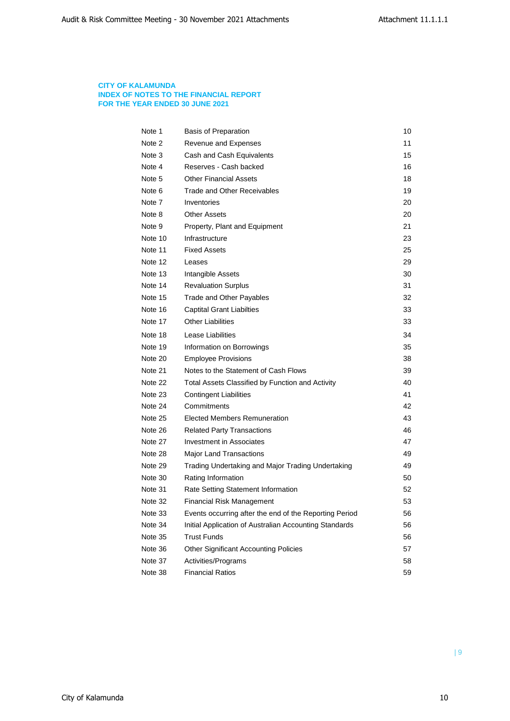## **CITY OF KALAMUNDA INDEX OF NOTES TO THE FINANCIAL REPORT FOR THE YEAR ENDED 30 JUNE 2021**

| Note 1  | <b>Basis of Preparation</b>                            | 10 |
|---------|--------------------------------------------------------|----|
| Note 2  | Revenue and Expenses                                   | 11 |
| Note 3  | Cash and Cash Equivalents                              | 15 |
| Note 4  | Reserves - Cash backed                                 | 16 |
| Note 5  | <b>Other Financial Assets</b>                          | 18 |
| Note 6  | Trade and Other Receivables                            | 19 |
| Note 7  | Inventories                                            | 20 |
| Note 8  | <b>Other Assets</b>                                    | 20 |
| Note 9  | Property, Plant and Equipment                          | 21 |
| Note 10 | Infrastructure                                         | 23 |
| Note 11 | <b>Fixed Assets</b>                                    | 25 |
| Note 12 | Leases                                                 | 29 |
| Note 13 | Intangible Assets                                      | 30 |
| Note 14 | <b>Revaluation Surplus</b>                             | 31 |
| Note 15 | Trade and Other Payables                               | 32 |
| Note 16 | <b>Captital Grant Liabilties</b>                       | 33 |
| Note 17 | <b>Other Liabilities</b>                               | 33 |
| Note 18 | Lease Liabilities                                      | 34 |
| Note 19 | Information on Borrowings                              | 35 |
| Note 20 | <b>Employee Provisions</b>                             | 38 |
| Note 21 | Notes to the Statement of Cash Flows                   | 39 |
| Note 22 | Total Assets Classified by Function and Activity       | 40 |
| Note 23 | Contingent Liabilities                                 | 41 |
| Note 24 | Commitments                                            | 42 |
| Note 25 | <b>Elected Members Remuneration</b>                    | 43 |
| Note 26 | <b>Related Party Transactions</b>                      | 46 |
| Note 27 | Investment in Associates                               | 47 |
| Note 28 | Major Land Transactions                                | 49 |
| Note 29 | Trading Undertaking and Major Trading Undertaking      | 49 |
| Note 30 | Rating Information                                     | 50 |
| Note 31 | Rate Setting Statement Information                     | 52 |
| Note 32 | <b>Financial Risk Management</b>                       | 53 |
| Note 33 | Events occurring after the end of the Reporting Period | 56 |
| Note 34 | Initial Application of Australian Accounting Standards | 56 |
| Note 35 | <b>Trust Funds</b>                                     | 56 |
| Note 36 | <b>Other Significant Accounting Policies</b>           | 57 |
| Note 37 | Activities/Programs                                    | 58 |
| Note 38 | <b>Financial Ratios</b>                                | 59 |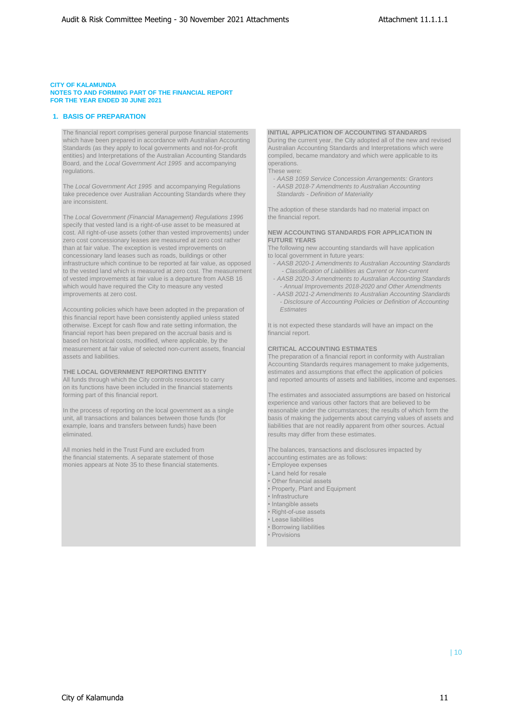### **1. BASIS OF PREPARATION**

The financial report comprises general purpose financial statements **INITIAL APPLICATION OF ACCOUNTING STANDARDS** which have been prepared in accordance with Australian Accounting During the current year, the City adopted all of the new and revised Standards (as they apply to local governments and not-for-profit Australian Accounting Standards and Interpretations which were entities) and Interpretations of the Australian Accounting Standards compiled, became mandatory and which were applicable to its Board, and the *Local Government Act 1995* and accompanying operations. regulations. These were:

The Local Government Act 1995 and accompanying Regulations - **AASB 2018-7 Amendments to Australian Accounting** take precedence over Australian Accounting Standards where they *Standards - Definition of Materiality* are inconsistent.

The *Local Government (Financial Management) Regulations 1996* the financial report. specify that vested land is a right-of-use asset to be measured at cost. All right-of-use assets (other than vested improvements) under **NEW ACCOUNTING STANDARDS FOR APPLICATION IN**<br> **REW ACCOUNTING STANDARDS FOR APPLICATION IN**<br> **FUTURE YEARS** zero cost concessionary leases are measured at zero cost rather than at fair value. The exception is vested improvements on The following new accounting standards will have application concessionary land leases such as roads, buildings or other to local government in future years:<br>
infrastructure which continue to be reported at fair value, as opposed - AASB 2020-1 Amendments to Australian Accounting Sta infrastructure which continue to be reported at fair value, as opposed to the vested land which is measured at zero cost. The measurement *- Classification of Liabilities as Current or Non-current*<br>of vested improvements at fair value is a departure from AASB 16 - AASB 2020-3 Amendments to Au of vested improvements at fair value is a departure from AASB 16 - *AASB 2020-3 Amendments to Australian Accounting Standards*  which would have required the City to measure any vested *improvements at zero cost*.

Accounting policies which have been adopted in the preparation of *Estimates* this financial report have been consistently applied unless stated otherwise. Except for cash flow and rate setting information, the It is not expected these standards will have an impact on the financial report has been prepared on the accrual basis and is financial report. based on historical costs, modified, where applicable, by the measurement at fair value of selected non-current assets, financial **CRITICAL ACCOUNTING ESTIMATES** assets and liabilities. The preparation of a financial report in conformity with Australian

on its functions have been included in the financial statements

eliminated. **results may differ from these estimates. results may differ from these estimates.** 

All monies held in the Trust Fund are excluded from The balances, transactions and disclosures impacted by the financial statements. A separate statement of those accounting estimates are as follows: monies appears at Note 35 to these financial statements. • Financial statements in the major expenses

- *AASB 1059 Service Concession Arrangements: Grantors*

The adoption of these standards had no material impact on

- 
- 
- AASB 2021-2 Amendments to Australian Accounting Standards *- Disclosure of Accounting Policies or Definition of Accounting*

Accounting Standards requires management to make judgements, **THE LOCAL GOVERNMENT REPORTING ENTITY** estimates and assumptions that effect the application of policies All funds through which the City controls resources to carry and reported amounts of assets and liabilities, income and reported amounts of assets and liabilities, income and expenses.

forming part of this financial report. The estimates and associated assumptions are based on historical experience and various other factors that are believed to be In the process of reporting on the local government as a single reasonable under the circumstances; the results of which form the unit, all transactions and balances between those funds (for basis of making the judgements about carrying values of assets and example, loans and transfers between funds) have been liabilities that are not readily apparent from other sources. Actual

- 
- Land held for resale
- Other financial assets
- Property, Plant and Equipment
- Infrastructure
- Intangible assets • Right-of-use assets
- Lease liabilities
- Borrowing liabilities
- Provisions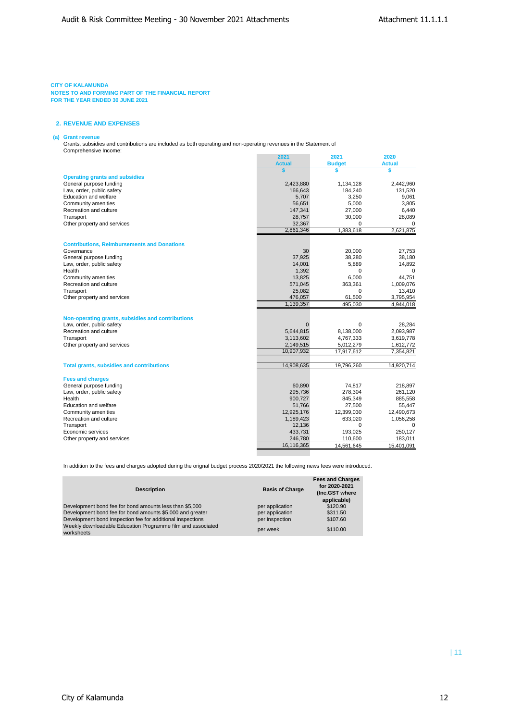#### **CITY OF KALAMUNDA**

**NOTES TO AND FORMING PART OF THE FINANCIAL REPORT FOR THE YEAR ENDED 30 JUNE 2021**

## **2. REVENUE AND EXPENSES**

## **(a) Grant revenue**

Grants, subsidies and contributions are included as both operating and non-operating revenues in the Statement of Comprehensive Income:

|                                                    | 2021          | 2021          | 2020          |
|----------------------------------------------------|---------------|---------------|---------------|
|                                                    | <b>Actual</b> | <b>Budget</b> | <b>Actual</b> |
|                                                    | \$            | \$            | \$            |
| <b>Operating grants and subsidies</b>              |               |               |               |
| General purpose funding                            | 2,423,880     | 1,134,128     | 2,442,960     |
| Law, order, public safety                          | 166,643       | 184,240       | 131,520       |
| Education and welfare                              | 5,707         | 3,250         | 9,061         |
| Community amenities                                | 56,651        | 5,000         | 3,805         |
| Recreation and culture                             | 147,341       | 27,000        | 6,440         |
| Transport                                          | 28,757        | 30,000        | 28,089        |
| Other property and services                        | 32,367        | $\Omega$      | 0             |
|                                                    | 2,861,346     | 1,383,618     | 2,621,875     |
|                                                    |               |               |               |
| <b>Contributions, Reimbursements and Donations</b> |               |               |               |
| Governance                                         | 30            | 20,000        | 27,753        |
| General purpose funding                            | 37,925        | 38,280        | 38,180        |
| Law, order, public safety                          | 14,001        | 5,889         | 14,892        |
| Health                                             | 1,392         | $\Omega$      | 0             |
| Community amenities                                | 13,825        | 6,000         | 44,751        |
| Recreation and culture                             | 571,045       | 363,361       | 1,009,076     |
| Transport                                          | 25,082        | 0             | 13,410        |
| Other property and services                        | 476,057       | 61,500        | 3,795,954     |
|                                                    | 1,139,357     | 495,030       | 4,944,018     |
| Non-operating grants, subsidies and contributions  |               |               |               |
| Law, order, public safety                          |               | 0             | 28,284        |
| Recreation and culture                             | 5,644,815     | 8,138,000     | 2,093,987     |
| Transport                                          | 3,113,602     | 4,767,333     | 3,619,778     |
| Other property and services                        | 2,149,515     | 5,012,279     | 1,612,772     |
|                                                    | 10,907,932    | 17,917,612    | 7,354,821     |
|                                                    |               |               |               |
| <b>Total grants, subsidies and contributions</b>   | 14,908,635    | 19,796,260    | 14,920,714    |
| <b>Fees and charges</b>                            |               |               |               |
| General purpose funding                            | 60,890        | 74,817        | 218,897       |
| Law, order, public safety                          | 295,736       | 278,304       | 261,120       |
| Health                                             | 900,727       | 845,349       | 885,558       |
| Education and welfare                              | 51,766        | 27,500        | 55,447        |
| Community amenities                                | 12,925,176    | 12,399,030    | 12,490,673    |
| Recreation and culture                             | 1,189,423     | 633,020       | 1,056,258     |
| Transport                                          | 12,136        | 0             | $\Omega$      |
| Economic services                                  | 433,731       | 193,025       | 250,127       |
| Other property and services                        | 246,780       | 110,600       | 183,011       |
|                                                    | 16,116,365    | 14,561,645    | 15,401,091    |
|                                                    |               |               |               |

In addition to the fees and charges adopted during the orignal budget process 2020/2021 the following news fees were introduced.

| <b>Description</b>                                                        | <b>Basis of Charge</b> | <b>Fees and Charges</b><br>for 2020-2021<br>(Inc.GST where<br>applicable) |
|---------------------------------------------------------------------------|------------------------|---------------------------------------------------------------------------|
| Development bond fee for bond amounts less than \$5,000                   | per application        | \$120.90                                                                  |
| Development bond fee for bond amounts \$5,000 and greater                 | per application        | \$311.50                                                                  |
| Development bond inspection fee for additional inspections                | per inspection         | \$107.60                                                                  |
| Weekly downloadable Education Programme film and associated<br>worksheets | per week               | \$110.00                                                                  |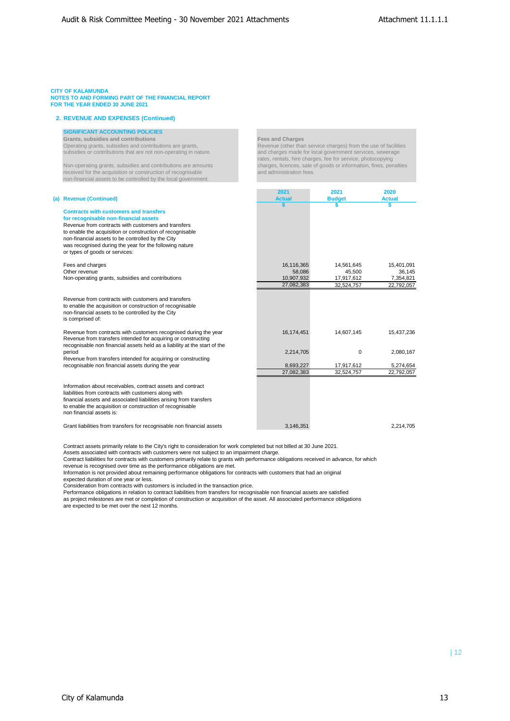### **2. REVENUE AND EXPENSES (Continued)**

### **SIGNIFICANT ACCOUNTING POLICIES**

**Grants, subsidies and contributions**<br> **Contributions Contributions** are grants, **Fees and Charges**<br> **Revenue (other than** 

received for the acquisition or construction of recognisable non-financial assets to be controlled by the local government.

#### $(a)$  Revenue (Continued)

# **Contracts with customers and transfers for recognisable non-financial assets**

## Revenue from contracts w

## Fees and charges<br>Other revenue Non-operating grants, subs

# Revenue (other than service charges) from the use of facilities

subsidies or contributions that are not non-operating in nature. and charges made for local government services, sewerage rates, rentals, hire charges, fee for service, photocopying Non-operating grants, subsidies and contributions are amounts charges, licences, sale of goods or information, fines, penalties<br>
received for the acquisition or construction of recognisable and administration fees.

|                                                                                                                                                                                                                                                                                    | 2021          | 2021          | 2020          |
|------------------------------------------------------------------------------------------------------------------------------------------------------------------------------------------------------------------------------------------------------------------------------------|---------------|---------------|---------------|
| <b>Revenue (Continued)</b>                                                                                                                                                                                                                                                         | <b>Actual</b> | <b>Budget</b> | <b>Actual</b> |
| <b>Contracts with customers and transfers</b><br>for recognisable non-financial assets<br>Revenue from contracts with customers and transfers                                                                                                                                      |               |               | S             |
| to enable the acquisition or construction of recognisable<br>non-financial assets to be controlled by the City<br>was recognised during the year for the following nature<br>or types of goods or services:                                                                        |               |               |               |
| Fees and charges                                                                                                                                                                                                                                                                   | 16,116,365    | 14,561,645    | 15,401,091    |
| Other revenue                                                                                                                                                                                                                                                                      | 58.086        | 45.500        | 36,145        |
| Non-operating grants, subsidies and contributions                                                                                                                                                                                                                                  | 10,907,932    | 17,917,612    | 7,354,821     |
|                                                                                                                                                                                                                                                                                    | 27.082.383    | 32.524.757    | 22,792,057    |
| Revenue from contracts with customers and transfers<br>to enable the acquisition or construction of recognisable<br>non-financial assets to be controlled by the City<br>is comprised of:                                                                                          |               |               |               |
| Revenue from contracts with customers recognised during the year<br>Revenue from transfers intended for acquiring or constructing<br>recognisable non financial assets held as a liability at the start of the                                                                     | 16,174,451    | 14,607,145    | 15.437.236    |
| period<br>Revenue from transfers intended for acquiring or constructing                                                                                                                                                                                                            | 2,214,705     | 0             | 2,080,167     |
| recognisable non financial assets during the year                                                                                                                                                                                                                                  | 8,693,227     | 17,917,612    | 5,274,654     |
|                                                                                                                                                                                                                                                                                    | 27,082,383    | 32,524,757    | 22,792,057    |
| Information about receivables, contract assets and contract<br>liabilities from contracts with customers along with<br>financial assets and associated liabilities arising from transfers<br>to enable the acquisition or construction of recognisable<br>non financial assets is: |               |               |               |
| Grant liabilities from transfers for recognisable non financial assets                                                                                                                                                                                                             | 3,146,351     |               | 2.214.705     |

Contract assets primarily relate to the City's right to consideration for work completed but not billed at 30 June 2021.

Assets associated with contracts with customers were not subject to an impairment charge.<br>Contract liabilities for contracts with customers primarily relate to grants with performance obligations received in advance, for w revenue is recognised over time as the performance obligations are met.

Information is not provided about remaining performance obligations for contracts with customers that had an original

expected duration of one year or less.

Consideration from contracts with customers is included in the transaction price.

Performance obligations in relation to contract liabilities from transfers for recognisable non financial assets are satisfied as project milestones are met or completion of construction or acquisition of the asset. All associated performance obligations

are expected to be met over the next 12 months.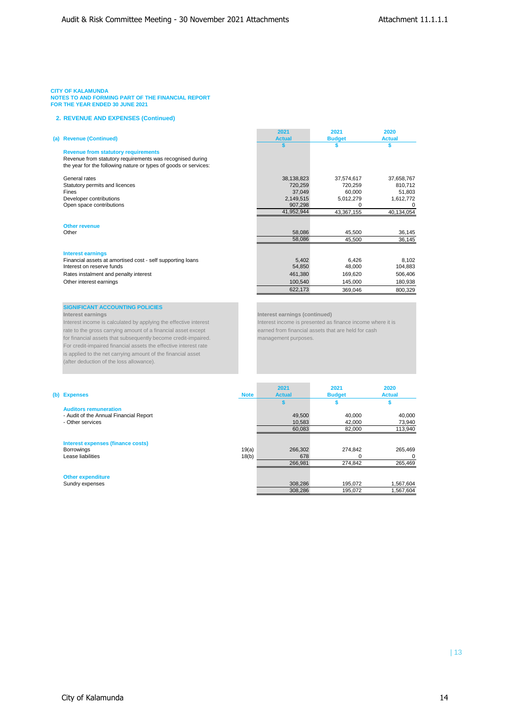## **2. REVENUE AND EXPENSES (Continued)**

| 2021<br><b>Actual</b> | 2021                                  | 2020<br><b>Actual</b>                                  |
|-----------------------|---------------------------------------|--------------------------------------------------------|
|                       |                                       |                                                        |
|                       |                                       |                                                        |
|                       |                                       |                                                        |
|                       |                                       |                                                        |
| 38,138,823            | 37,574,617                            | 37,658,767                                             |
| 720,259               | 720,259                               | 810,712                                                |
| 37,049                | 60,000                                | 51,803                                                 |
| 2,149,515             | 5,012,279                             | 1,612,772                                              |
| 907,298               | 0                                     | 0                                                      |
| 41,952,944            | 43,367,155                            | 40,134,054                                             |
|                       |                                       |                                                        |
| 58,086                | 45,500                                | 36,145                                                 |
| 58,086                | 45,500                                | 36,145                                                 |
|                       |                                       |                                                        |
|                       |                                       | 8,102                                                  |
|                       |                                       | 104,883                                                |
|                       |                                       | 506,406                                                |
|                       |                                       | 180,938                                                |
| 622,173               | 369,046                               | 800,329                                                |
|                       | 5,402<br>54,850<br>461,380<br>100,540 | <b>Budget</b><br>6,426<br>48,000<br>169,620<br>145,000 |

# **SIGNIFICANT ACCOUNTING POLICIES**<br>Interest earnings

Interest income is calculated by applying the effective interest **Interest income is presented as finance income where the interest income is presented as finance income where the interest income is presented as finance in** rate to the gross carrying amount of a financial asset except for financial assets that subsequently become credit-impaired. management purposes. For credit-impaired financial assets the effective interest rate is applied to the net carrying amount of the financial asset (after deduction of the loss allowance).

**Interest earnings (continued)**<br>Interest income is presented as finance income where it is

|                                          |             | 2021          | 2021          | 2020          |
|------------------------------------------|-------------|---------------|---------------|---------------|
| (b) Expenses                             | <b>Note</b> | <b>Actual</b> | <b>Budget</b> | <b>Actual</b> |
|                                          |             |               |               |               |
| <b>Auditors remuneration</b>             |             |               |               |               |
| - Audit of the Annual Financial Report   |             | 49.500        | 40.000        | 40.000        |
| - Other services                         |             | 10.583        | 42,000        | 73,940        |
|                                          |             | 60,083        | 82,000        | 113,940       |
| <b>Interest expenses (finance costs)</b> |             |               |               |               |
| <b>Borrowings</b>                        | 19(a)       | 266,302       | 274.842       | 265.469       |
| Lease liabilities                        | 18(b)       | 678           |               | $\Omega$      |
|                                          |             | 266,981       | 274.842       | 265,469       |
| <b>Other expenditure</b>                 |             |               |               |               |
| Sundry expenses                          |             | 308,286       | 195,072       | 1,567,604     |
|                                          |             | 308.286       | 195.072       | 1.567.604     |

**COL**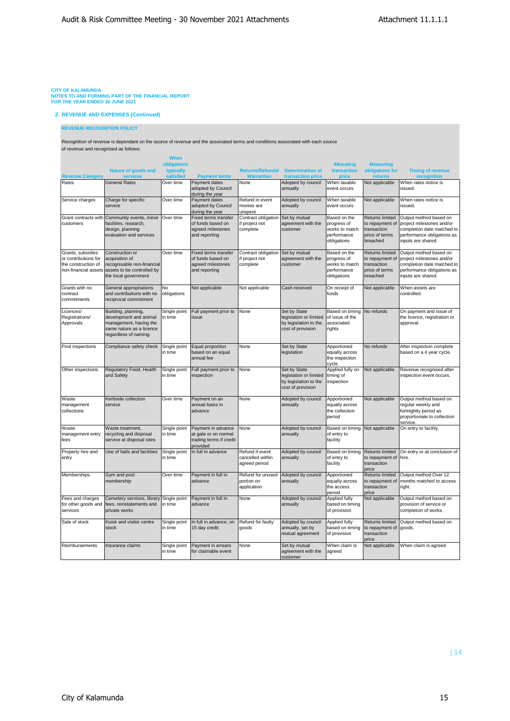**2. REVENUE AND EXPENSES (Continued)**

### **REVENUE RECOGNITION POLICY**

Recognition of revenue is dependant on the source of revenue and the associated terms and conditions associated with each source of revenue and recognised as follows:

|                                                                                          |                                                                                                                              | When                     |                                                                                        |                                                      |                                                                                      |                                                                             |                                                                                        |                                                                                                                                       |
|------------------------------------------------------------------------------------------|------------------------------------------------------------------------------------------------------------------------------|--------------------------|----------------------------------------------------------------------------------------|------------------------------------------------------|--------------------------------------------------------------------------------------|-----------------------------------------------------------------------------|----------------------------------------------------------------------------------------|---------------------------------------------------------------------------------------------------------------------------------------|
|                                                                                          | <b>Nature of goods and</b>                                                                                                   | obligations<br>typically |                                                                                        | <b>Returns/Refunds/</b>                              | <b>Determination of</b>                                                              | <b>Allocating</b><br>transaction                                            | <b>Measuring</b><br>obligations for                                                    | <b>Timing of revenue</b>                                                                                                              |
| <b>Revenue Category</b>                                                                  | <b>services</b>                                                                                                              | satisfied                | <b>Payment terms</b>                                                                   | <b>Warranties</b>                                    | transaction price                                                                    | price                                                                       | returns                                                                                | <b>recognition</b>                                                                                                                    |
| Rates                                                                                    | <b>General Rates</b>                                                                                                         | Over time                | Payment dates<br>adopted by Council<br>during the year                                 | None                                                 | Adopted by council<br>annually                                                       | When taxable<br>event occurs                                                | Not applicable                                                                         | When rates notice is<br>issued.                                                                                                       |
| Service charges                                                                          | Charge for specific<br>service                                                                                               | Over time                | Payment dates<br>adopted by Council<br>during the year                                 | Refund in event<br>monies are<br>unspent             | Adopted by council<br>annually                                                       | When taxable<br>event occurs                                                | Not applicable                                                                         | When rates notice is<br>issued.                                                                                                       |
| Grant contracts with<br>customers                                                        | Community events, minor<br>facilities, research,<br>design, planning<br>evaluation and services                              | Over time                | <b>Fixed terms transfer</b><br>of funds based on<br>agreed milestones<br>and reporting | Contract obligation<br>if project not<br>complete    | Set by mutual<br>agreement with the<br>customer                                      | Based on the<br>progress of<br>works to match<br>performance<br>obligations | <b>Returns limited</b><br>to repayment of<br>transaction<br>price of terms<br>breached | Output method based on<br>project milestones and/or<br>completion date matched to<br>performance obligations as<br>inputs are shared. |
| Grants, subsidies<br>or contributions for<br>the construction of<br>non-financial assets | Construction or<br>acquisition of<br>recognisable non-financial<br>assets to be controlled by<br>the local government        | Over time                | <b>Fixed terms transfer</b><br>of funds based on<br>agreed milestones<br>and reporting | Contract obligation<br>if project not<br>complete    | Set by mutual<br>agreement with the<br>customer                                      | Based on the<br>progress of<br>works to match<br>performance<br>obligations | Returns limited<br>to repayment of<br>transaction<br>price of terms<br>breached        | Output method based on<br>project milestones and/or<br>completion date matched to<br>performance obligations as<br>inputs are shared. |
| Grants with no<br>contract<br>commitments                                                | General appropriations<br>and contributions with no<br>reciprocal commitment                                                 | No<br>obligations        | Not applicable                                                                         | Not applicable                                       | Cash received                                                                        | On receipt of<br>funds                                                      | Not applicable                                                                         | When assets are<br>controlled.                                                                                                        |
| Licences/<br>Registrations/<br>Approvals                                                 | Building, planning,<br>development and animal<br>management, having the<br>same nature as a licence<br>regardless of naming. | Single point<br>in time  | Full payment prior to<br>issue                                                         | None                                                 | Set by State<br>legislation or limited<br>by legislation to the<br>cost of provision | Based on timing<br>of issue of the<br>associated<br>rights                  | No refunds                                                                             | On payment and issue of<br>the licence, registration or<br>approval.                                                                  |
| Pool inspections                                                                         | Compliance safety check                                                                                                      | Single point<br>in time  | Equal proportion<br>based on an equal<br>annual fee                                    | None                                                 | Set by State<br>legislation                                                          | Apportioned<br>equally across<br>the inspection<br>cycle                    | No refunds                                                                             | After inspection complete<br>based on a 4 year cycle.                                                                                 |
| Other inspections                                                                        | Regulatory Food, Health<br>and Safety                                                                                        | Single point<br>in time  | Full payment prior to<br>inspection                                                    | None                                                 | Set by State<br>legislation or limited<br>by legislation to the<br>cost of provision | Applied fully on<br>timing of<br>inspection                                 | Not applicable                                                                         | Revenue recognised after<br>inspection event occurs.                                                                                  |
| Waste<br>management<br>collections                                                       | Kerbside collection<br>service                                                                                               | Over time                | Payment on an<br>annual basis in<br>advance                                            | None                                                 | Adopted by council<br>annually                                                       | Apportioned<br>equally across<br>the collection<br>period                   | Not applicable                                                                         | Output method based on<br>regular weekly and<br>fortnightly period as<br>proportionate to collection<br>service.                      |
| Waste<br>management entry<br>fees                                                        | Waste treatment,<br>recycling and disposal<br>service at disposal sites                                                      | Single point<br>in time  | Payment in advance<br>at gate or on normal<br>trading terms if credit<br>provided      | None                                                 | Adopted by council<br>annually                                                       | Based on timing<br>of entry to<br>facility                                  | Not applicable                                                                         | On entry to facility.                                                                                                                 |
| Property hire and<br>entry                                                               | Use of halls and facilities                                                                                                  | Single point<br>in time  | In full in advance                                                                     | Refund if event<br>cancelled within<br>agreed period | Adopted by council<br>annually                                                       | Based on timing<br>of entry to<br>facility                                  | Returns limited<br>to repayment of<br>transaction<br>price                             | On entry or at conclusion of<br>hire.                                                                                                 |
| Memberships                                                                              | Gym and pool<br>membership                                                                                                   | Over time                | Payment in full in<br>advance                                                          | Refund for unused<br>portion on<br>application       | Adopted by council<br>annually                                                       | Apportioned<br>equally across<br>the access<br>period                       | <b>Returns limited</b><br>to repayment of<br>transaction<br>price                      | Output method Over 12<br>months matched to access<br>right.                                                                           |
| Fees and charges<br>for other goods and<br>services                                      | Cemetery services, library<br>fees, reinstatements and<br>private works                                                      | Single point<br>in time  | Payment in full in<br>advance                                                          | None                                                 | Adopted by council<br>annually                                                       | Applied fully<br>based on timing<br>of provision                            | Not applicable                                                                         | Output method based on<br>provision of service or<br>completion of works.                                                             |
| Sale of stock                                                                            | Kiosk and visitor centre<br>stock                                                                                            | Single point<br>in time  | In full in advance, on<br>15 day credit                                                | Refund for faulty<br>goods                           | Adopted by council<br>annually, set by<br>mutual agreement                           | Applied fully<br>based on timing<br>of provision                            | Returns limited<br>to repayment of<br>transaction<br>price                             | Output method based on<br>goods.                                                                                                      |
| Reimbursements                                                                           | Insurance claims                                                                                                             | Single point<br>in time  | Payment in arrears<br>for claimable event                                              | None                                                 | Set by mutual<br>agreement with the<br>customer                                      | When claim is<br>agreed                                                     | Not applicable                                                                         | When claim is agreed.                                                                                                                 |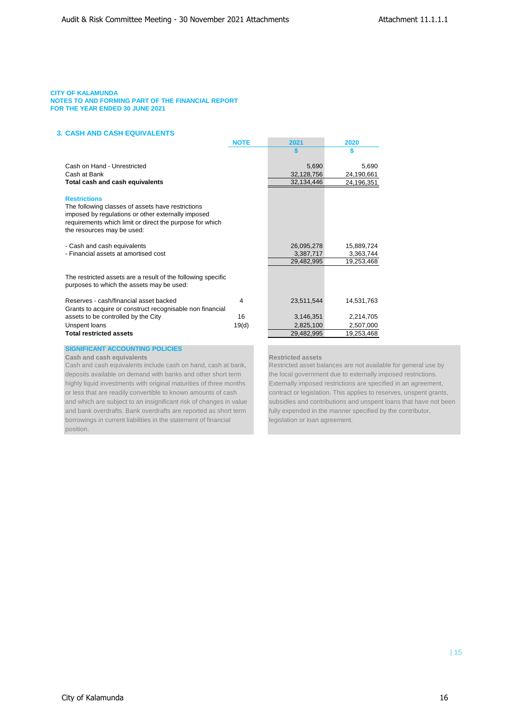## **3. CASH AND CASH EQUIVALENTS**

|                                                                                                                                                                                                                          | <b>NOTE</b> | 2021                    | 2020                    |
|--------------------------------------------------------------------------------------------------------------------------------------------------------------------------------------------------------------------------|-------------|-------------------------|-------------------------|
|                                                                                                                                                                                                                          |             |                         |                         |
|                                                                                                                                                                                                                          |             |                         |                         |
| Cash on Hand - Unrestricted                                                                                                                                                                                              |             | 5,690                   | 5.690                   |
| Cash at Bank                                                                                                                                                                                                             |             | 32,128,756              | 24,190,661              |
| Total cash and cash equivalents                                                                                                                                                                                          |             | 32,134,446              | 24,196,351              |
| <b>Restrictions</b><br>The following classes of assets have restrictions<br>imposed by regulations or other externally imposed<br>requirements which limit or direct the purpose for which<br>the resources may be used: |             |                         |                         |
|                                                                                                                                                                                                                          |             |                         |                         |
| - Cash and cash equivalents<br>- Financial assets at amortised cost                                                                                                                                                      |             | 26,095,278<br>3,387,717 | 15,889,724<br>3,363,744 |
|                                                                                                                                                                                                                          |             | 29,482,995              | 19,253,468              |
|                                                                                                                                                                                                                          |             |                         |                         |
| The restricted assets are a result of the following specific<br>purposes to which the assets may be used:                                                                                                                |             |                         |                         |
| Reserves - cash/financial asset backed<br>Grants to acquire or construct recognisable non financial                                                                                                                      | 4           | 23,511,544              | 14,531,763              |
| assets to be controlled by the City                                                                                                                                                                                      | 16          | 3,146,351               | 2,214,705               |
| Unspent loans                                                                                                                                                                                                            | 19(d)       | 2,825,100               | 2,507,000               |
| <b>Total restricted assets</b>                                                                                                                                                                                           |             | 29,482,995              | 19,253,468              |
|                                                                                                                                                                                                                          |             |                         |                         |
|                                                                                                                                                                                                                          |             |                         |                         |

### **SIGNIFICANT ACCOUNTING POLICIES**

**Cash and cash equivalents Restricted assets** 

deposits available on demand with banks and other short term the local government due to externally imposed restrictions. highly liquid investments with original maturities of three months Externally imposed restrictions are specified in an agreement, or less that are readily convertible to known amounts of cash contract or legislation. This applies to reserves, unspent grants, and bank overdrafts. Bank overdrafts are reported as short term fully expended in the manner specified by the contributor, borrowings in current liabilities in the statement of financial legislation or loan agreement. position.

Cash and cash equivalents include cash on hand, cash at bank, Restricted asset balances are not available for general use by and which are subject to an insignificant risk of changes in value subsidies and contributions and unspent loans that have not been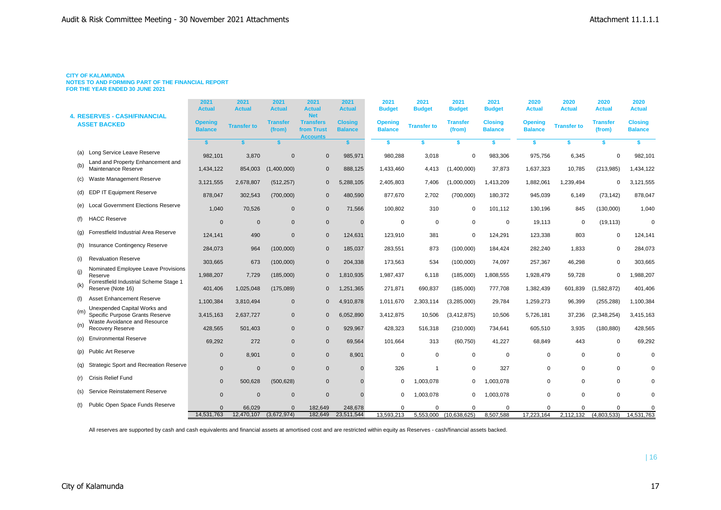#### **CITY OF KALAMUNDA**

**NOTES TO AND FORMING PART OF THE FINANCIAL REPORT FOR THE YEAR ENDED 30 JUNE 2021**

| <b>4. RESERVES - CASH/FINANCIAL</b> |                                                                 | 2021<br><b>Actual</b>            | 2021<br><b>Actual</b> | 2021<br><b>Actual</b>     | 2021<br><b>Actual</b><br><b>Net</b>               | 2021<br><b>Actual</b>            | 2021<br><b>Budget</b>            | 2021<br><b>Budget</b> | 2021<br><b>Budget</b>     | 2021<br><b>Budget</b>            | 2020<br><b>Actual</b>            | 2020<br><b>Actual</b> | 2020<br><b>Actual</b>     | 2020<br><b>Actual</b>            |
|-------------------------------------|-----------------------------------------------------------------|----------------------------------|-----------------------|---------------------------|---------------------------------------------------|----------------------------------|----------------------------------|-----------------------|---------------------------|----------------------------------|----------------------------------|-----------------------|---------------------------|----------------------------------|
|                                     | <b>ASSET BACKED</b>                                             | <b>Opening</b><br><b>Balance</b> | <b>Transfer to</b>    | <b>Transfer</b><br>(from) | <b>Transfers</b><br>from Trust<br><b>Accounts</b> | <b>Closing</b><br><b>Balance</b> | <b>Opening</b><br><b>Balance</b> | <b>Transfer to</b>    | <b>Transfer</b><br>(from) | <b>Closing</b><br><b>Balance</b> | <b>Opening</b><br><b>Balance</b> | <b>Transfer to</b>    | <b>Transfer</b><br>(from) | <b>Closing</b><br><b>Balance</b> |
|                                     |                                                                 | <b>s</b>                         |                       | \$.                       |                                                   | s.                               | s.                               |                       | s.                        | \$                               | s.                               | \$                    | \$.                       | \$                               |
| (a)                                 | Long Service Leave Reserve                                      | 982,101                          | 3,870                 | $\Omega$                  | $\mathbf{0}$                                      | 985,971                          | 980,288                          | 3,018                 | $\mathbf 0$               | 983,306                          | 975,756                          | 6,345                 |                           | 982,101                          |
| (b)                                 | Land and Property Enhancement and<br>Maintenance Reserve        | 1,434,122                        | 854,003               | (1,400,000)               | $\mathbf{0}$                                      | 888,125                          | 1,433,460                        | 4,413                 | (1,400,000)               | 37,873                           | 1,637,323                        | 10,785                | (213, 985)                | 1,434,122                        |
| (c)                                 | Waste Management Reserve                                        | 3,121,555                        | 2,678,807             | (512, 257)                | $\mathbf{0}$                                      | 5,288,105                        | 2,405,803                        | 7,406                 | (1,000,000)               | 1,413,209                        | 1,882,061                        | 1,239,494             |                           | 3,121,555                        |
| (d)                                 | EDP IT Equipment Reserve                                        | 878,047                          | 302,543               | (700,000)                 | $\mathbf 0$                                       | 480,590                          | 877,670                          | 2,702                 | (700,000)                 | 180,372                          | 945,039                          | 6,149                 | (73, 142)                 | 878,047                          |
| (e)                                 | <b>Local Government Elections Reserve</b>                       | 1,040                            | 70,526                | $\mathbf{0}$              | $\mathbf{0}$                                      | 71,566                           | 100,802                          | 310                   | $\mathbf 0$               | 101,112                          | 130,196                          | 845                   | (130,000)                 | 1,040                            |
| (f)                                 | <b>HACC Reserve</b>                                             | $\mathbf{0}$                     | $\mathbf{0}$          | $\mathbf{0}$              | $\mathbf 0$                                       | $\Omega$                         | $\Omega$                         | $\mathbf 0$           | $\mathbf 0$               | $\mathbf 0$                      | 19,113                           | $\mathbf 0$           | (19, 113)                 | $\Omega$                         |
| (g)                                 | Forrestfield Industrial Area Reserve                            | 124,141                          | 490                   | $\Omega$                  | $\mathbf{0}$                                      | 124,631                          | 123,910                          | 381                   | $\Omega$                  | 124,291                          | 123,338                          | 803                   | $\Omega$                  | 124,141                          |
| (h)                                 | <b>Insurance Contingency Reserve</b>                            | 284.073                          | 964                   | (100,000)                 | $\overline{0}$                                    | 185,037                          | 283.551                          | 873                   | (100,000)                 | 184.424                          | 282.240                          | 1.833                 | $\mathbf 0$               | 284,073                          |
| (i)                                 | <b>Revaluation Reserve</b>                                      | 303,665                          | 673                   | (100,000)                 | $\mathbf{0}$                                      | 204,338                          | 173,563                          | 534                   | (100,000)                 | 74,097                           | 257,367                          | 46,298                | $\Omega$                  | 303,665                          |
| (i)                                 | Nominated Employee Leave Provisions<br>Reserve                  | 1,988,207                        | 7,729                 | (185,000)                 | $\mathbf{0}$                                      | 1,810,935                        | 1,987,437                        | 6.118                 | (185,000)                 | 1,808,555                        | 1,928,479                        | 59,728                | $\Omega$                  | 1,988,207                        |
| (k)                                 | Forrestfield Industrial Scheme Stage 1<br>Reserve (Note 16)     | 401,406                          | 1,025,048             | (175,089)                 | $\mathbf 0$                                       | 1,251,365                        | 271,871                          | 690,837               | (185,000)                 | 777,708                          | 1,382,439                        | 601,839               | (1,582,872)               | 401,406                          |
| (1)                                 | Asset Enhancement Reserve                                       | 1,100,384                        | 3.810.494             | $\Omega$                  | $\Omega$                                          | 4,910,878                        | 1,011,670                        | 2,303,114             | (3,285,000)               | 29,784                           | 1,259,273                        | 96,399                | (255, 288)                | 1,100,384                        |
| (m)                                 | Unexpended Capital Works and<br>Specific Purpose Grants Reserve | 3,415,163                        | 2,637,727             | $\mathbf{0}$              | $\Omega$                                          | 6,052,890                        | 3,412,875                        | 10,506                | (3,412,875)               | 10,506                           | 5,726,181                        | 37,236                | (2,348,254)               | 3,415,163                        |
| (n)                                 | Waste Avoidance and Resource<br>Recovery Reserve                | 428.565                          | 501.403               | $\mathbf{0}$              | $\mathbf{0}$                                      | 929,967                          | 428,323                          | 516,318               | (210,000)                 | 734,641                          | 605,510                          | 3,935                 | (180, 880)                | 428,565                          |
| (o)                                 | <b>Environmental Reserve</b>                                    | 69,292                           | 272                   | $\mathbf{0}$              | $\mathbf 0$                                       | 69,564                           | 101,664                          | 313                   | (60, 750)                 | 41,227                           | 68,849                           | 443                   | $\mathbf 0$               | 69,292                           |
| (p)                                 | <b>Public Art Reserve</b>                                       | $\Omega$                         | 8.901                 | $\mathbf{0}$              | $\mathbf{0}$                                      | 8,901                            | $\Omega$                         | $\mathbf 0$           | $\mathbf 0$               | $\mathbf 0$                      | 0                                | $\Omega$              | $\Omega$                  | $\Omega$                         |
| (q)                                 | <b>Strategic Sport and Recreation Reserve</b>                   | $\mathbf{0}$                     | $\mathbf{0}$          | $\mathbf{0}$              | $\mathbf{0}$                                      | $\Omega$                         | 326                              | $\overline{1}$        | $\mathbf 0$               | 327                              | 0                                | $\mathbf 0$           | $\mathbf 0$               | $\Omega$                         |
| (r)                                 | <b>Crisis Relief Fund</b>                                       | $\mathbf{0}$                     | 500,628               | (500, 628)                | $\mathbf{0}$                                      | $\Omega$                         | $\Omega$                         | 1,003,078             | $\mathbf 0$               | 1,003,078                        | $\Omega$                         | $\Omega$              | $\Omega$                  | 0                                |
| (s)                                 | Service Reinstatement Reserve                                   | $\mathbf{0}$                     | $\Omega$              | $\Omega$                  | $\mathbf{0}$                                      | $\Omega$                         | 0                                | 1,003,078             | $\Omega$                  | 1,003,078                        | $\Omega$                         | $\Omega$              | $\Omega$                  | $\mathbf 0$                      |
| (t)                                 | Public Open Space Funds Reserve                                 | $\Omega$                         | 66,029                | $\Omega$                  | 182,649                                           | 248,678                          | $\Omega$                         | $\Omega$              | $\Omega$                  | $\Omega$                         | $\Omega$                         | $\Omega$              |                           | 0                                |
|                                     |                                                                 | 14,531,763                       | 12,470,107            | (3,672,974)               | 182,649                                           | 23,511,544                       | 13.593.213                       |                       | 5.553.000 (10.638.625)    | 8,507,588                        | 17.223.164                       | 2,112,132             | (4,803,533)               | 14,531,763                       |

All reserves are supported by cash and cash equivalents and financial assets at amortised cost and are restricted within equity as Reserves - cash/financial assets backed.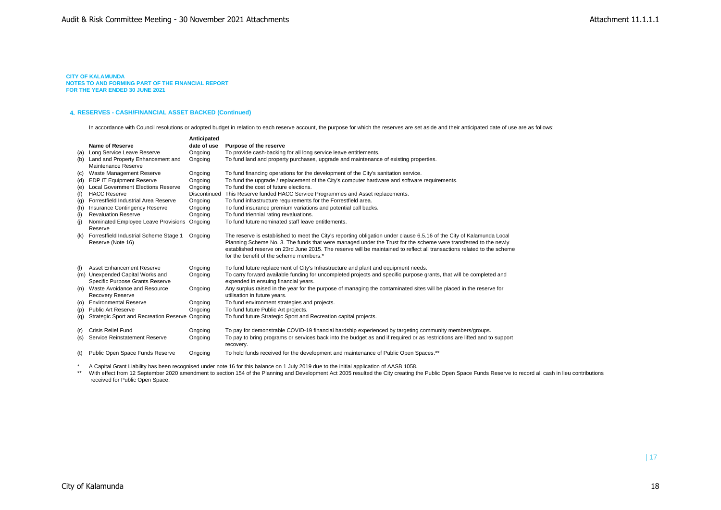#### **4. RESERVES - CASH/FINANCIAL ASSET BACKED (Continued)**

In accordance with Council resolutions or adopted budget in relation to each reserve account, the purpose for which the reserves are set aside and their anticipated date of use are as follows:

|     |                                                          | Anticipated  |                                                                                                                                        |
|-----|----------------------------------------------------------|--------------|----------------------------------------------------------------------------------------------------------------------------------------|
|     | Name of Reserve                                          | date of use  | Purpose of the reserve                                                                                                                 |
| (a) | Long Service Leave Reserve                               | Ongoing      | To provide cash-backing for all long service leave entitlements.                                                                       |
| (b) | Land and Property Enhancement and<br>Maintenance Reserve | Ongoing      | To fund land and property purchases, upgrade and maintenance of existing properties.                                                   |
| (c) | Waste Management Reserve                                 | Ongoing      | To fund financing operations for the development of the City's sanitation service.                                                     |
| (d) | <b>EDP IT Equipment Reserve</b>                          | Ongoing      | To fund the upgrade / replacement of the City's computer hardware and software requirements.                                           |
| (e) | <b>Local Government Elections Reserve</b>                | Ongoing      | To fund the cost of future elections.                                                                                                  |
| (f) | <b>HACC Reserve</b>                                      | Discontinued | This Reserve funded HACC Service Programmes and Asset replacements.                                                                    |
| (g) | Forrestfield Industrial Area Reserve                     | Ongoing      | To fund infrastructure requirements for the Forrestfield area.                                                                         |
| (h) | Insurance Contingency Reserve                            | Ongoing      | To fund insurance premium variations and potential call backs.                                                                         |
| (i) | <b>Revaluation Reserve</b>                               | Ongoing      | To fund triennial rating revaluations.                                                                                                 |
| (i) | Nominated Employee Leave Provisions Ongoing              |              | To fund future nominated staff leave entitlements.                                                                                     |
|     | Reserve                                                  |              |                                                                                                                                        |
| (k) | Forrestfield Industrial Scheme Stage 1                   | Ongoing      | The reserve is established to meet the City's reporting obligation under clause 6.5.16 of the City of Kalamunda Local                  |
|     | Reserve (Note 16)                                        |              | Planning Scheme No. 3. The funds that were managed under the Trust for the scheme were transferred to the newly                        |
|     |                                                          |              | established reserve on 23rd June 2015. The reserve will be maintained to reflect all transactions related to the scheme                |
|     |                                                          |              | for the benefit of the scheme members.*                                                                                                |
| (1) | Asset Enhancement Reserve                                | Ongoing      | To fund future replacement of City's Infrastructure and plant and equipment needs.                                                     |
|     | (m) Unexpended Capital Works and                         | Ongoing      | To carry forward available funding for uncompleted projects and specific purpose grants, that will be completed and                    |
|     | Specific Purpose Grants Reserve                          |              | expended in ensuing financial years.                                                                                                   |
| (n) | Waste Avoidance and Resource                             | Ongoing      | Any surplus raised in the year for the purpose of managing the contaminated sites will be placed in the reserve for                    |
|     | <b>Recovery Reserve</b>                                  |              | utilisation in future years.                                                                                                           |
| (O) | <b>Environmental Reserve</b>                             | Ongoing      | To fund environment strategies and projects.                                                                                           |
| (p) | <b>Public Art Reserve</b>                                | Ongoing      | To fund future Public Art projects.                                                                                                    |
| (q) | Strategic Sport and Recreation Reserve Ongoing           |              | To fund future Strategic Sport and Recreation capital projects.                                                                        |
|     |                                                          |              |                                                                                                                                        |
| (r) | <b>Crisis Relief Fund</b>                                | Ongoing      | To pay for demonstrable COVID-19 financial hardship experienced by targeting community members/groups.                                 |
| (s) | Service Reinstatement Reserve                            | Ongoing      | To pay to bring programs or services back into the budget as and if required or as restrictions are lifted and to support<br>recovery. |
| (t) | Public Open Space Funds Reserve                          | Ongoing      | To hold funds received for the development and maintenance of Public Open Spaces.**                                                    |
|     |                                                          |              |                                                                                                                                        |

\* A Capital Grant Liability has been recognised under note 16 for this balance on 1 July 2019 due to the initial application of AASB 1058.

\*\* With effect from 12 September 2020 amendment to section 154 of the Planning and Development Act 2005 resulted the City creating the Public Open Space Funds Reserve to record all cash in lieu contributions received for Public Open Space.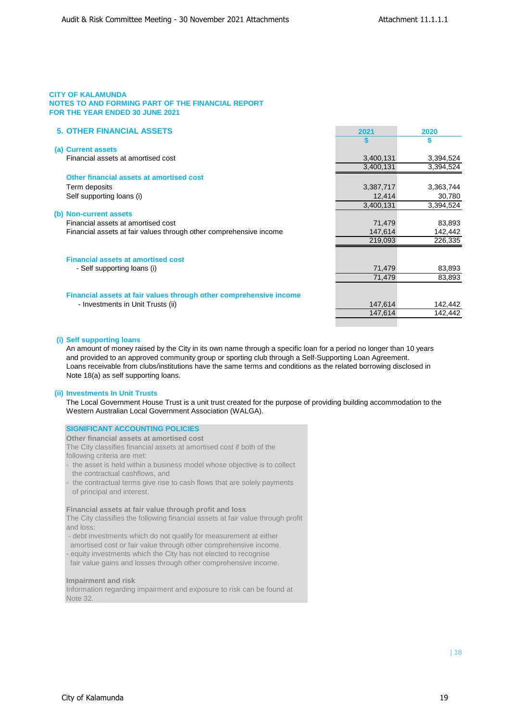| <b>5. OTHER FINANCIAL ASSETS</b>                                   | 2021      | 2020      |
|--------------------------------------------------------------------|-----------|-----------|
|                                                                    | S         | S         |
| (a) Current assets                                                 |           |           |
| Financial assets at amortised cost                                 | 3,400,131 | 3,394,524 |
|                                                                    | 3,400,131 | 3,394,524 |
| Other financial assets at amortised cost                           |           |           |
| Term deposits                                                      | 3,387,717 | 3,363,744 |
| Self supporting loans (i)                                          | 12,414    | 30,780    |
|                                                                    | 3,400,131 | 3,394,524 |
| (b) Non-current assets                                             |           |           |
| Financial assets at amortised cost                                 | 71,479    | 83,893    |
| Financial assets at fair values through other comprehensive income | 147,614   | 142,442   |
|                                                                    | 219,093   | 226,335   |
|                                                                    |           |           |
| <b>Financial assets at amortised cost</b>                          |           |           |
| - Self supporting loans (i)                                        | 71,479    | 83,893    |
|                                                                    | 71,479    | 83,893    |
|                                                                    |           |           |
| Financial assets at fair values through other comprehensive income |           |           |
| - Investments in Unit Trusts (ii)                                  | 147,614   | 142,442   |
|                                                                    | 147,614   | 142,442   |
|                                                                    |           |           |

## **(i) Self supporting loans**

An amount of money raised by the City in its own name through a specific loan for a period no longer than 10 years and provided to an approved community group or sporting club through a Self-Supporting Loan Agreement. Loans receivable from clubs/institutions have the same terms and conditions as the related borrowing disclosed in Note 18(a) as self supporting loans.

## **(ii) Investments In Unit Trusts**

The Local Government House Trust is a unit trust created for the purpose of providing building accommodation to the Western Australian Local Government Association (WALGA).

| <b>SIGNIFICANT ACCOUNTING POLICIES</b>                                                                                                |
|---------------------------------------------------------------------------------------------------------------------------------------|
| Other financial assets at amortised cost                                                                                              |
| The City classifies financial assets at amortised cost if both of the                                                                 |
| following criteria are met:                                                                                                           |
| the asset is held within a business model whose objective is to collect<br>the contractual cashflows, and                             |
| - the contractual terms give rise to cash flows that are solely payments<br>of principal and interest.                                |
| Financial assets at fair value through profit and loss                                                                                |
| The City classifies the following financial assets at fair value through profit<br>and loss:                                          |
| - debt investments which do not qualify for measurement at either<br>amortised cost or fair value through other comprehensive income. |
| - equity investments which the City has not elected to recognise<br>fair value gains and losses through other comprehensive income.   |
| Impairment and risk                                                                                                                   |
|                                                                                                                                       |

Information regarding impairment and exposure to risk can be found at Note 32.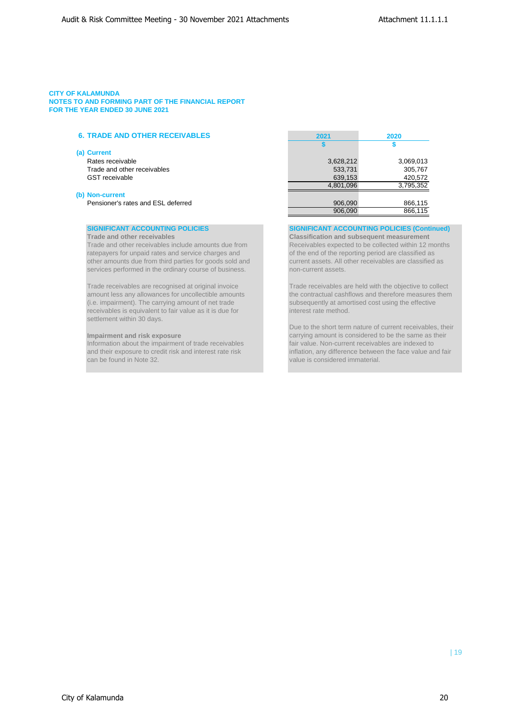## **6. TRADE AND OTHER RECEIVABLES 2021 2020**

#### **(a) Current**

Rates receivable Trade and other receivables GST receivable

## **(b) Non-current**

Pensioner's rates and ESL deferred

ratepayers for unpaid rates and service charges and **of the end of the reporting period are classified as** other amounts due from third parties for goods sold and current assets. All other receivables are classified as services performed in the ordinary course of business. non-current assets.

(i.e. impairment). The carrying amount of net trade subsequently at amortised cost using the effective receivables is equivalent to fair value as it is due for **interest rate method.** settlement within 30 days.

Information about the impairment of trade receivables and their exposure to credit risk and interest rate risk can be found in Note 32. value is considered immaterial.

| 2021      | 2020      |
|-----------|-----------|
|           | S         |
|           |           |
| 3,628,212 | 3,069,013 |
| 533,731   | 305,767   |
| 639,153   | 420,572   |
| 4,801,096 | 3,795,352 |
|           |           |
| 906,090   | 866,115   |
| 906.090   | 866,115   |

**SIGNIFICANT ACCOUNTING POLICIES SIGNIFICANT ACCOUNTING POLICIES (Continued)**

**Trade and other receivables Classification and subsequent measurement**  Trade and other receivables include amounts due from Receivables expected to be collected within 12 months

Trade receivables are recognised at original invoice Trade receivables are held with the objective to collect<br>amount less any allowances for uncollectible amounts the contractual cashflows and therefore measures then the contractual cashflows and therefore measures them

Due to the short term nature of current receivables, their **Impairment and risk exposure**<br> **Information about the impairment of trade receivables**<br> **Information about the impairment of trade receivables**<br> **Information about the impairment of trade receivables** inflation, any difference between the face value and fair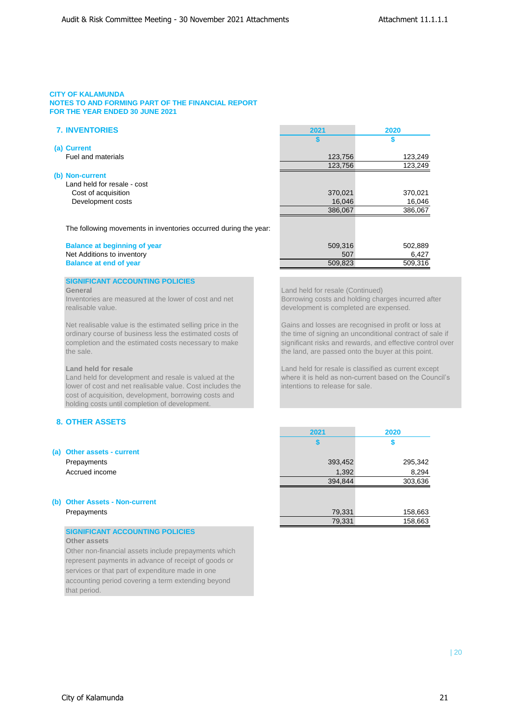## **7. INVENTORIES 2021 2020**

|         | 123,249                      |
|---------|------------------------------|
|         | 123,249                      |
|         |                              |
|         |                              |
| 370,021 | 370,021                      |
|         | 16,046                       |
| 386,067 | 386,067                      |
|         |                              |
|         | 123,756<br>123,756<br>16,046 |

The following movements in inventories occurred during the year:

## **Balance at beginning of year** Net Additions to inventory **Balance at end of year**

## **SIGNIFICANT ACCOUNTING POLICIES**

realisable value. development is completed are expensed.

Net realisable value is the estimated selling price in the Gains and losses are recognised in profit or loss at ordinary course of business less the estimated costs of the time of signing an unconditional contract of sale if completion and the estimated costs necessary to make significant risks and rewards, and effective control over the sale. the land, are passed onto the buyer at this point.

lower of cost and net realisable value. Cost includes the intentions to release for sale. cost of acquisition, development, borrowing costs and holding costs until completion of development.

## **8. OTHER ASSETS**

### **(a) Other assets - current**

Prepayments Accrued income

## **(b) Other Assets - Non-current**  Prepayments

## **SIGNIFICANT ACCOUNTING POLICIES**

## **Other assets**

Other non-financial assets include prepayments which represent payments in advance of receipt of goods or services or that part of expenditure made in one accounting period covering a term extending beyond that period.

| \$      | \$      |
|---------|---------|
| 123,756 | 123,249 |
| 123,756 | 123,249 |
|         |         |
| 370,021 | 370,021 |
| 16,046  | 16,046  |
| 386,067 | 386,067 |
|         |         |
|         |         |
| 509,316 | 502,889 |
| 507     | 6,427   |
| 509,823 | 509,316 |

**General General General Continued) Candidate Continued Continued Continued Continued** Inventories are measured at the lower of cost and net Borrowing costs and holding charges incurred after

**Land held for resale Land held for resale is classified as current except** Land held for development and resale is valued at the where it is held as non-current based on the Council's

| 2021    | 2020    |
|---------|---------|
| 5       | \$      |
|         |         |
| 393,452 | 295,342 |
| 1,392   | 8,294   |
| 394,844 | 303,636 |
|         |         |
|         |         |
| 79,331  | 158,663 |
| 79,331  | 158,663 |
|         |         |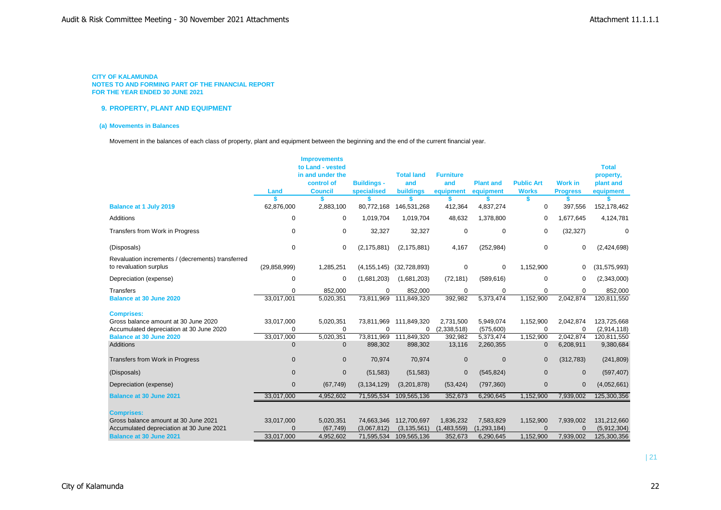## **9. PROPERTY, PLANT AND EQUIPMENT**

#### **(a) Movements in Balances**

Movement in the balances of each class of property, plant and equipment between the beginning and the end of the current financial year.

|                                                                             |                  | <b>Improvements</b>                                                  |                                   |                                       |                                      |                               |                                   |                                   |                                                     |
|-----------------------------------------------------------------------------|------------------|----------------------------------------------------------------------|-----------------------------------|---------------------------------------|--------------------------------------|-------------------------------|-----------------------------------|-----------------------------------|-----------------------------------------------------|
|                                                                             | Land             | to Land - vested<br>in and under the<br>control of<br><b>Council</b> | <b>Buildings -</b><br>specialised | <b>Total land</b><br>and<br>buildings | <b>Furniture</b><br>and<br>equipment | <b>Plant and</b><br>equipment | <b>Public Art</b><br><b>Works</b> | <b>Work in</b><br><b>Progress</b> | <b>Total</b><br>property,<br>plant and<br>equipment |
| <b>Balance at 1 July 2019</b>                                               | 62,876,000       | 2,883,100                                                            | 80,772,168                        | 146,531,268                           | 412,364                              | 4,837,274                     | S<br>0                            | 397,556                           | 152,178,462                                         |
|                                                                             |                  |                                                                      |                                   |                                       |                                      |                               |                                   |                                   |                                                     |
| Additions                                                                   | 0                | 0                                                                    | 1,019,704                         | 1,019,704                             | 48,632                               | 1,378,800                     | $\mathbf 0$                       | 1,677,645                         | 4,124,781                                           |
| Transfers from Work in Progress                                             | 0                | $\mathbf 0$                                                          | 32,327                            | 32,327                                | 0                                    | $\mathbf 0$                   | $\mathbf 0$                       | (32, 327)                         | $\mathbf 0$                                         |
| (Disposals)                                                                 | $\boldsymbol{0}$ | 0                                                                    | (2, 175, 881)                     | (2, 175, 881)                         | 4,167                                | (252, 984)                    | $\mathbf 0$                       | 0                                 | (2,424,698)                                         |
| Revaluation increments / (decrements) transferred<br>to revaluation surplus | (29, 858, 999)   | 1,285,251                                                            | (4, 155, 145)                     | (32,728,893)                          | 0                                    | $\mathbf 0$                   | 1,152,900                         | 0                                 | (31, 575, 993)                                      |
| Depreciation (expense)                                                      | $\mathbf 0$      | $\mathbf 0$                                                          | (1,681,203)                       | (1,681,203)                           | (72, 181)                            | (589, 616)                    | $\mathbf 0$                       | 0                                 | (2,343,000)                                         |
| <b>Transfers</b>                                                            | $\Omega$         | 852,000                                                              | $\Omega$                          | 852,000                               | 0                                    | $\mathbf 0$                   | $\mathbf 0$                       | 0                                 | 852,000                                             |
| <b>Balance at 30 June 2020</b>                                              | 33,017,001       | 5,020,351                                                            | 73,811,969                        | 111,849,320                           | 392,982                              | 5,373,474                     | 1,152,900                         | 2,042,874                         | 120,811,550                                         |
| <b>Comprises:</b>                                                           |                  |                                                                      |                                   |                                       |                                      |                               |                                   |                                   |                                                     |
| Gross balance amount at 30 June 2020                                        | 33,017,000       | 5,020,351                                                            | 73,811,969                        | 111,849,320                           | 2,731,500                            | 5,949,074                     | 1,152,900                         | 2,042,874                         | 123,725,668                                         |
| Accumulated depreciation at 30 June 2020                                    | $\mathbf 0$      | $\Omega$                                                             | O                                 | $\Omega$                              | (2,338,518)                          | (575,600)                     | $\mathbf 0$                       | 0                                 | (2,914,118)                                         |
| <b>Balance at 30 June 2020</b>                                              | 33,017,000       | 5,020,351                                                            | 73,811,969                        | 111,849,320                           | 392,982                              | 5,373,474                     | 1,152,900                         | 2,042,874                         | 120,811,550                                         |
| <b>Additions</b>                                                            | $\mathbf 0$      | $\mathbf{0}$                                                         | 898,302                           | 898,302                               | 13,116                               | 2,260,355                     | $\mathbf 0$                       | 6,208,911                         | 9,380,684                                           |
| Transfers from Work in Progress                                             | $\mathbf 0$      | $\mathbf{0}$                                                         | 70,974                            | 70,974                                | $\mathbf{0}$                         | $\mathbf 0$                   | $\mathbf 0$                       | (312, 783)                        | (241, 809)                                          |
| (Disposals)                                                                 | $\mathbf 0$      | $\mathbf{0}$                                                         | (51, 583)                         | (51, 583)                             | $\mathbf 0$                          | (545, 824)                    | $\mathbf 0$                       | 0                                 | (597, 407)                                          |
| Depreciation (expense)                                                      | $\mathbf 0$      | (67, 749)                                                            | (3, 134, 129)                     | (3,201,878)                           | (53, 424)                            | (797, 360)                    | $\mathbf{0}$                      | $\mathbf{0}$                      | (4,052,661)                                         |
| <b>Balance at 30 June 2021</b>                                              | 33,017,000       | 4,952,602                                                            | 71,595,534                        | 109,565,136                           | 352,673                              | 6,290,645                     | 1,152,900                         | 7,939,002                         | 125,300,356                                         |
| <b>Comprises:</b>                                                           |                  |                                                                      |                                   |                                       |                                      |                               |                                   |                                   |                                                     |
| Gross balance amount at 30 June 2021                                        | 33,017,000       | 5,020,351                                                            | 74,663,346                        | 112,700,697                           | 1,836,232                            | 7,583,829                     | 1,152,900                         | 7,939,002                         | 131,212,660                                         |
| Accumulated depreciation at 30 June 2021                                    | $\Omega$         | (67, 749)                                                            | (3,067,812)                       | (3, 135, 561)                         | (1,483,559)                          | (1, 293, 184)                 | $\Omega$                          | $\overline{0}$                    | (5,912,304)                                         |
| <b>Balance at 30 June 2021</b>                                              | 33,017,000       | 4,952,602                                                            | 71,595,534                        | 109,565,136                           | 352,673                              | 6,290,645                     | 1,152,900                         | 7,939,002                         | 125,300,356                                         |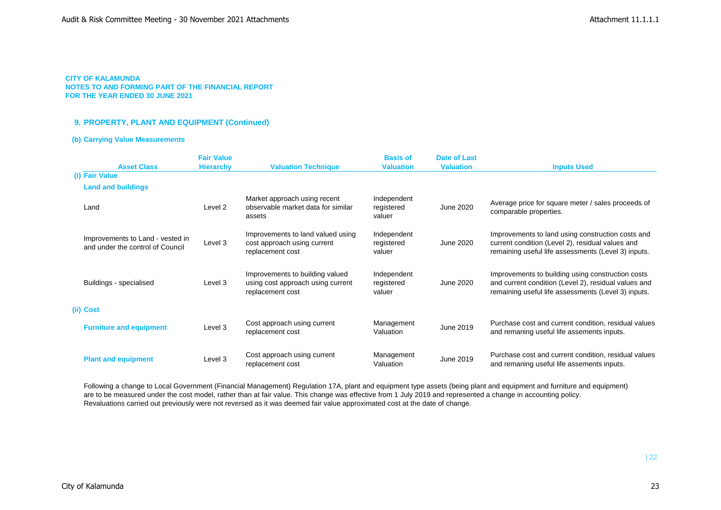### **CITY OF KALAMUNDA**

**NOTES TO AND FORMING PART OF THE FINANCIAL REPORT FOR THE YEAR ENDED 30 JUNE 2021**

## **9. PROPERTY, PLANT AND EQUIPMENT (Continued)**

### **(b) Carrying Value Measurements**

| <b>Asset Class</b>                                                   | <b>Fair Value</b><br><b>Hierarchy</b> | <b>Valuation Technique</b>                                                               | <b>Basis of</b><br><b>Valuation</b> | <b>Date of Last</b><br><b>Valuation</b> | <b>Inputs Used</b>                                                                                                                                               |
|----------------------------------------------------------------------|---------------------------------------|------------------------------------------------------------------------------------------|-------------------------------------|-----------------------------------------|------------------------------------------------------------------------------------------------------------------------------------------------------------------|
| (i) Fair Value                                                       |                                       |                                                                                          |                                     |                                         |                                                                                                                                                                  |
| <b>Land and buildings</b>                                            |                                       |                                                                                          |                                     |                                         |                                                                                                                                                                  |
| Land                                                                 | Level 2                               | Market approach using recent<br>observable market data for similar<br>assets             | Independent<br>registered<br>valuer | June 2020                               | Average price for square meter / sales proceeds of<br>comparable properties.                                                                                     |
| Improvements to Land - vested in<br>and under the control of Council | Level 3                               | Improvements to land valued using<br>cost approach using current<br>replacement cost     | Independent<br>registered<br>valuer | June 2020                               | Improvements to land using construction costs and<br>current condition (Level 2), residual values and<br>remaining useful life assessments (Level 3) inputs.     |
| Buildings - specialised                                              | Level 3                               | Improvements to building valued<br>using cost approach using current<br>replacement cost | Independent<br>registered<br>valuer | June 2020                               | Improvements to building using construction costs<br>and current condition (Level 2), residual values and<br>remaining useful life assessments (Level 3) inputs. |
| (ii) Cost                                                            |                                       |                                                                                          |                                     |                                         |                                                                                                                                                                  |
| <b>Furniture and equipment</b>                                       | Level 3                               | Cost approach using current<br>replacement cost                                          | Management<br>Valuation             | June 2019                               | Purchase cost and current condition, residual values<br>and remaning useful life assements inputs.                                                               |
| <b>Plant and equipment</b>                                           | Level 3                               | Cost approach using current<br>replacement cost                                          | Management<br>Valuation             | June 2019                               | Purchase cost and current condition, residual values<br>and remaning useful life assements inputs.                                                               |

Following a change to Local Government (Financial Management) Regulation 17A, plant and equipment type assets (being plant and equipment and furniture and equipment) are to be measured under the cost model, rather than at fair value. This change was effective from 1 July 2019 and represented a change in accounting policy. Revaluations carried out previously were not reversed as it was deemed fair value approximated cost at the date of change.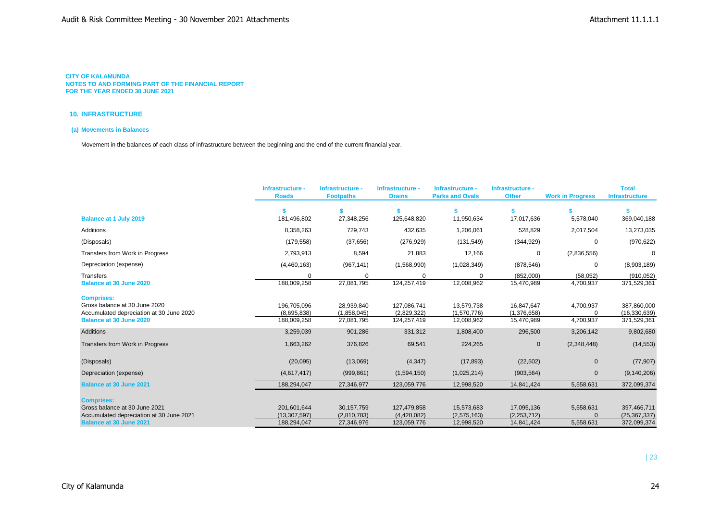### **10. INFRASTRUCTURE**

## **(a) Movements in Balances**

Movement in the balances of each class of infrastructure between the beginning and the end of the current financial year.

|                                                                                                | Infrastructure -<br><b>Roads</b> | Infrastructure -<br><b>Footpaths</b> | Infrastructure -<br><b>Drains</b> | Infrastructure -<br><b>Parks and Ovals</b> | Infrastructure -<br><b>Other</b> | <b>Work in Progress</b> | <b>Total</b><br><b>Infrastructure</b> |
|------------------------------------------------------------------------------------------------|----------------------------------|--------------------------------------|-----------------------------------|--------------------------------------------|----------------------------------|-------------------------|---------------------------------------|
|                                                                                                | \$                               |                                      |                                   | s.                                         |                                  |                         |                                       |
| <b>Balance at 1 July 2019</b>                                                                  | 181,496,802                      | 27,348,256                           | 125,648,820                       | 11,950,634                                 | 17,017,636                       | 5,578,040               | 369,040,188                           |
| <b>Additions</b>                                                                               | 8,358,263                        | 729,743                              | 432,635                           | 1,206,061                                  | 528,829                          | 2,017,504               | 13,273,035                            |
| (Disposals)                                                                                    | (179, 558)                       | (37,656)                             | (276, 929)                        | (131, 549)                                 | (344, 929)                       | $\Omega$                | (970, 622)                            |
| Transfers from Work in Progress                                                                | 2,793,913                        | 8,594                                | 21,883                            | 12,166                                     | 0                                | (2,836,556)             | 0                                     |
| Depreciation (expense)                                                                         | (4,460,163)                      | (967, 141)                           | (1,568,990)                       | (1,028,349)                                | (878, 546)                       | $\Omega$                | (8,903,189)                           |
| Transfers                                                                                      | $\Omega$                         | 0                                    | $\Omega$                          | $\Omega$                                   | (852,000)                        | (58,052)                | (910, 052)                            |
| Balance at 30 June 2020                                                                        | 188,009,258                      | 27,081,795                           | 124,257,419                       | 12,008,962                                 | 15,470,989                       | 4,700,937               | 371,529,361                           |
| <b>Comprises:</b><br>Gross balance at 30 June 2020<br>Accumulated depreciation at 30 June 2020 | 196,705,096<br>(8,695,838)       | 28,939,840<br>(1,858,045)            | 127,086,741<br>(2,829,322)        | 13,579,738<br>(1,570,776)                  | 16,847,647<br>(1,376,658)        | 4,700,937<br>$\Omega$   | 387,860,000<br>(16, 330, 639)         |
| Balance at 30 June 2020                                                                        | 188,009,258                      | 27,081,795                           | 124,257,419                       | 12,008,962                                 | 15,470,989                       | 4,700,937               | 371,529,361                           |
| <b>Additions</b>                                                                               | 3,259,039                        | 901,286                              | 331,312                           | 1,808,400                                  | 296,500                          | 3,206,142               | 9,802,680                             |
| Transfers from Work in Progress                                                                | 1,663,262                        | 376,826                              | 69,541                            | 224,265                                    | $\mathbf 0$                      | (2,348,448)             | (14, 553)                             |
| (Disposals)                                                                                    | (20,095)                         | (13,069)                             | (4, 347)                          | (17, 893)                                  | (22, 502)                        | $\mathbf{0}$            | (77, 907)                             |
| Depreciation (expense)                                                                         | (4,617,417)                      | (999, 861)                           | (1,594,150)                       | (1,025,214)                                | (903, 564)                       | $\mathbf{0}$            | (9, 140, 206)                         |
| <b>Balance at 30 June 2021</b>                                                                 | 188,294,047                      | 27,346,977                           | 123,059,776                       | 12,998,520                                 | 14,841,424                       | 5,558,631               | 372,099,374                           |
| <b>Comprises:</b>                                                                              |                                  |                                      |                                   |                                            |                                  |                         |                                       |
| Gross balance at 30 June 2021                                                                  | 201,601,644                      | 30,157,759                           | 127,479,858                       | 15,573,683                                 | 17,095,136                       | 5,558,631               | 397,466,711                           |
| Accumulated depreciation at 30 June 2021                                                       | (13, 307, 597)                   | (2,810,783)                          | (4,420,082)                       | (2,575,163)                                | (2, 253, 712)                    |                         | (25, 367, 337)                        |
| <b>Balance at 30 June 2021</b>                                                                 | 188,294,047                      | 27,346,976                           | 123,059,776                       | 12,998,520                                 | 14,841,424                       | 5,558,631               | 372,099,374                           |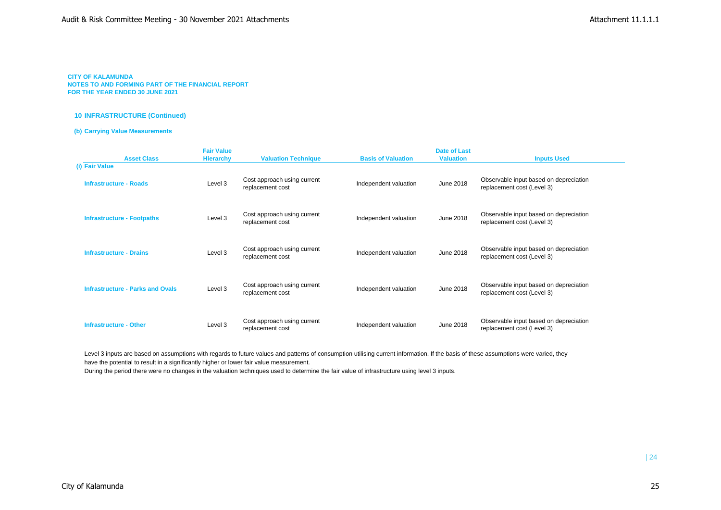### **10 INFRASTRUCTURE (Continued)**

### **(b) Carrying Value Measurements**

| <b>Asset Class</b>                      | <b>Fair Value</b><br><b>Hierarchy</b> | <b>Valuation Technique</b>                      | <b>Basis of Valuation</b> | <b>Date of Last</b><br><b>Valuation</b> | <b>Inputs Used</b>                                                   |
|-----------------------------------------|---------------------------------------|-------------------------------------------------|---------------------------|-----------------------------------------|----------------------------------------------------------------------|
| (i) Fair Value                          |                                       |                                                 |                           |                                         |                                                                      |
| <b>Infrastructure - Roads</b>           | Level 3                               | Cost approach using current<br>replacement cost | Independent valuation     | June 2018                               | Observable input based on depreciation<br>replacement cost (Level 3) |
| <b>Infrastructure - Footpaths</b>       | Level 3                               | Cost approach using current<br>replacement cost | Independent valuation     | June 2018                               | Observable input based on depreciation<br>replacement cost (Level 3) |
| <b>Infrastructure - Drains</b>          | Level 3                               | Cost approach using current<br>replacement cost | Independent valuation     | June 2018                               | Observable input based on depreciation<br>replacement cost (Level 3) |
| <b>Infrastructure - Parks and Ovals</b> | Level 3                               | Cost approach using current<br>replacement cost | Independent valuation     | June 2018                               | Observable input based on depreciation<br>replacement cost (Level 3) |
| <b>Infrastructure - Other</b>           | Level 3                               | Cost approach using current<br>replacement cost | Independent valuation     | June 2018                               | Observable input based on depreciation<br>replacement cost (Level 3) |

Level 3 inputs are based on assumptions with regards to future values and patterns of consumption utilising current information. If the basis of these assumptions were varied, they have the potential to result in a significantly higher or lower fair value measurement.

During the period there were no changes in the valuation techniques used to determine the fair value of infrastructure using level 3 inputs.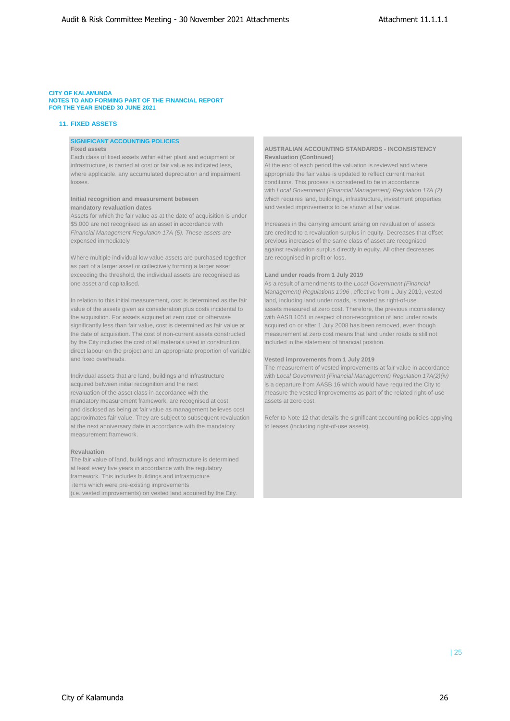### **CITY OF KALAMUNDA**

**NOTES TO AND FORMING PART OF THE FINANCIAL REPORT FOR THE YEAR ENDED 30 JUNE 2021**

## **11. FIXED ASSETS**

# **SIGNIFICANT ACCOUNTING POLICIES**

Each class of fixed assets within either plant and equipment or **Revaluation (Continued)** infrastructure, is carried at cost or fair value as indicated less, At the end of each period the valuation is reviewed and where where applicable, any accumulated depreciation and impairment appropriate the fair value is updated to reflect current market

Assets for which the fair value as at the date of acquisition is under \$5,000 are not recognised as an asset in accordance with Increases in the carrying amount arising on revaluation of assets expensed immediately previous increases of the same class of asset are recognised

Where multiple individual low value assets are purchased together are recognised in profit or loss. as part of a larger asset or collectively forming a larger asset exceeding the threshold, the individual assets are recognised as **Land under roads from 1 July 2019** one asset and capitalised. As a result of amendments to the *Local Government (Financial* 

the acquisition. For assets acquired at zero cost or otherwise with AASB 1051 in respect of non-recognition of land under roads significantly less than fair value, cost is determined as fair value at acquired on or after 1 July 2008 has been removed, even though the date of acquisition. The cost of non-current assets constructed measurement at zero cost means that land under roads is still not by the City includes the cost of all materials used in construction, included in the statement of financial position. direct labour on the project and an appropriate proportion of variable and fixed overheads. **Vested improvements from 1 July 2019**

acquired between initial recognition and the next is a departure from AASB 16 which would have required the City to mandatory measurement framework, are recognised at cost assets at zero cost. and disclosed as being at fair value as management believes cost approximates fair value. They are subject to subsequent revaluation Refer to Note 12 that details the significant accounting policies applying at the next anniversary date in accordance with the mandatory to leases (including right-of-use assets). measurement framework.

#### **Revaluation**

The fair value of land, buildings and infrastructure is determined at least every five years in accordance with the regulatory framework. This includes buildings and infrastructure items which were pre-existing improvements (i.e. vested improvements) on vested land acquired by the City.

# **Fixed assets AUSTRALIAN ACCOUNTING STANDARDS - INCONSISTENCY**

losses. conditions. This process is considered to be in accordance with *Local Government (Financial Management) Regulation 17A (2)*  **Initial recognition and measurement between** which requires land, buildings, infrastructure, investment properties **mandatory revaluation dates** and vested improvements to be shown at fair value.

*Financial Management Regulation 17A (5). These assets are* are credited to a revaluation surplus in equity. Decreases that offset against revaluation surplus directly in equity. All other decreases

*Management) Regulations 1996* , effective from 1 July 2019, vested In relation to this initial measurement, cost is determined as the fair and, including land under roads, is treated as right-of-use value of the assets given as consideration plus costs incidental to assets measured at zero cost. Therefore, the previous inconsistency

The measurement of vested improvements at fair value in accordance Individual assets that are land, buildings and infrastructure with *Local Government (Financial Management) Regulation 17A(2)(iv)*  revaluation of the asset class in accordance with the measure the vested improvements as part of the related right-of-use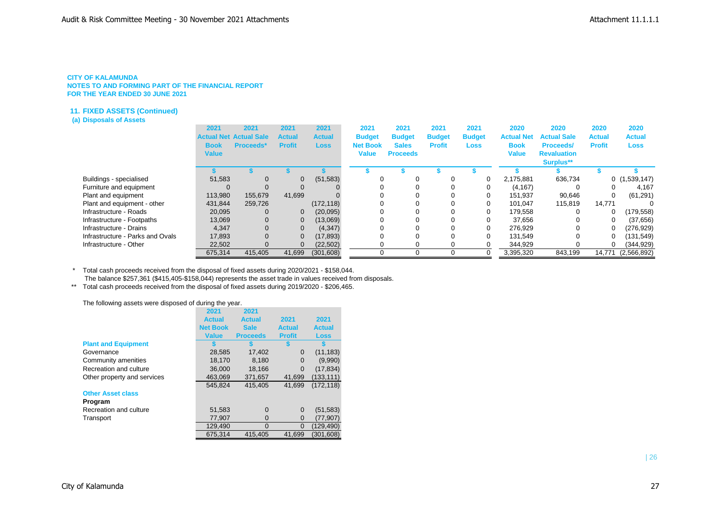## **11. FIXED ASSETS (Continued)**

## **(a) Disposals of Assets**

|                                  | 2021<br><b>Book</b><br><b>Value</b> | 2021<br><b>Actual Net Actual Sale</b><br><b>Proceeds*</b> | 2021<br><b>Actual</b><br><b>Profit</b> | 2021<br><b>Actual</b><br><b>Loss</b> | 2021<br><b>Budget</b><br><b>Net Book</b><br><b>Value</b> | 2021<br><b>Budget</b><br><b>Sales</b><br><b>Proceeds</b> | 2021<br><b>Budget</b><br><b>Profit</b> | 2021<br><b>Budget</b><br><b>Loss</b> | 2020<br><b>Actual Net</b><br><b>Book</b><br>Value | 2020<br><b>Actual Sale</b><br><b>Proceeds/</b><br><b>Revaluation</b><br><b>Surplus**</b> | 2020<br><b>Actual</b><br><b>Profit</b> | 2020<br><b>Actual</b><br><b>Loss</b> |
|----------------------------------|-------------------------------------|-----------------------------------------------------------|----------------------------------------|--------------------------------------|----------------------------------------------------------|----------------------------------------------------------|----------------------------------------|--------------------------------------|---------------------------------------------------|------------------------------------------------------------------------------------------|----------------------------------------|--------------------------------------|
|                                  |                                     |                                                           |                                        |                                      |                                                          |                                                          |                                        |                                      |                                                   |                                                                                          |                                        |                                      |
| Buildings - specialised          | 51,583                              |                                                           | 0                                      | (51, 583)                            |                                                          |                                                          |                                        | 0                                    | 2.175.881                                         | 636,734                                                                                  |                                        | 0(1,539,147)                         |
| Furniture and equipment          |                                     |                                                           |                                        |                                      |                                                          |                                                          |                                        |                                      | (4, 167)                                          |                                                                                          |                                        | 4,167                                |
| Plant and equipment              | 113,980                             | 155.679                                                   | 41.699                                 |                                      |                                                          |                                                          |                                        |                                      | 151,937                                           | 90,646                                                                                   | 0                                      | (61, 291)                            |
| Plant and equipment - other      | 431,844                             | 259,726                                                   |                                        | (172, 118)                           |                                                          |                                                          |                                        | 0                                    | 101.047                                           | 115,819                                                                                  | 14.771                                 |                                      |
| Infrastructure - Roads           | 20,095                              |                                                           | 0                                      | (20,095)                             |                                                          |                                                          |                                        |                                      | 179,558                                           |                                                                                          | 0                                      | (179, 558)                           |
| Infrastructure - Footpaths       | 13,069                              |                                                           | $\mathbf 0$                            | (13,069)                             |                                                          |                                                          |                                        |                                      | 37.656                                            |                                                                                          |                                        | (37,656)                             |
| Infrastructure - Drains          | 4.347                               |                                                           | $\mathbf{0}$                           | (4, 347)                             |                                                          |                                                          |                                        |                                      | 276.929                                           |                                                                                          | 0                                      | (276, 929)                           |
| Infrastructure - Parks and Ovals | 17.893                              |                                                           | 0                                      | (17, 893)                            |                                                          |                                                          |                                        |                                      | 131.549                                           |                                                                                          |                                        | (131,549)                            |
| Infrastructure - Other           | 22,502                              |                                                           | 0                                      | (22, 502)                            |                                                          |                                                          |                                        |                                      | 344,929                                           |                                                                                          | 0                                      | (344, 929)                           |
|                                  | 675.314                             | 415.405                                                   | 41.699                                 | (301, 608)                           |                                                          |                                                          |                                        |                                      | 3,395,320                                         | 843.199                                                                                  | 14.771                                 | (2,566,892)                          |

\* Total cash proceeds received from the disposal of fixed assets during 2020/2021 - \$158,044.

The balance \$257,361 (\$415,405-\$158,044) represents the asset trade in values received from disposals.

\*\* Total cash proceeds received from the disposal of fixed assets during 2019/2020 - \$206,465.

The following assets were disposed of during the year.

|                             | 2021            | 2021            |               |               |
|-----------------------------|-----------------|-----------------|---------------|---------------|
|                             | <b>Actual</b>   | <b>Actual</b>   | 2021          | 2021          |
|                             | <b>Net Book</b> | <b>Sale</b>     | Actual        | <b>Actual</b> |
|                             | <b>Value</b>    | <b>Proceeds</b> | <b>Profit</b> | <b>Loss</b>   |
| <b>Plant and Equipment</b>  |                 |                 |               |               |
| Governance                  | 28,585          | 17,402          | $\Omega$      | (11, 183)     |
| Community amenities         | 18.170          | 8.180           | $\Omega$      | (9,990)       |
| Recreation and culture      | 36,000          | 18,166          | $\Omega$      | (17, 834)     |
| Other property and services | 463.069         | 371.657         | 41.699        | (133.111)     |
|                             | 545.824         | 415.405         | 41.699        | (172, 118)    |
| <b>Other Asset class</b>    |                 |                 |               |               |
| Program                     |                 |                 |               |               |
| Recreation and culture      | 51,583          | $\Omega$        | $\Omega$      | (51, 583)     |
| Transport                   | 77,907          | 0               | 0             | (77,907)      |
|                             | 129,490         | $\Omega$        | $\Omega$      | (129, 490)    |
|                             | 675.314         | 415.405         | 41.699        | (301.608)     |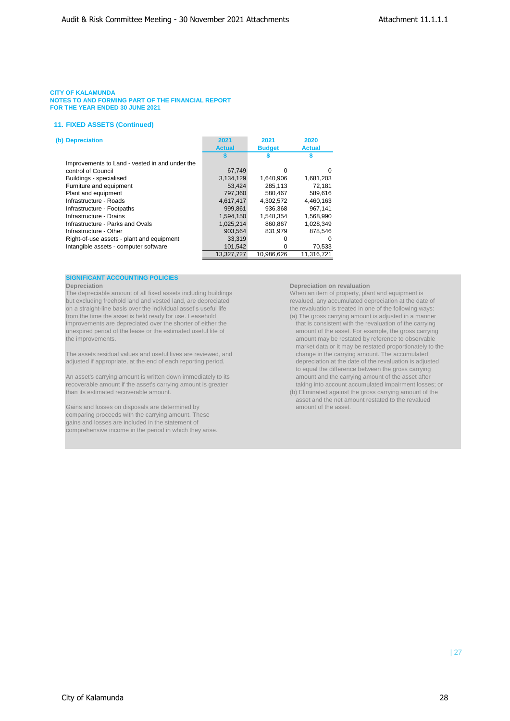### **11. FIXED ASSETS (Continued)**

| (b) Depreciation                               | 2021          | 2021          | 2020          |
|------------------------------------------------|---------------|---------------|---------------|
|                                                | <b>Actual</b> | <b>Budget</b> | <b>Actual</b> |
|                                                |               |               |               |
| Improvements to Land - vested in and under the |               |               |               |
| control of Council                             | 67,749        | 0             | 0             |
| Buildings - specialised                        | 3.134.129     | 1.640.906     | 1,681,203     |
| Furniture and equipment                        | 53.424        | 285.113       | 72.181        |
| Plant and equipment                            | 797,360       | 580.467       | 589.616       |
| Infrastructure - Roads                         | 4.617.417     | 4.302.572     | 4.460.163     |
| Infrastructure - Footpaths                     | 999.861       | 936.368       | 967.141       |
| Infrastructure - Drains                        | 1,594,150     | 1,548,354     | 1,568,990     |
| Infrastructure - Parks and Ovals               | 1.025.214     | 860.867       | 1.028.349     |
| Infrastructure - Other                         | 903.564       | 831.979       | 878.546       |
| Right-of-use assets - plant and equipment      | 33,319        |               | $\Omega$      |
| Intangible assets - computer software          | 101,542       | 0             | 70,533        |
|                                                | 13.327.727    | 10,986,626    | 11.316.721    |

## **SIGNIFICANT ACCOUNTING POLICIES**

**Depreciation**<br> **Depreciation on revaluation**<br> **Depreciation on revaluation**<br>
When an item of property, plant and equipment is The depreciable amount of all fixed assets including buildings When an item of property, plant and equipment is<br>
but excluding freehold land and vested land, are depreciated revalued, any accumulated depreciation at the da but excluding freehold land and vested land, are depreciated on a straight-line basis over the individual asset's useful life the revaluation is treated in one of the following ways: from the time the asset is held ready for use. Leasehold (a) The gross carrying amount is adjusted in a manner improvements are depreciated over the shorter of either the that is consistent with the revaluation of the carrying<br>unexpired period of the lease or the estimated useful life of amount of the asset. For example, the gross unexpired period of the lease or the estimated useful life of the improvements. The improvements of the improvements of the improvements of the improvements of the improvements of the improvements of the improvements of the improvements of the improvements of the improvements of the

The assets residual values and useful lives are reviewed, and change in the carrying amount. The accumulated adjusted if appropriate, at the end of each reporting period. depreciation at the date of the revaluation is adjusted

An asset's carrying amount is written down immediately to its amount and the carrying amount of the asset after<br>
recoverable amount if the asset's carrying amount is greater the stating into account accumulated impairment recoverable amount if the asset's carrying amount is greater than its estimated recoverable amount.

Gains and losses on disposals are determined by amount of the asset. comparing proceeds with the carrying amount. These gains and losses are included in the statement of comprehensive income in the period in which they arise.

- market data or it may be restated proportionately to the to equal the difference between the gross carrying
- $(b)$  Eliminated against the gross carrying amount of the asset and the net amount restated to the revalued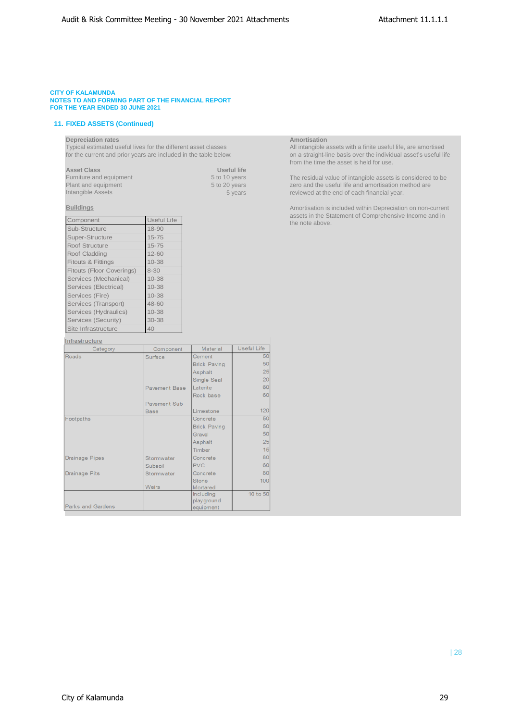## **11. FIXED ASSETS (Continued)**

Typical estimated useful lives for the different asset classes All intangible assets with a finite useful life, are amortised

| <b>Asset Class</b>      | Useful life   |
|-------------------------|---------------|
| Furniture and equipment | 5 to 10 years |
| Plant and equipment     | 5 to 20 years |
| Intangible Assets       | 5 years       |

| Component                        | <b>Useful Life</b> |
|----------------------------------|--------------------|
| Sub-Structure                    | $18 - 90$          |
| Super-Structure                  | $15 - 75$          |
| Roof Structure                   | $15 - 75$          |
| Roof Cladding                    | $12 - 60$          |
| <b>Fitouts &amp; Fittings</b>    | $10 - 38$          |
| <b>Fitouts (Floor Coverings)</b> | $8 - 30$           |
| Services (Mechanical)            | $10 - 38$          |
| Services (Electrical)            | $10 - 38$          |
| Services (Fire)                  | $10 - 38$          |
| Services (Transport)             | 48-60              |
| Services (Hydraulics)            | $10 - 38$          |
| Services (Security)              | 30-38              |
| Site Infrastructure              | 40                 |

### Infrastructure

| Category                 | Component            | Material            | Useful Life |
|--------------------------|----------------------|---------------------|-------------|
| <b>Roads</b>             | Surface              | Cement              | 50          |
|                          |                      | <b>Brick Paving</b> | 50          |
|                          |                      | Asphalt             | 25          |
|                          |                      | Single Seal         | 20          |
|                          | <b>Pavement Base</b> | Laterite            | 60          |
|                          |                      | Rock base           | 60          |
|                          | <b>Pavement Sub</b>  |                     |             |
|                          | <b>Base</b>          | Limestone           | 120         |
| Footpaths                |                      | Concrete            | 50          |
|                          |                      | <b>Brick Paving</b> | 50          |
|                          |                      | Gravel              | 50          |
|                          |                      | Asphalt             | 25          |
|                          |                      | Timber              | 15          |
| <b>Drainage Pipes</b>    | Stormwater           | Concrete            | 80          |
|                          | Subsoil              | <b>PVC</b>          | 60          |
| <b>Drainage Pits</b>     | Stormwater           | Concrete            | 80          |
|                          |                      | <b>Stone</b>        | 100         |
|                          | <b>Weirs</b>         | Mortared            |             |
|                          |                      | <b>Including</b>    | 10 to 50    |
|                          |                      | playground          |             |
| <b>Parks and Gardens</b> |                      | equipment           |             |

**Depreciation rates**<br> **Depreciation rates**<br> **Depreciation rates**<br> **All intangible assets with a finite useful life, are amortised<br>
for the current and prior years are included in the table below:<br>
<b>All intangible assets wi** for the current and prior years are included in the table below: on a straight-line basis over the individual asset's useful life from the time the asset is held for use.

> 5 to 10 years The residual value of intangible assets is considered to be 5 to 20 years zero and the useful life and amortisation method are Plant 20 years zero and the useful life and amortisation method are<br>5 years zero and the end of each financial year. reviewed at the end of each financial year.

**Buildings Amortisation is included within Depreciation on non-current Amortisation is included within Depreciation on non-current** assets in the Statement of Comprehensive Income and in the note above.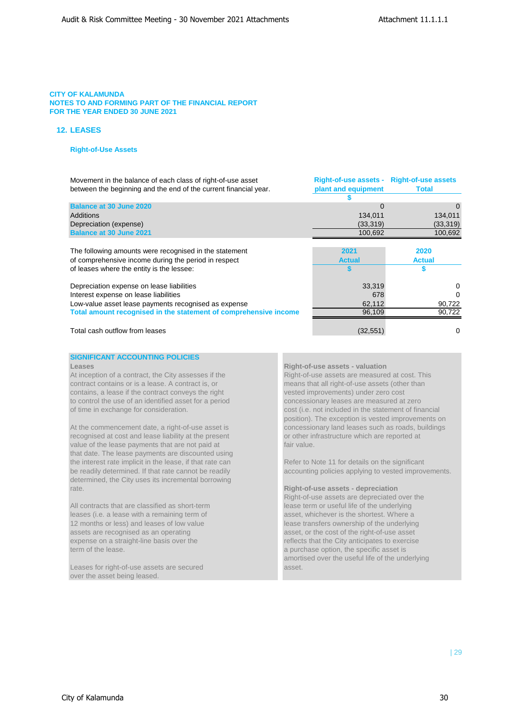**Right-of-use assets - Right-of-use assets**

## **CITY OF KALAMUNDA NOTES TO AND FORMING PART OF THE FINANCIAL REPORT FOR THE YEAR ENDED 30 JUNE 2021**

## **12. LEASES**

## **Right-of-Use Assets**

Movement in the balance of each class of right-of-use asset between the beginning and the end of the current financial year.

| between the beginning and the end of the current financial year. | plant and equipment | Total         |
|------------------------------------------------------------------|---------------------|---------------|
|                                                                  |                     |               |
| <b>Balance at 30 June 2020</b>                                   | $\Omega$            | 0             |
| Additions                                                        | 134,011             | 134,011       |
| Depreciation (expense)                                           | (33, 319)           | (33, 319)     |
| <b>Balance at 30 June 2021</b>                                   | 100,692             | 100,692       |
|                                                                  |                     |               |
| The following amounts were recognised in the statement           | 2021                | 2020          |
| of comprehensive income during the period in respect             | <b>Actual</b>       | <b>Actual</b> |
| of leases where the entity is the lessee:                        |                     |               |
| Depreciation expense on lease liabilities                        | 33,319              | 0             |
| Interest expense on lease liabilities                            | 678                 | 0             |
| Low-value asset lease payments recognised as expense             | 62,112              | 90,722        |
| Total amount recognised in the statement of comprehensive income | 96,109              | 90,722        |
|                                                                  |                     |               |
| Total cash outflow from leases                                   | (32, 551)           | 0             |

## **SIGNIFICANT ACCOUNTING POLICIES**

At inception of a contract, the City assesses if the Right-of-use assets are measured at cost. This contract contains or is a lease. A contract is, or means that all right-of-use assets (other than contains, a lease if the contract conveys the right vested improvements) under zero cost to control the use of an identified asset for a period concessionary leases are measured at zero of time in exchange for consideration. cost (i.e. not included in the statement of financial

recognised at cost and lease liability at the present or other infrastructure which are reported at value of the lease payments that are not paid at **fair value.** fair value. that date. The lease payments are discounted using the interest rate implicit in the lease, if that rate can Refer to Note 11 for details on the significant determined, the City uses its incremental borrowing rate. **Right-of-use assets - depreciation**

All contracts that are classified as short-term **in the underlying** lease term or useful life of the underlying leases (i.e. a lease with a remaining term of asset, whichever is the shortest. Where a 12 months or less) and leases of low value leases of low value lease transfers ownership of the underlying assets are recognised as an operating asset, or the cost of the right-of-use asset expense on a straight-line basis over the reflects that the City anticipates to exercise term of the lease. a purchase option, the specific asset is

Leases for right-of-use assets are secured assets are secured asset. over the asset being leased.

### **Leases Right-of-use assets - valuation**

position). The exception is vested improvements on At the commencement date, a right-of-use asset is concessionary land leases such as roads, buildings

be readily determined. If that rate cannot be readily accounting policies applying to vested improvements.

Right-of-use assets are depreciated over the asset, or the cost of the right-of-use asset amortised over the useful life of the underlying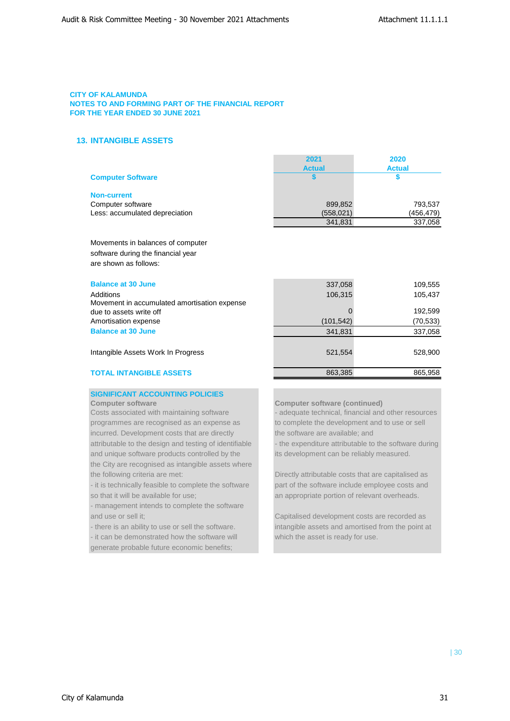## **13. INTANGIBLE ASSETS**

|                                | 2021          | 2020          |
|--------------------------------|---------------|---------------|
|                                | <b>Actual</b> | <b>Actual</b> |
| <b>Computer Software</b>       |               |               |
| <b>Non-current</b>             |               |               |
| Computer software              | 899,852       | 793,537       |
| Less: accumulated depreciation | (558, 021)    | (456,479)     |
|                                | 341,831       | 337,058       |

Movements in balances of computer software during the financial year are shown as follows:

## **Balance at 30 June 109,555** 109,555

| Additions                                    | 106.315   | 105.437   |
|----------------------------------------------|-----------|-----------|
| Movement in accumulated amortisation expense |           |           |
| due to assets write off                      |           | 192.599   |
| Amortisation expense                         | (101.542) | (70, 533) |
| <b>Balance at 30 June</b>                    | 341.831   | 337,058   |

Intangible Assets Work In Progress 628,900 and 528,900 528,900 528,900

## **TOTAL INTANGIBLE ASSETS** 863,385 865,958

## **SIGNIFICANT ACCOUNTING POLICIES**

Costs associated with maintaining software - adequate technical, financial and other resources programmes are recognised as an expense as to complete the development and to use or sell incurred. Development costs that are directly the software are available; and and unique software products controlled by the its development can be reliably measured. the City are recognised as intangible assets where the following criteria are met: Directly attributable costs that are capitalised as

so that it will be available for use; an appropriate portion of relevant overheads.

- management intends to complete the software and use or sell it; Capitalised development costs are recorded as

- it can be demonstrated how the software will which the asset is ready for use. generate probable future economic benefits;

## **Computer software Computer software (continued)**

attributable to the design and testing of identifiable - the expenditure attributable to the software during

- it is technically feasible to complete the software part of the software include employee costs and

- there is an ability to use or sell the software. intangible assets and amortised from the point at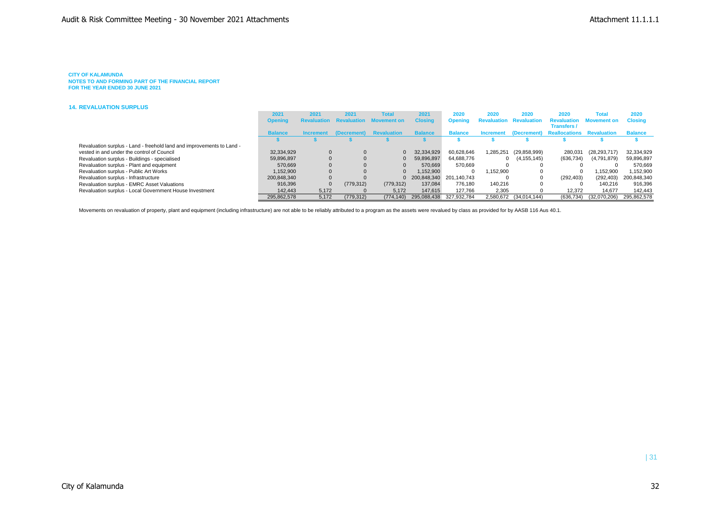### **CITY OF KALAMUNDA**

**NOTES TO AND FORMING PART OF THE FINANCIAL REPORT FOR THE YEAR ENDED 30 JUNE 2021**

#### **14. REVALUATION SURPLUS**

|                                                                       | 2021           | 2021     | 2021                              | <b>Tota</b>                                | 2021                      | 2020                    | 2020        | 2020                   | 2020                                            | Total                          | 2020           |
|-----------------------------------------------------------------------|----------------|----------|-----------------------------------|--------------------------------------------|---------------------------|-------------------------|-------------|------------------------|-------------------------------------------------|--------------------------------|----------------|
|                                                                       | <b>Opening</b> |          |                                   | <b>Revaluation Revaluation Movement on</b> | <b>Closing</b>            | <b>Opening</b>          | Revaluation | <b>Revaluation</b>     | <b>Transfers /</b>                              | <b>Revaluation Movement on</b> | <b>Closing</b> |
|                                                                       | <b>Balance</b> |          | Increment (Decrement) Revaluation |                                            | <b>Balance</b>            | <b>Balance</b>          |             |                        | Increment (Decrement) Reallocations Revaluation |                                | <b>Balance</b> |
|                                                                       |                |          |                                   |                                            |                           |                         |             |                        |                                                 |                                |                |
| Revaluation surplus - Land - freehold land and improvements to Land - |                |          |                                   |                                            |                           |                         |             |                        |                                                 |                                |                |
| vested in and under the control of Council                            | 32,334,929     |          |                                   |                                            | 32.334.929                | 60.628.646              | .285.251    | (29, 858, 999)         | 280,031                                         | (28,293,717)                   | 32,334,929     |
| Revaluation surplus - Buildings - specialised                         | 59,896,897     |          |                                   |                                            | 59,896,897                | 64.688.776              |             | 0(4.155.145)           | (636, 734)                                      | (4,791,879)                    | 59,896,897     |
| Revaluation surplus - Plant and equipment                             | 570.669        |          |                                   |                                            | 570.669                   | 570.669                 |             |                        |                                                 |                                | 570.669        |
| Revaluation surplus - Public Art Works                                | 1.152.900      |          |                                   |                                            | 1.152.900                 |                         | 1.152.900   |                        |                                                 | 1.152.900                      | 1.152.900      |
| Revaluation surplus - Infrastructure                                  | 200.848.340    |          |                                   |                                            | 0 200.848.340 201.140.743 |                         |             | 0                      | (292.403)                                       | (292, 403)                     | 200.848.340    |
| Revaluation surplus - EMRC Asset Valuations                           | 916.396        | $\Omega$ | (779, 312)                        | (779, 312)                                 | 137.084                   | 776.180                 | 140.216     | 0                      |                                                 | 140.216                        | 916.396        |
| Revaluation surplus - Local Government House Investment               | 142,443        | 5,172    |                                   | 5,172                                      | 147.615                   | 127.766                 | 2,305       |                        | 12.372                                          | 14.677                         | 142.443        |
|                                                                       | 295,862,578    | 5.172    | (779, 312)                        | (774.140)                                  |                           | 295.088.438 327.932.784 |             | 2,580,672 (34,014,144) | (636, 734)                                      | (32.070.206)                   | 295.862.578    |

Movements on revaluation of property, plant and equipment (including infrastructure) are not able to be reliably attributed to a program as the assets were revalued by class as provided for by AASB 116 Aus 40.1.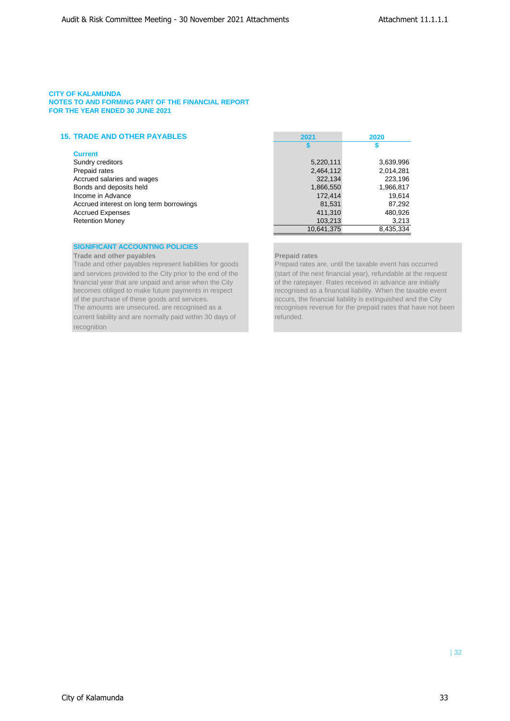## **15. TRADE AND OTHER PAYABLES 2021 2020**

### **Current**

| Sundry creditors                         |
|------------------------------------------|
| Prepaid rates                            |
| Accrued salaries and wages               |
| Bonds and deposits held                  |
| Income in Advance                        |
| Accrued interest on long term borrowings |
| <b>Accrued Expenses</b>                  |
| <b>Retention Monev</b>                   |

## **SIGNIFICANT ACCOUNTING POLICIES**

**Trade and other payables** *Prepaid rates* **Prepaid rates** 

Trade and other payables represent liabilities for goods Prepaid rates are, until the taxable event has occurred current liability and are normally paid within 30 days of refunded. recognition

| <b>TRADE AND OTHER PAYABLES</b>          | 2021       | 2020      |  |  |
|------------------------------------------|------------|-----------|--|--|
|                                          |            |           |  |  |
| <b>Current</b>                           |            |           |  |  |
| Sundry creditors                         | 5,220,111  | 3,639,996 |  |  |
| Prepaid rates                            | 2,464,112  | 2,014,281 |  |  |
| Accrued salaries and wages               | 322,134    | 223,196   |  |  |
| Bonds and deposits held                  | 1,866,550  | 1,966,817 |  |  |
| Income in Advance                        | 172,414    | 19,614    |  |  |
| Accrued interest on long term borrowings | 81,531     | 87,292    |  |  |
| <b>Accrued Expenses</b>                  | 411,310    | 480,926   |  |  |
| <b>Retention Money</b>                   | 103,213    | 3,213     |  |  |
|                                          | 10,641,375 | 8,435,334 |  |  |

and services provided to the City prior to the end of the (start of the next financial year), refundable at the request financial year that are unpaid and arise when the City of the ratepayer. Rates received in advance are of the ratepayer. Rates received in advance are initially becomes obliged to make future payments in respect recognised as a financial liability. When the taxable event of the purchase of these goods and services. occurs, the financial liability is extinguished and the City The amounts are unsecured, are recognised as a recognises revenue for the prepaid rates that have not been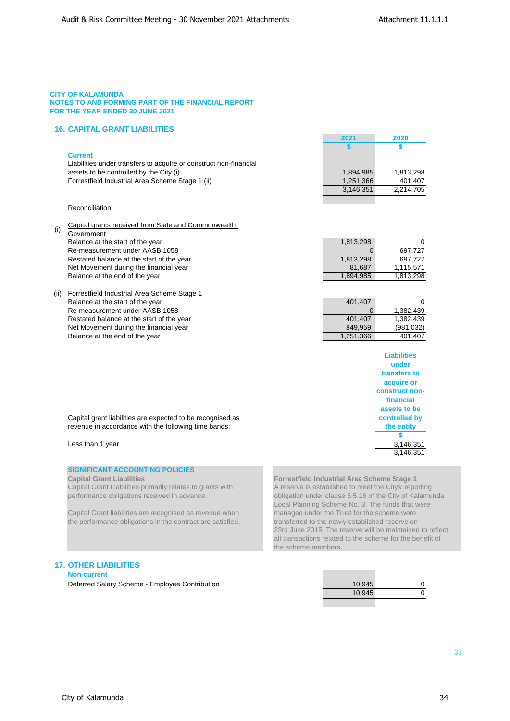## **16. CAPITAL GRANT LIABILITIES**

## **Current**

| Current                                                           |           |           |
|-------------------------------------------------------------------|-----------|-----------|
| Liabilities under transfers to acquire or construct non-financial |           |           |
| assets to be controlled by the City (i)                           | 1.894.985 | 1.813.298 |
| Forrestfield Industrial Area Scheme Stage 1 (ii)                  | 1.251.366 | 401.407   |
|                                                                   | 3.146.351 | 2,214,705 |

## Reconciliation

- (i) Capital grants received from State and Commonwealth **Government** Balance at the start of the year Re-measurement under AASB 1058 Restated balance at the start of the year Net Movement during the financial year Balance at the end of the year 1,894,985 1,813,298
- (ii) Forrestfield Industrial Area Scheme Stage 1 Balance at the start of the year Re-measurement under AASB 1058 Restated balance at the start of the year Net Movement during the financial year Balance at the end of the year

| 1,813,298 | ∩         |
|-----------|-----------|
| 0         | 697.727   |
| 1,813,298 | 697.727   |
| 81,687    | 1,115,571 |
| 00100E    | 1.012.200 |

**2021 2020 \$ \$**

| 401,407   | O          |
|-----------|------------|
| 0         | 1,382,439  |
| 401.407   | 1,382,439  |
| 849.959   | (981, 032) |
| 1,251,366 | 401,407    |
|           |            |

| Liabilities           |
|-----------------------|
| under                 |
| transfers to          |
| acquire or            |
| <b>construct non-</b> |
| financial             |
| assets to be          |
| controlled by         |
| the entity            |
| \$                    |
| 3,146,351             |
| 3.146.351             |

Capital grant liabilities are expected to be recognised as revenue in accordance with the following time bands:

### Less than 1 year

## **SIGNIFICANT ACCOUNTING POLICIES**

Capital Grant Liabilities primarily relates to grants with A reserve is established to meet the Citys' reporting

Capital Grant liabilities are recognised as revenue when the performance obligations in the contract are satisfied. The transferred to the newly established reserve on

**Capital Grant Liabilities Forrestfield Industrial Area Scheme Stage 1**  performance obligations received in advance. obligation under clause 6.5.16 of the City of Kalamunda Local Planning Scheme No. 3. The funds that were<br>managed under the Trust for the scheme were 23rd June 2015. The reserve will be maintained to reflect all transactions related to the scheme for the benefit of the scheme members.

## **17. OTHER LIABILITIES**

**Non-current**

Deferred Salary Scheme - Employee Contribution

| 10,945 |  |
|--------|--|
| 10,945 |  |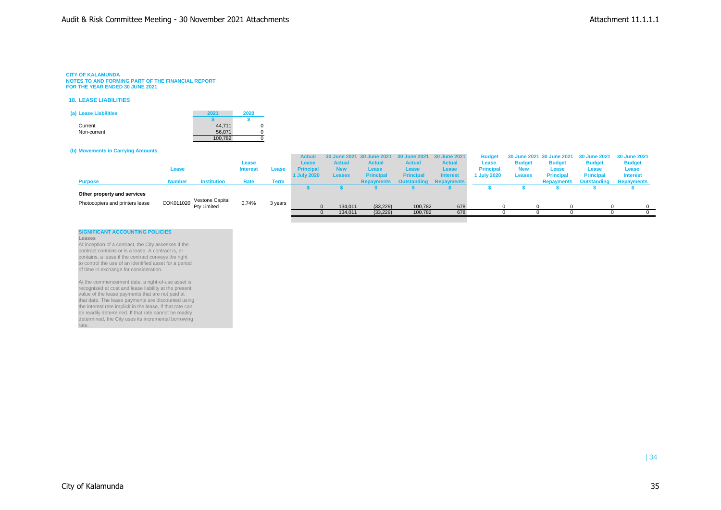#### **CITY OF KALAMUNDA**

**NOTES TO AND FORMING PART OF THE FINANCIAL REPORT FOR THE YEAR ENDED 30 JUNE 2021**

#### **18. LEASE LIABILITIES**

| (a) Lease Liabilities | 2021    | 2020 |  |
|-----------------------|---------|------|--|
|                       |         |      |  |
| Current               | 44.711  |      |  |
| Non-current           | 56.071  |      |  |
|                       | 100.782 |      |  |

#### **(b) Movements in Carrying Amounts**

|                                 |               |                    |                 |         | <b>Actual</b>    |               |                  |                  | 30 June 2021 30 June 2021 30 June 2021 30 June 2021 |                  |               | Budget 30 June 2021 30 June 2021 30 June 2021 30 June 2021 |                               |                 |
|---------------------------------|---------------|--------------------|-----------------|---------|------------------|---------------|------------------|------------------|-----------------------------------------------------|------------------|---------------|------------------------------------------------------------|-------------------------------|-----------------|
|                                 |               |                    | Lease           |         | Lease            | <b>Actual</b> | <b>Actual</b>    | <b>Actual</b>    | <b>Actual</b>                                       | Lease            | <b>Budget</b> | <b>Budget</b>                                              | <b>Budget</b>                 | <b>Budget</b>   |
|                                 | Lease         |                    | <b>Interest</b> | Lease   | <b>Principal</b> | <b>New</b>    | Lease            | Lease            | <b>Lease</b>                                        | <b>Principal</b> | <b>New</b>    | Lease                                                      | Lease                         | Lease           |
|                                 |               |                    |                 |         | 1 July 2020      | <b>Leases</b> | <b>Principal</b> | <b>Principal</b> | <b>Interest</b>                                     | 1 July 2020      | <b>Leases</b> | <b>Principal</b>                                           | <b>Principal</b>              | <b>Interest</b> |
| <b>Purpose</b>                  | <b>Number</b> | <b>Institution</b> | Rate            | Term    |                  |               |                  |                  | <b>Repayments Outstanding Repayments</b>            |                  |               | <b>Repayments</b>                                          | <b>Outstanding Repayments</b> |                 |
|                                 |               |                    |                 |         |                  |               |                  |                  |                                                     |                  |               |                                                            |                               |                 |
| Other property and services     |               |                    |                 |         |                  |               |                  |                  |                                                     |                  |               |                                                            |                               |                 |
| Photocopiers and printers lease | COK011020     | Vestone Capital    | 0.74%           | 3 years |                  |               |                  |                  |                                                     |                  |               |                                                            |                               |                 |
|                                 |               | Pty Limited        |                 |         |                  | 134,011       | (33, 229)        | 100,782          | 678                                                 |                  |               |                                                            |                               |                 |
|                                 |               |                    |                 |         |                  | 134,011       | (33, 229)        | 100,782          | 678                                                 |                  |               |                                                            |                               |                 |
|                                 |               |                    |                 |         |                  |               |                  |                  |                                                     |                  |               |                                                            |                               |                 |

#### **SIGNIFICANT ACCOUNTING POLICIES**

**Leases**

At inception of a contract, the City assesses if the contract contains or is a lease. A contract is, or contains, a lease if the contract conveys the right to control the use of an identified asset for a period of time in exchange for consideration.

At the commencement date, a right-of-use asset is recognised at cost and lease liability at the present value of the lease payments that are not paid at that date. The lease payments are discounted using the interest rate implicit in the lease, if that rate can be readily determined. If that rate cannot be readily determined, the City uses its incremental borrowing rate.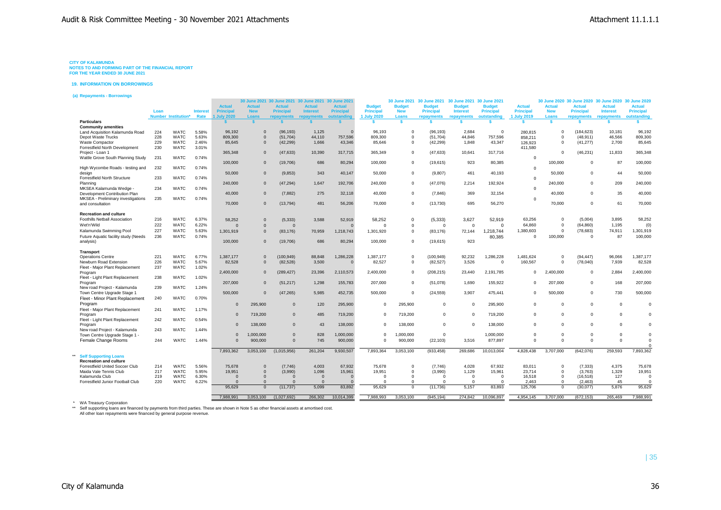**19. INFORMATION ON BORROWINGS**

**(a) Repayments - Borrowings**

|                                                                                                                                          | Loan       | <b>Number Institution*</b> | <b>Interest</b><br>Rate | <b>Actual</b><br><b>Principal</b><br><b>July 2020</b> | <b>Actual</b><br><b>New</b><br>Loans | 30 June 2021 30 June 2021 30 June 2021 30 June 2021<br><b>Actual</b><br><b>Principal</b> | <b>Actual</b><br><b>Interest</b><br>repayments | <b>Actual</b><br><b>Principal</b><br>outstanding | <b>Budget</b><br><b>Principal</b><br>1 July 2020 | 30 June 2021<br><b>Budget</b><br><b>New</b><br>Loans | 30 June 2021<br><b>Budget</b><br><b>Principal</b><br>repayments | 30 June 2021 30 June 2021<br><b>Budget</b><br><b>Interest</b> | <b>Budget</b><br><b>Principal</b><br>outstanding | <b>Actual</b><br>Principal<br>1 July 2019 | <b>Actual</b><br><b>New</b><br>Loans | <b>Actual</b><br><b>Principal</b> | 30 June 2020 30 June 2020 30 June 2020 30 June 2020<br><b>Actual</b><br><b>Interest</b> | <b>Actual</b><br><b>Principal</b><br>outstanding |
|------------------------------------------------------------------------------------------------------------------------------------------|------------|----------------------------|-------------------------|-------------------------------------------------------|--------------------------------------|------------------------------------------------------------------------------------------|------------------------------------------------|--------------------------------------------------|--------------------------------------------------|------------------------------------------------------|-----------------------------------------------------------------|---------------------------------------------------------------|--------------------------------------------------|-------------------------------------------|--------------------------------------|-----------------------------------|-----------------------------------------------------------------------------------------|--------------------------------------------------|
| <b>Particulars</b>                                                                                                                       |            |                            |                         |                                                       | $\mathbf{s}$                         | repayments                                                                               |                                                |                                                  | s.                                               | <b>s</b>                                             | \$.                                                             | repayments                                                    | <b>S</b>                                         | <b>s</b>                                  | $\mathbf{s}$                         | repayments<br>$\mathbf{s}$        | repayments<br><b>S</b>                                                                  | s.                                               |
| <b>Community amenities</b>                                                                                                               |            |                            |                         |                                                       |                                      |                                                                                          |                                                |                                                  |                                                  |                                                      |                                                                 |                                                               |                                                  |                                           |                                      |                                   |                                                                                         |                                                  |
| Land Acquisition Kalamunda Road                                                                                                          | 224        | <b>WATC</b>                | 5.58%                   | 96,192                                                | $\Omega$                             | (96, 193)                                                                                | 1,125                                          | $\sqrt{2}$                                       | 96,193                                           | $\Omega$                                             | (96, 193)                                                       | 2.684                                                         | $\Omega$                                         | 280.815                                   | $\mathbf 0$                          | (184, 623)                        | 10,181                                                                                  | 96,192                                           |
| Depot Waste Trucks                                                                                                                       | 228        | <b>WATC</b>                | 5.63%                   | 809.300                                               | $\Omega$                             | (51.704)                                                                                 | 44.110                                         | 757,596                                          | 809,300                                          | $\Omega$                                             | (51, 704)                                                       | 44.846                                                        | 757.596                                          | 858.211                                   | $\mathbf 0$                          | (48.911)                          | 46.566                                                                                  | 809,300                                          |
| Waste Compactor                                                                                                                          | 229        | <b>WATC</b>                | 2.46%                   | 85,645                                                | $\Omega$                             | (42, 299)                                                                                | 1,666                                          | 43,346                                           | 85,646                                           | $\Omega$                                             | (42, 299)                                                       | 1,848                                                         | 43,347                                           | 126,923                                   | $\Omega$                             | (41, 277)                         | 2,700                                                                                   | 85,645                                           |
| Forrestfield North Development                                                                                                           | 230        | <b>WATC</b>                | 3.01%                   |                                                       |                                      |                                                                                          |                                                |                                                  |                                                  |                                                      |                                                                 |                                                               |                                                  | 411.580                                   |                                      |                                   |                                                                                         |                                                  |
| Proiect - Loan 1                                                                                                                         |            |                            |                         | 365,348                                               | $\Omega$                             | (47, 633)                                                                                | 10,390                                         | 317,715                                          | 365,349                                          | $\Omega$                                             | (47, 633)                                                       | 10,641                                                        | 317,716                                          |                                           | $\Omega$                             | (46, 231)                         | 11,833                                                                                  | 365,348                                          |
| Wattle Grove South Planning Study                                                                                                        | 231        | <b>WATC</b>                | 0.74%                   |                                                       |                                      |                                                                                          |                                                |                                                  |                                                  |                                                      |                                                                 |                                                               |                                                  | $\Omega$                                  |                                      |                                   |                                                                                         |                                                  |
|                                                                                                                                          |            |                            |                         | 100,000                                               | $\Omega$                             | (19,706)                                                                                 | 686                                            | 80,294                                           | 100,000                                          | $\Omega$                                             | (19,615)                                                        | 923                                                           | 80,385                                           |                                           | 100,000                              | $\Omega$                          | 87                                                                                      | 100,000                                          |
| High Wycombe Roads - testing and                                                                                                         | 232        | <b>WATC</b>                | 0.74%                   |                                                       |                                      |                                                                                          |                                                |                                                  |                                                  |                                                      |                                                                 |                                                               |                                                  | $\Omega$                                  |                                      |                                   |                                                                                         |                                                  |
| desian                                                                                                                                   |            |                            |                         | 50,000                                                | $\Omega$                             | (9,853)                                                                                  | 343                                            | 40,147                                           | 50,000                                           | $\Omega$                                             | (9,807)                                                         | 461                                                           | 40,193                                           |                                           | 50,000                               | $\Omega$                          | 44                                                                                      | 50,000                                           |
| Forrestfield North Structure                                                                                                             | 233        | <b>WATC</b>                | 0.74%                   |                                                       |                                      |                                                                                          |                                                |                                                  |                                                  |                                                      |                                                                 |                                                               |                                                  | $\mathbf 0$                               |                                      |                                   |                                                                                         |                                                  |
| Planning                                                                                                                                 |            |                            |                         | 240,000                                               | $\overline{0}$                       | (47, 294)                                                                                | 1.647                                          | 192.706                                          | 240,000                                          | $\Omega$                                             | (47,076)                                                        | 2.214                                                         | 192.924                                          |                                           | 240,000                              | $\Omega$                          | 209                                                                                     | 240,000                                          |
| MKSEA Kalamunda Wedge -                                                                                                                  | 234        | <b>WATC</b>                | 0.74%                   |                                                       |                                      |                                                                                          |                                                |                                                  |                                                  |                                                      |                                                                 |                                                               |                                                  | $\mathbf 0$                               |                                      |                                   |                                                                                         |                                                  |
| Development Contribution Plan                                                                                                            |            |                            |                         | 40,000                                                | $\overline{0}$                       | (7, 882)                                                                                 | 275                                            | 32,118                                           | 40,000                                           | $\Omega$                                             | (7, 846)                                                        | 369                                                           | 32,154                                           |                                           | 40,000                               | $\Omega$                          | 35                                                                                      | 40,000                                           |
| MKSEA - Preliminary investigations                                                                                                       | 235        | <b>WATC</b>                | 0.74%                   |                                                       |                                      |                                                                                          |                                                |                                                  |                                                  |                                                      |                                                                 |                                                               |                                                  | $\Omega$                                  |                                      |                                   |                                                                                         |                                                  |
| and consultation                                                                                                                         |            |                            |                         | 70,000                                                | $\Omega$                             | (13, 794)                                                                                | 481                                            | 56,206                                           | 70,000                                           | $\Omega$                                             | (13,730)                                                        | 695                                                           | 56,270                                           |                                           | 70,000                               | $\Omega$                          | 61                                                                                      | 70,000                                           |
|                                                                                                                                          |            |                            |                         |                                                       |                                      |                                                                                          |                                                |                                                  |                                                  |                                                      |                                                                 |                                                               |                                                  |                                           |                                      |                                   |                                                                                         |                                                  |
| <b>Recreation and culture</b><br>Foothills Netball Association                                                                           | 216        | <b>WATC</b>                | 6.37%                   |                                                       |                                      |                                                                                          |                                                |                                                  |                                                  | $\Omega$                                             |                                                                 |                                                               |                                                  | 63.256                                    | $\Omega$                             | (5,004)                           | 3,895                                                                                   | 58,252                                           |
|                                                                                                                                          |            |                            |                         | 58,252                                                | $\overline{0}$                       | (5, 333)                                                                                 | 3,588                                          | 52,919                                           | 58,252                                           |                                                      | (5, 333)                                                        | 3,627                                                         | 52,919                                           |                                           |                                      |                                   |                                                                                         |                                                  |
| Wet'n'Wild                                                                                                                               | 222        | <b>WATC</b>                | 6.22%                   | $\Omega$                                              | $\Omega$                             | $\Omega$                                                                                 |                                                | $\Omega$                                         | $\Omega$                                         | $\Omega$                                             | $\Omega$                                                        | $\Omega$                                                      | $\Omega$                                         | 64.860                                    | $\mathbf 0$                          | (64, 860)                         | 1,195                                                                                   | (0)                                              |
| Kalamunda Swimming Pool                                                                                                                  | 227        | <b>WATC</b>                | 5.63%                   | 1,301,919                                             | $\Omega$                             | (83, 176)                                                                                | 70,959                                         | 1,218,743                                        | 1,301,920                                        | $\Omega$                                             | (83, 176)                                                       | 72,144                                                        | 1,218,744                                        | 1.380.603                                 | $\Omega$                             | (78, 683)                         | 74.911                                                                                  | 1,301,919                                        |
| Future Aquatic facility study (Needs                                                                                                     | 236        | WATC                       | 0.74%                   |                                                       |                                      |                                                                                          |                                                |                                                  |                                                  |                                                      |                                                                 |                                                               | 80.385                                           | $\Omega$                                  | 100,000                              | $\Omega$                          | 87                                                                                      | 100,000                                          |
| analysis)                                                                                                                                |            |                            |                         | 100,000                                               | $\overline{0}$                       | (19,706)                                                                                 | 686                                            | 80,294                                           | 100,000                                          | $\Omega$                                             | (19,615)                                                        | 923                                                           |                                                  |                                           |                                      |                                   |                                                                                         |                                                  |
|                                                                                                                                          |            |                            |                         |                                                       |                                      |                                                                                          |                                                |                                                  |                                                  |                                                      |                                                                 |                                                               |                                                  |                                           |                                      |                                   |                                                                                         |                                                  |
| <b>Transport</b><br><b>Operations Centre</b>                                                                                             | 221        | <b>WATC</b>                | 6.77%                   | 1.387.177                                             | $\overline{0}$                       | (100, 949)                                                                               | 88.848                                         | 1.286.228                                        | 1.387.177                                        | $\Omega$                                             | (100, 949)                                                      | 92.232                                                        | 1.286.228                                        | 1.481.624                                 | $\Omega$                             | (94, 447)                         | 96,066                                                                                  | 1.387.177                                        |
| Newburn Road Extension                                                                                                                   | 226        | <b>WATC</b>                | 5.67%                   | 82,528                                                | $\Omega$                             | (82, 528)                                                                                | 3,500                                          | $\mathbf{0}$                                     | 82,527                                           | $\Omega$                                             | (82, 527)                                                       | 3,526                                                         | $\Omega$                                         | 160,567                                   | $\mathbf 0$                          | (78,040)                          | 7,939                                                                                   | 82,528                                           |
| Fleet - Major Plant Replacement                                                                                                          | 237        | <b>WATC</b>                | 1.02%                   |                                                       |                                      |                                                                                          |                                                |                                                  |                                                  |                                                      |                                                                 |                                                               |                                                  |                                           |                                      |                                   |                                                                                         |                                                  |
| Program                                                                                                                                  |            |                            |                         | 2.400.000                                             | $\Omega$                             | (289, 427)                                                                               | 23,396                                         | 2,110,573                                        | 2,400,000                                        | $\Omega$                                             | (208, 215)                                                      | 23.440                                                        | 2.191.785                                        | $^{\circ}$                                | 2,400,000                            | $\Omega$                          | 2.884                                                                                   | 2,400,000                                        |
| Fleet - Light Plant Replacement                                                                                                          | 238        | <b>WATC</b>                | 1.02%                   |                                                       |                                      |                                                                                          |                                                |                                                  |                                                  |                                                      |                                                                 |                                                               |                                                  |                                           |                                      |                                   |                                                                                         |                                                  |
| Program                                                                                                                                  |            |                            |                         | 207,000                                               | $\overline{0}$                       | (51, 217)                                                                                | 1,298                                          | 155,783                                          | 207,000                                          | $\Omega$                                             | (51,078)                                                        | 1,690                                                         | 155,922                                          | $\Omega$                                  | 207,000                              | $\Omega$                          | 168                                                                                     | 207,000                                          |
| New road Project - Kalamunda                                                                                                             | 239        | <b>WATC</b>                | 1.24%                   |                                                       |                                      |                                                                                          |                                                |                                                  |                                                  |                                                      |                                                                 |                                                               |                                                  |                                           |                                      |                                   |                                                                                         |                                                  |
| Town Centre Upgrade Stage 1                                                                                                              |            |                            |                         | 500,000                                               | $\Omega$                             | (47, 265)                                                                                | 5,985                                          | 452,735                                          | 500,000                                          | $\Omega$                                             | (24, 559)                                                       | 3,907                                                         | 475,441                                          | $\Omega$                                  | 500,000                              | $\Omega$                          | 730                                                                                     | 500,000                                          |
| Fleet - Minor Plant Replacement                                                                                                          | 240        | <b>WATC</b>                | 0.70%                   |                                                       |                                      |                                                                                          |                                                |                                                  |                                                  |                                                      |                                                                 |                                                               |                                                  |                                           |                                      |                                   |                                                                                         |                                                  |
| Program                                                                                                                                  |            |                            |                         | $\Omega$                                              | 295.900                              | $\Omega$                                                                                 | 120                                            | 295,900                                          | $\Omega$                                         | 295,900                                              | $\Omega$                                                        | $\Omega$                                                      | 295.900                                          | $\Omega$                                  | $\Omega$                             | $\Omega$                          | $\Omega$                                                                                | $\Omega$                                         |
| Fleet - Maior Plant Replacement                                                                                                          | 241        | <b>WATC</b>                | 1.17%                   |                                                       |                                      |                                                                                          |                                                |                                                  |                                                  |                                                      |                                                                 |                                                               |                                                  |                                           |                                      |                                   |                                                                                         |                                                  |
| Program                                                                                                                                  |            |                            |                         | $\Omega$                                              | 719,200                              | $\Omega$                                                                                 | 485                                            | 719,200                                          | $\mathbf 0$                                      | 719,200                                              | $\Omega$                                                        | $\Omega$                                                      | 719,200                                          | $\Omega$                                  | $\Omega$                             | $\Omega$                          | $\Omega$                                                                                | $\Omega$                                         |
| Fleet - Light Plant Replacement                                                                                                          | 242        | <b>WATC</b>                | 0.54%                   |                                                       |                                      |                                                                                          |                                                |                                                  |                                                  |                                                      |                                                                 |                                                               |                                                  |                                           |                                      |                                   |                                                                                         |                                                  |
| Program                                                                                                                                  |            |                            |                         | $\Omega$                                              | 138,000                              | $\Omega$                                                                                 | 43                                             | 138,000                                          | $\Omega$                                         | 138,000                                              | $\Omega$                                                        | $\Omega$                                                      | 138,000                                          | $\Omega$                                  | $\Omega$                             | $\Omega$                          | $\Omega$                                                                                | $\Omega$                                         |
| New road Project - Kalamunda                                                                                                             | 243        | <b>WATC</b>                | 1.44%                   |                                                       |                                      |                                                                                          |                                                |                                                  |                                                  |                                                      |                                                                 |                                                               |                                                  |                                           |                                      |                                   |                                                                                         |                                                  |
| Town Centre Upgrade Stage 1 -                                                                                                            |            |                            |                         | $\Omega$                                              | 1,000,000                            | $\Omega$                                                                                 | 828                                            | 1,000,000                                        | $\Omega$                                         | 1,000,000                                            | $\Omega$                                                        |                                                               | 1,000,000                                        | $\Omega$                                  | $\Omega$                             | $\Omega$                          | $\Omega$                                                                                | $\Omega$                                         |
| Female Change Rooms                                                                                                                      | 244        | <b>WATC</b>                | 1.44%                   | $\Omega$                                              | 900,000                              | $\Omega$                                                                                 | 745                                            | 900,000                                          | $\Omega$                                         | 900,000                                              | (22, 103)                                                       | 3,516                                                         | 877,897                                          | $\Omega$                                  | $\Omega$                             | $\Omega$                          | $\Omega$                                                                                | $\Omega$                                         |
|                                                                                                                                          |            |                            |                         |                                                       |                                      |                                                                                          |                                                |                                                  |                                                  |                                                      |                                                                 |                                                               |                                                  |                                           |                                      |                                   |                                                                                         |                                                  |
|                                                                                                                                          |            |                            |                         | 7,893,362                                             | 3,053,100                            | (1,015,956)                                                                              | 261.204                                        | 9,930,507                                        | 7,893,364                                        | 3,053,100                                            | (933, 458)                                                      | 269,686                                                       | 10,013,004                                       | 4.828.438                                 | 3,707,000                            | (642, 076)                        | 259,593                                                                                 | 7,893,362                                        |
| <b>Self Supporting Loans</b>                                                                                                             |            |                            |                         |                                                       |                                      |                                                                                          |                                                |                                                  |                                                  |                                                      |                                                                 |                                                               |                                                  |                                           |                                      |                                   |                                                                                         |                                                  |
| <b>Recreation and culture</b>                                                                                                            |            |                            |                         |                                                       |                                      |                                                                                          |                                                |                                                  |                                                  |                                                      |                                                                 |                                                               |                                                  |                                           |                                      |                                   |                                                                                         |                                                  |
| Forrestfield United Soccer Club                                                                                                          | 214        | <b>WATC</b>                | 5.56%                   | 75,678                                                | $\overline{0}$<br>$\Omega$           | (7,746)                                                                                  | 4.003                                          | 67.932                                           | 75,678                                           | $\mathbf 0$<br>$\Omega$                              | (7.746)                                                         | 4.028                                                         | 67.932                                           | 83.011                                    | $\mathbf 0$<br>$\Omega$              | (7, 333)                          | 4.375                                                                                   | 75,678                                           |
| Maida Vale Tennis Club                                                                                                                   | 217<br>219 | <b>WATC</b><br><b>WATC</b> | 5.95%<br>6.30%          | 19,951<br>$\Omega$                                    | $\overline{0}$                       | (3,990)<br>$\mathbf 0$                                                                   | 1,096<br>$\overline{0}$                        | 15,961<br>$\overline{0}$                         | 19,951<br>$\Omega$                               | $\Omega$                                             | (3,990)<br>$\Omega$                                             | 1,129<br>$\Omega$                                             | 15,961<br>$^{\circ}$                             | 23.714<br>16,518                          | $\mathbf 0$                          | (3,763)<br>(16, 518)              | 1,329<br>127                                                                            | 19,951<br>$\Omega$                               |
| Kalamunda Club<br>Forrestfield Junior Football Club                                                                                      | 220        | WATC                       | 6.22%                   | $\Omega$                                              | $\overline{0}$                       | $\Omega$                                                                                 | $\overline{0}$                                 | $\Omega$                                         | $\Omega$                                         | $\mathbf{0}$                                         | $\Omega$                                                        | $\Omega$                                                      | $\Omega$                                         | 2.463                                     | $\mathbf{0}$                         | (2.463)                           | 45                                                                                      | $\Omega$                                         |
|                                                                                                                                          |            |                            |                         | 95.629                                                | $\Omega$                             | (11, 737)                                                                                | 5,099                                          | 83.892                                           | 95.629                                           | $\Omega$                                             | (11, 736)                                                       | 5,157                                                         | 83,893                                           | 125,706                                   | $\Omega$                             | (30, 077)                         | 5,876                                                                                   | 95,629                                           |
|                                                                                                                                          |            |                            |                         |                                                       |                                      |                                                                                          |                                                |                                                  |                                                  |                                                      |                                                                 |                                                               |                                                  |                                           |                                      |                                   |                                                                                         |                                                  |
|                                                                                                                                          |            |                            |                         | 7.988.991                                             | 3.053.100                            | (1.027.692)                                                                              | 266,302                                        | 10.014.399                                       | 7.988.993                                        | 3.053.100                                            | (945.194)                                                       | 274.842                                                       | 10.096.897                                       | 4.954.145                                 | 3.707.000                            | (672.153)                         | 265.469                                                                                 | 7.988.991                                        |
| <b>WA Treasury Corporation</b>                                                                                                           |            |                            |                         |                                                       |                                      |                                                                                          |                                                |                                                  |                                                  |                                                      |                                                                 |                                                               |                                                  |                                           |                                      |                                   |                                                                                         |                                                  |
| Self supporting loans are financed by payments from third parties. These are shown in Note 5 as other financial assets at amortised cost |            |                            |                         |                                                       |                                      |                                                                                          |                                                |                                                  |                                                  |                                                      |                                                                 |                                                               |                                                  |                                           |                                      |                                   |                                                                                         |                                                  |
| All other loan repayments were financed by general purpose revenue.                                                                      |            |                            |                         |                                                       |                                      |                                                                                          |                                                |                                                  |                                                  |                                                      |                                                                 |                                                               |                                                  |                                           |                                      |                                   |                                                                                         |                                                  |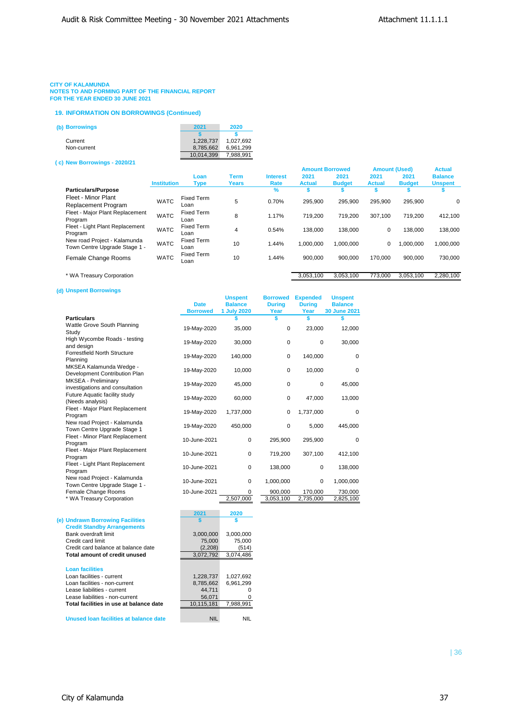### **CITY OF KALAMUNDA**

**NOTES TO AND FORMING PART OF THE FINANCIAL REPORT FOR THE YEAR ENDED 30 JUNE 2021**

#### **19. INFORMATION ON BORROWINGS (Continued)**

| (b) Borrowings | 2021       | 2020      |
|----------------|------------|-----------|
|                |            |           |
| Current        | 1.228.737  | 1,027,692 |
| Non-current    | 8.785.662  | 6.961.299 |
|                | 10.014.399 | 7.988.991 |
|                |            |           |

#### **( c) New Borrowings - 2020/21**

|                                 |                    |                   |              |                 | <b>Amount Borrowed</b> |               | <b>Amount (Used)</b> |               | <b>Actual</b>  |
|---------------------------------|--------------------|-------------------|--------------|-----------------|------------------------|---------------|----------------------|---------------|----------------|
|                                 |                    | Loan              | <b>Term</b>  | <b>Interest</b> | 2021                   | 2021          | 2021                 | 2021          | <b>Balance</b> |
|                                 | <b>Institution</b> | Type              | <b>Years</b> | Rate            | <b>Actual</b>          | <b>Budget</b> | <b>Actual</b>        | <b>Budget</b> | <b>Unspent</b> |
| <b>Particulars/Purpose</b>      |                    |                   |              | $\%$            | \$                     | s             |                      |               |                |
| Fleet - Minor Plant             | <b>WATC</b>        | <b>Fixed Term</b> | 5            | 0.70%           | 295.900                | 295.900       | 295.900              | 295.900       |                |
| <b>Replacement Program</b>      |                    | Loan              |              |                 |                        |               |                      |               | 0              |
| Fleet - Major Plant Replacement |                    | <b>Fixed Term</b> | 8            | 1.17%           |                        | 719.200       | 307.100              | 719.200       | 412,100        |
| Program                         | <b>WATC</b>        | Loan              |              |                 | 719,200                |               |                      |               |                |
| Fleet - Light Plant Replacement | <b>WATC</b>        | <b>Fixed Term</b> | 4            | 0.54%           | 138.000                | 138.000       | 0                    | 138,000       | 138,000        |
| Program                         |                    | Loan              |              |                 |                        |               |                      |               |                |
| New road Project - Kalamunda    | <b>WATC</b>        | <b>Fixed Term</b> | 10           | 1.44%           | 1.000.000              | 1.000.000     | 0                    | 000.000       | 1,000,000      |
| Town Centre Upgrade Stage 1 -   |                    | Loan              |              |                 |                        |               |                      |               |                |
| Female Change Rooms             | <b>WATC</b>        | <b>Fixed Term</b> | 10           | 1.44%           | 900.000                | 900.000       | 170.000              | 900.000       | 730,000        |
|                                 |                    | Loan              |              |                 |                        |               |                      |               |                |
|                                 |                    |                   |              |                 |                        |               |                      |               |                |
| * WA Treasury Corporation       |                    |                   |              |                 | 3.053.100              | 3.053.100     | 773.000              | 3.053.100     | 2.280.100      |

### **(d) Unspent Borrowings**

|                                                               | <b>Date</b><br><b>Borrowed</b> | <b>Unspent</b><br><b>Balance</b><br>1 July 2020 | <b>Borrowed</b><br><b>During</b><br>Year | <b>Expended</b><br><b>During</b><br>Year | <b>Unspent</b><br><b>Balance</b><br>30 June 2021 |
|---------------------------------------------------------------|--------------------------------|-------------------------------------------------|------------------------------------------|------------------------------------------|--------------------------------------------------|
| <b>Particulars</b>                                            |                                |                                                 | \$                                       | S                                        |                                                  |
| Wattle Grove South Planning<br>Study                          | 19-May-2020                    | 35,000                                          | $\mathbf 0$                              | 23,000                                   | 12,000                                           |
| High Wycombe Roads - testing<br>and design                    | 19-May-2020                    | 30,000                                          | $\pmb{0}$                                | 0                                        | 30,000                                           |
| <b>Forrestfield North Structure</b><br>Planning               | 19-May-2020                    | 140,000                                         | $\mathbf 0$                              | 140,000                                  | $\mathbf 0$                                      |
| MKSEA Kalamunda Wedge -<br>Development Contribution Plan      | 19-May-2020                    | 10,000                                          | $\mathbf 0$                              | 10,000                                   | $\mathbf 0$                                      |
| MKSEA - Preliminary<br>investigations and consultation        | 19-May-2020                    | 45,000                                          | $\mathbf 0$                              | 0                                        | 45,000                                           |
| Future Aquatic facility study<br>(Needs analysis)             | 19-May-2020                    | 60,000                                          | 0                                        | 47,000                                   | 13,000                                           |
| Fleet - Major Plant Replacement<br>Program                    | 19-May-2020                    | 1,737,000                                       | $\mathbf 0$                              | 1,737,000                                | $\Omega$                                         |
| New road Project - Kalamunda<br>Town Centre Upgrade Stage 1   | 19-May-2020                    | 450,000                                         | $\mathbf 0$                              | 5,000                                    | 445,000                                          |
| Fleet - Minor Plant Replacement<br>Program                    | 10-June-2021                   | $\mathbf 0$                                     | 295,900                                  | 295,900                                  | $\Omega$                                         |
| Fleet - Major Plant Replacement<br>Program                    | 10-June-2021                   | 0                                               | 719,200                                  | 307,100                                  | 412,100                                          |
| Fleet - Light Plant Replacement<br>Program                    | 10-June-2021                   | 0                                               | 138,000                                  | 0                                        | 138,000                                          |
| New road Project - Kalamunda<br>Town Centre Upgrade Stage 1 - | 10-June-2021                   | $\mathbf 0$                                     | 1,000,000                                | 0                                        | 1,000,000                                        |
| Female Change Rooms                                           | 10-June-2021                   | $\Omega$                                        | 900,000                                  | 170,000                                  | 730,000                                          |
| * WA Treasury Corporation                                     |                                | 2,507,000                                       | 3,053,100                                | 2,735,000                                | 2,825,100                                        |
|                                                               | 2021                           | 2020                                            |                                          |                                          |                                                  |
| <b>A Hadroum Derrewing Feellities</b>                         | $\bullet$                      | ٠                                               |                                          |                                          |                                                  |

### **(e) Undrawn Borrowing Facilities \$ \$ Credit Standby Arrangements** Bank overdraft limit 3,000,000 3,000,000<br>Credit card limit 75,000 75,000 75,000 Credit card limit<br>Credit card balance at balance date (2,208) 75,000<br>Credit card balance at balance date (2,208) (514) Credit card balance at balance date (2,208) (514)<br> **Total amount of credit unused** 3,072,792 3,074,486 **Total amount of credit unused Loan facilities** Loan facilities - current 1,228,737 1,027,692 Loan facilities - non-current 8,785,662 6,961,299<br>
Lease liabilities - current 44.711 0 Lease liabilities - current and the control of the 44,711 control of the 44,711 control of the 44,711 control o Lease liabilities - non-current 56,071 compared to the set of the set of the set of the set of the set of the set of the set of the set of the set of the set of the set of the set of the set of the set of the set of the se **Total facilities in use at balance date** 10,115,181 7,988,991

**Unused loan facilities at balance date** NIL NIL NIL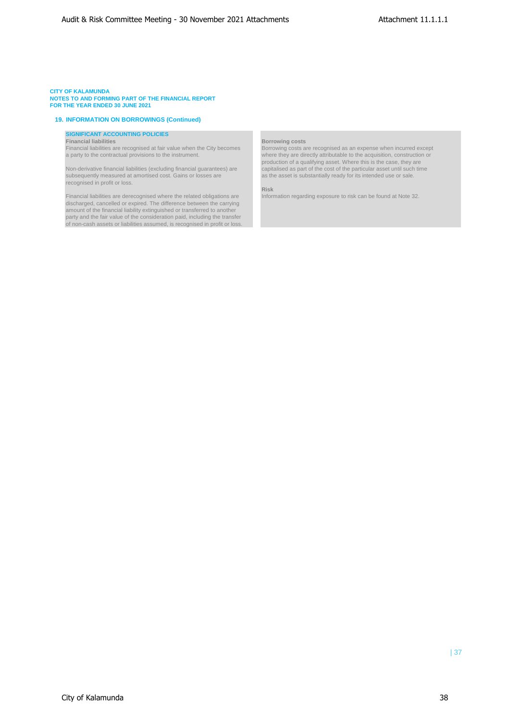### **CITY OF KALAMUNDA**

**NOTES TO AND FORMING PART OF THE FINANCIAL REPORT FOR THE YEAR ENDED 30 JUNE 2021**

### **19. INFORMATION ON BORROWINGS (Continued)**

## **SIGNIFICANT ACCOUNTING POLICIES**

**Financial liabilities Borrowing costs** Financial liabilities are recognised at fair value when the City becomes

subsequently measured at amortised cost. Gains or losses are as the asset is substantially ready for its intended use or sale. recognised in profit or loss.

Financial liabilities are derecognised where the related obligations are discharged, cancelled or expired. The difference between the carrying amount of the financial liability extinguished or transferred to another party and the fair value of the consideration paid, including the transfer of non-cash assets or liabilities assumed, is recognised in profit or loss.

a party to the contractual provisions to the instrument. where they are directly attributable to the acquisition, construction or production of a qualifying asset. Where this is the case, they are Non-derivative financial liabilities (excluding financial guarantees) are capitalised as part of the cost of the particular asset until such time

Risk<br>Information regarding exposure to risk can be found at Note 32.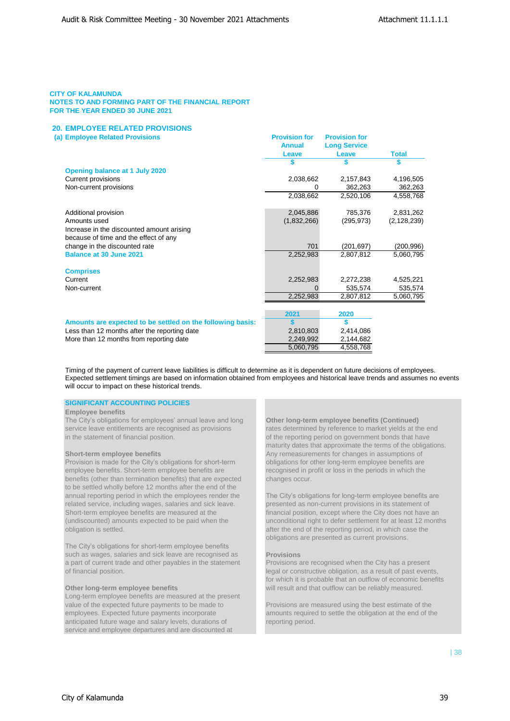## **20. EMPLOYEE RELATED PROVISIONS**

|  |  | (a) Employee Related Provisions |
|--|--|---------------------------------|
|  |  |                                 |

|                                                            | <b>Annual</b> | <b>Long Service</b> |               |
|------------------------------------------------------------|---------------|---------------------|---------------|
|                                                            | Leave         | Leave               | <b>Total</b>  |
|                                                            |               |                     |               |
| Opening balance at 1 July 2020                             |               |                     |               |
| Current provisions                                         | 2,038,662     | 2,157,843           | 4,196,505     |
| Non-current provisions                                     | 0             | 362,263             | 362,263       |
|                                                            | 2,038,662     | 2,520,106           | 4,558,768     |
| Additional provision                                       | 2,045,886     | 785,376             | 2,831,262     |
| Amounts used                                               | (1,832,266)   | (295, 973)          | (2, 128, 239) |
| Increase in the discounted amount arising                  |               |                     |               |
| because of time and the effect of any                      |               |                     |               |
| change in the discounted rate                              | 701           | (201, 697)          | (200,996)     |
| <b>Balance at 30 June 2021</b>                             | 2,252,983     | 2,807,812           | 5,060,795     |
|                                                            |               |                     |               |
| <b>Comprises</b>                                           |               |                     |               |
| Current                                                    | 2,252,983     | 2,272,238           | 4,525,221     |
| Non-current                                                | 0             | 535,574             | 535,574       |
|                                                            | 2,252,983     | 2,807,812           | 5,060,795     |
|                                                            |               |                     |               |
|                                                            | 2021          | 2020                |               |
| Amounts are expected to be settled on the following basis: | \$            | \$                  |               |
| Less than 12 months after the reporting date               | 2,810,803     | 2,414,086           |               |
| More than 12 months from reporting date                    | 2,249,992     | 2,144,682           |               |
|                                                            | 5,060,795     | 4,558,768           |               |

**(B) Provision for Provision for** 

Timing of the payment of current leave liabilities is difficult to determine as it is dependent on future decisions of employees. Expected settlement timings are based on information obtained from employees and historical leave trends and assumes no events will occur to impact on these historical trends.

## **SIGNIFICANT ACCOUNTING POLICIES**

### **Employee benefits**

The City's obligations for employees' annual leave and long **Other long-term employee benefits (Continued)**<br>service leave entitlements are recognised as provisions rates determined by reference to market yields at the in the statement of financial position.  $\blacksquare$  of the reporting period on government bonds that have

Provision is made for the City's obligations for short-term employee benefits. Short-term employee benefits are recognised in profit or loss in the periods in which the benefits (other than termination benefits) that are expected changes occur. to be settled wholly before 12 months after the end of the annual reporting period in which the employees render the The City's obligations for long-term employee benefits are related service, including wages, salaries and sick leave. presented as non-current provisions in its statement of Short-term employee benefits are measured at the financial position, except where the City does not have an

The City's obligations for short-term employee benefits such as wages, salaries and sick leave are recognised as **Provisions** a part of current trade and other payables in the statement Provisions are recognised when the City has a present of financial position. legal or constructive obligation, as a result of past events,

Long-term employee benefits are measured at the present value of the expected future payments to be made to Provisions are measured using the best estimate of the employees. Expected future payments incorporate amounts required to settle the obligation at the end of the anticipated future wage and salary levels, durations of reporting period. service and employee departures and are discounted at

rates determined by reference to market yields at the end maturity dates that approximate the terms of the obligations. **Short-term employee benefits Any remeasurements for changes in assumptions of Provision is made for the City's obligations for short-term Any remeasurements for changes in assumptions of Provision is made for the City** 

(undiscounted) amounts expected to be paid when the unconditional right to defer settlement for at least 12 months obligation is settled. after the end of the reporting period, in which case the obligations are presented as current provisions.

for which it is probable that an outflow of economic benefits **Other long-term employee benefits** will result and that outflow can be reliably measured.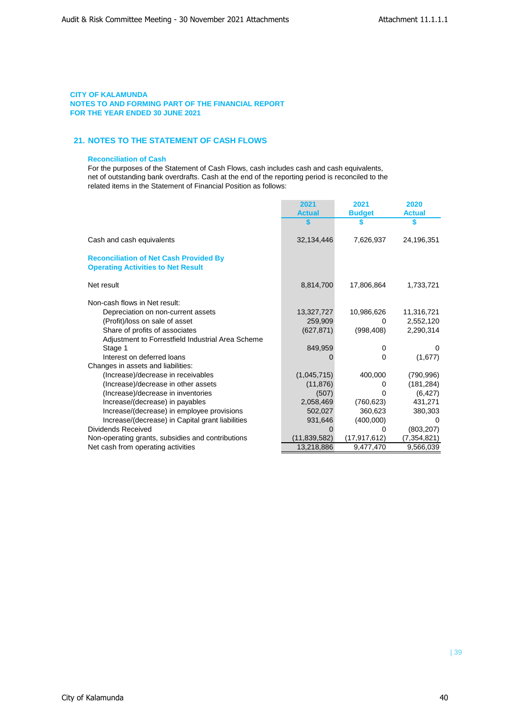## **21. NOTES TO THE STATEMENT OF CASH FLOWS**

## **Reconciliation of Cash**

For the purposes of the Statement of Cash Flows, cash includes cash and cash equivalents, net of outstanding bank overdrafts. Cash at the end of the reporting period is reconciled to the related items in the Statement of Financial Position as follows:

|                                                                                            | 2021           | 2021           | 2020          |
|--------------------------------------------------------------------------------------------|----------------|----------------|---------------|
|                                                                                            | <b>Actual</b>  | <b>Budget</b>  | <b>Actual</b> |
|                                                                                            |                |                |               |
| Cash and cash equivalents                                                                  | 32,134,446     | 7,626,937      | 24,196,351    |
| <b>Reconciliation of Net Cash Provided By</b><br><b>Operating Activities to Net Result</b> |                |                |               |
| Net result                                                                                 | 8,814,700      | 17,806,864     | 1,733,721     |
| Non-cash flows in Net result:                                                              |                |                |               |
| Depreciation on non-current assets                                                         | 13,327,727     | 10,986,626     | 11,316,721    |
| (Profit)/loss on sale of asset                                                             | 259,909        | 0              | 2,552,120     |
| Share of profits of associates                                                             | (627, 871)     | (998, 408)     | 2,290,314     |
| Adjustment to Forrestfield Industrial Area Scheme                                          |                |                |               |
| Stage 1                                                                                    | 849,959        | 0              | $\Omega$      |
| Interest on deferred loans                                                                 |                | 0              | (1,677)       |
| Changes in assets and liabilities:                                                         |                |                |               |
| (Increase)/decrease in receivables                                                         | (1,045,715)    | 400,000        | (790, 996)    |
| (Increase)/decrease in other assets                                                        | (11, 876)      | 0              | (181, 284)    |
| (Increase)/decrease in inventories                                                         | (507)          | 0              | (6, 427)      |
| Increase/(decrease) in payables                                                            | 2,058,469      | (760, 623)     | 431,271       |
| Increase/(decrease) in employee provisions                                                 | 502,027        | 360,623        | 380,303       |
| Increase/(decrease) in Capital grant liabilities                                           | 931,646        | (400,000)      |               |
| Dividends Received                                                                         | 0              | 0              | (803, 207)    |
| Non-operating grants, subsidies and contributions                                          | (11, 839, 582) | (17, 917, 612) | (7,354,821)   |
| Net cash from operating activities                                                         | 13,218,886     | 9,477,470      | 9,566,039     |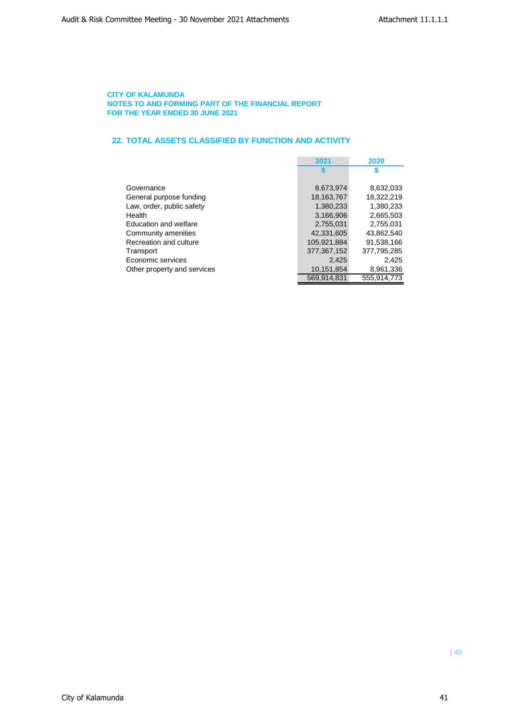## **22. TOTAL ASSETS CLASSIFIED BY FUNCTION AND ACTIVITY**

|                              | 2021          | 2020        |
|------------------------------|---------------|-------------|
|                              |               |             |
|                              |               |             |
| Governance                   | 8,673,974     | 8,632,033   |
| General purpose funding      | 18, 163, 767  | 18.322.219  |
| Law, order, public safety    | 1,380,233     | 1,380,233   |
| Health                       | 3,166,906     | 2,665,503   |
| <b>Education and welfare</b> | 2,755,031     | 2,755,031   |
| Community amenities          | 42.331.605    | 43.862.540  |
| Recreation and culture       | 105.921.884   | 91.538.166  |
| Transport                    | 377, 367, 152 | 377,795,285 |
| Economic services            | 2,425         | 2.425       |
| Other property and services  | 10,151,854    | 8,961,336   |
|                              | 569,914,831   | 555.914.773 |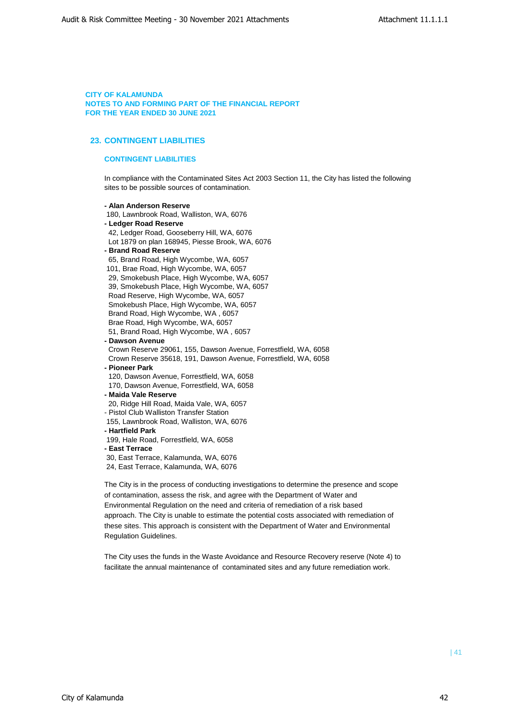## **23. CONTINGENT LIABILITIES**

## **CONTINGENT LIABILITIES**

In compliance with the Contaminated Sites Act 2003 Section 11, the City has listed the following sites to be possible sources of contamination.

**- Alan Anderson Reserve**  180, Lawnbrook Road, Walliston, WA, 6076 **- Ledger Road Reserve** 42, Ledger Road, Gooseberry Hill, WA, 6076 Lot 1879 on plan 168945, Piesse Brook, WA, 6076 **- Brand Road Reserve** 65, Brand Road, High Wycombe, WA, 6057 101, Brae Road, High Wycombe, WA, 6057 29, Smokebush Place, High Wycombe, WA, 6057 39, Smokebush Place, High Wycombe, WA, 6057 Road Reserve, High Wycombe, WA, 6057 Smokebush Place, High Wycombe, WA, 6057 Brand Road, High Wycombe, WA , 6057 Brae Road, High Wycombe, WA, 6057 51, Brand Road, High Wycombe, WA , 6057 **- Dawson Avenue** Crown Reserve 29061, 155, Dawson Avenue, Forrestfield, WA, 6058 Crown Reserve 35618, 191, Dawson Avenue, Forrestfield, WA, 6058 **- Pioneer Park** 120, Dawson Avenue, Forrestfield, WA, 6058 170, Dawson Avenue, Forrestfield, WA, 6058 **- Maida Vale Reserve** 20, Ridge Hill Road, Maida Vale, WA, 6057 - Pistol Club Walliston Transfer Station 155, Lawnbrook Road, Walliston, WA, 6076 **- Hartfield Park** 199, Hale Road, Forrestfield, WA, 6058 **- East Terrace** 30, East Terrace, Kalamunda, WA, 6076 24, East Terrace, Kalamunda, WA, 6076

The City is in the process of conducting investigations to determine the presence and scope of contamination, assess the risk, and agree with the Department of Water and Environmental Regulation on the need and criteria of remediation of a risk based approach. The City is unable to estimate the potential costs associated with remediation of these sites. This approach is consistent with the Department of Water and Environmental Regulation Guidelines.

The City uses the funds in the Waste Avoidance and Resource Recovery reserve (Note 4) to facilitate the annual maintenance of contaminated sites and any future remediation work.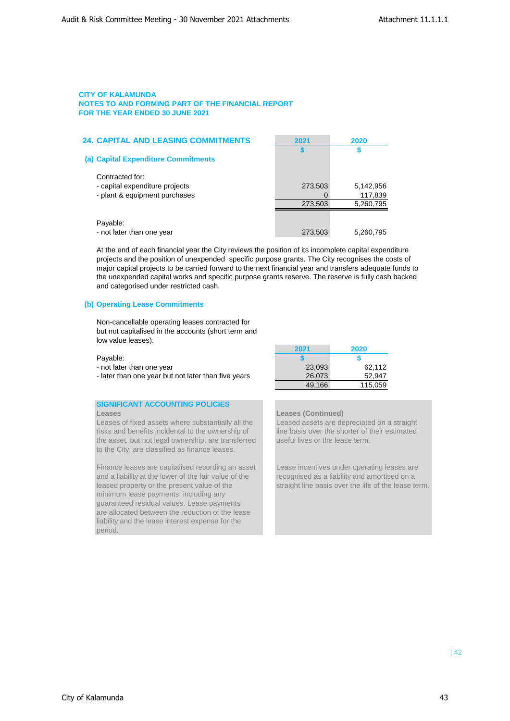| <b>24. CAPITAL AND LEASING COMMITMENTS</b>                                         | 2021    | 2020                 |
|------------------------------------------------------------------------------------|---------|----------------------|
| (a) Capital Expenditure Commitments                                                |         |                      |
| Contracted for:<br>- capital expenditure projects<br>- plant & equipment purchases | 273,503 | 5,142,956<br>117,839 |
|                                                                                    | 273,503 | 5,260,795            |
| Payable:<br>- not later than one year                                              | 273,503 | 5,260,795            |

At the end of each financial year the City reviews the position of its incomplete capital expenditure projects and the position of unexpended specific purpose grants. The City recognises the costs of major capital projects to be carried forward to the next financial year and transfers adequate funds to the unexpended capital works and specific purpose grants reserve. The reserve is fully cash backed and categorised under restricted cash.

## **(b) Operating Lease Commitments**

Non-cancellable operating leases contracted for but not capitalised in the accounts (short term and low value leases).

- not later than one year
- later than one year but not later than five years

## **SIGNIFICANT ACCOUNTING POLICIES Leases Leases (Continued)**

Leases of fixed assets where substantially all the Leased assets are depreciated on a straight risks and benefits incidental to the ownership of line basis over the shorter of their estimated the asset, but not legal ownership, are transferred useful lives or the lease term. to the City, are classified as finance leases.

Finance leases are capitalised recording an asset Lease incentives under operating leases are and a liability at the lower of the fair value of the recognised as a liability and amortised on a leased property or the present value of the straight line basis over the life of the lease term. minimum lease payments, including any guaranteed residual values. Lease payments are allocated between the reduction of the lease liability and the lease interest expense for the period.

|                                                     | 2021   | 2020    |
|-----------------------------------------------------|--------|---------|
| Payable:                                            |        |         |
| - not later than one year                           | 23.093 | 62.112  |
| - later than one year but not later than five years | 26.073 | 52.947  |
|                                                     | 49.166 | 115.059 |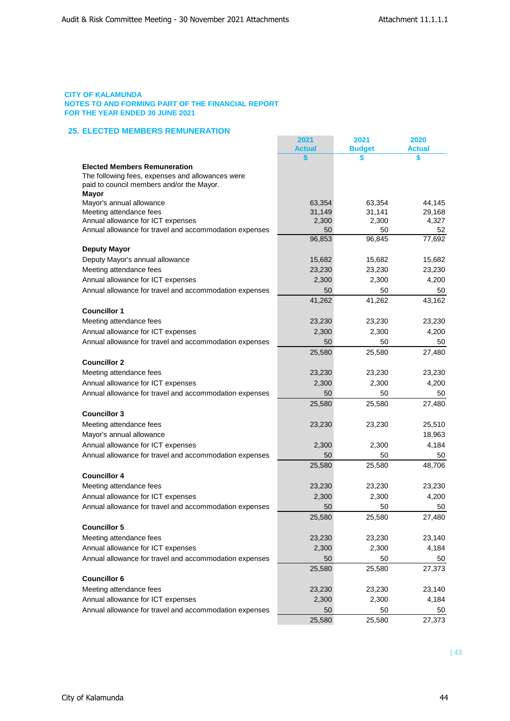## **25. ELECTED MEMBERS REMUNERATION**

|                                                              | 2021<br><b>Actual</b> | 2021<br><b>Budget</b> | 2020<br><b>Actual</b> |
|--------------------------------------------------------------|-----------------------|-----------------------|-----------------------|
|                                                              |                       | \$                    | S                     |
| <b>Elected Members Remuneration</b>                          |                       |                       |                       |
| The following fees, expenses and allowances were             |                       |                       |                       |
| paid to council members and/or the Mayor.                    |                       |                       |                       |
| <b>Mayor</b>                                                 |                       |                       |                       |
| Mayor's annual allowance                                     | 63,354                | 63,354                | 44,145                |
| Meeting attendance fees<br>Annual allowance for ICT expenses | 31,149<br>2,300       | 31,141<br>2,300       | 29,168<br>4,327       |
| Annual allowance for travel and accommodation expenses       | 50                    | 50                    | 52                    |
|                                                              | 96,853                | 96,845                | 77,692                |
| <b>Deputy Mayor</b>                                          |                       |                       |                       |
| Deputy Mayor's annual allowance                              | 15,682                | 15,682                | 15,682                |
| Meeting attendance fees                                      | 23,230                | 23,230                | 23,230                |
| Annual allowance for ICT expenses                            | 2,300                 | 2,300                 | 4,200                 |
| Annual allowance for travel and accommodation expenses       | 50                    | 50                    | 50                    |
|                                                              | 41,262                | 41,262                | 43,162                |
| <b>Councillor 1</b>                                          |                       |                       |                       |
| Meeting attendance fees                                      | 23,230                | 23,230                | 23,230                |
| Annual allowance for ICT expenses                            | 2,300                 | 2,300                 | 4,200                 |
| Annual allowance for travel and accommodation expenses       | 50                    | 50                    | 50                    |
|                                                              | 25,580                | 25,580                | 27,480                |
| <b>Councillor 2</b>                                          |                       |                       |                       |
| Meeting attendance fees                                      | 23,230                | 23,230                | 23,230                |
| Annual allowance for ICT expenses                            | 2,300                 | 2,300                 | 4,200                 |
| Annual allowance for travel and accommodation expenses       | 50                    | 50                    | 50                    |
|                                                              | 25,580                | 25,580                | 27,480                |
| <b>Councillor 3</b>                                          |                       |                       |                       |
| Meeting attendance fees                                      | 23,230                | 23,230                | 25,510                |
| Mayor's annual allowance                                     |                       |                       | 18,963                |
| Annual allowance for ICT expenses                            | 2,300                 | 2,300                 | 4,184                 |
| Annual allowance for travel and accommodation expenses       | 50                    | 50                    | 50                    |
|                                                              | 25,580                | 25,580                | 48,706                |
| <b>Councillor 4</b>                                          |                       |                       |                       |
| Meeting attendance fees                                      | 23,230                | 23,230                | 23,230                |
| Annual allowance for ICT expenses                            | 2,300                 | 2,300                 | 4,200                 |
| Annual allowance for travel and accommodation expenses       | 50                    | 50                    | 50                    |
|                                                              | 25,580                | 25,580                | 27,480                |
| <b>Councillor 5</b>                                          |                       |                       |                       |
| Meeting attendance fees                                      | 23,230                | 23,230                | 23,140                |
| Annual allowance for ICT expenses                            | 2,300                 | 2,300                 | 4,184                 |
| Annual allowance for travel and accommodation expenses       | 50                    | 50                    | 50                    |
|                                                              | 25,580                | 25,580                | 27,373                |
| <b>Councillor 6</b>                                          |                       |                       |                       |
| Meeting attendance fees                                      | 23,230                | 23,230                | 23,140                |
| Annual allowance for ICT expenses                            | 2,300                 | 2,300                 | 4,184                 |
| Annual allowance for travel and accommodation expenses       | 50                    | 50                    | 50                    |
|                                                              | 25,580                | 25,580                | 27,373                |
|                                                              |                       |                       |                       |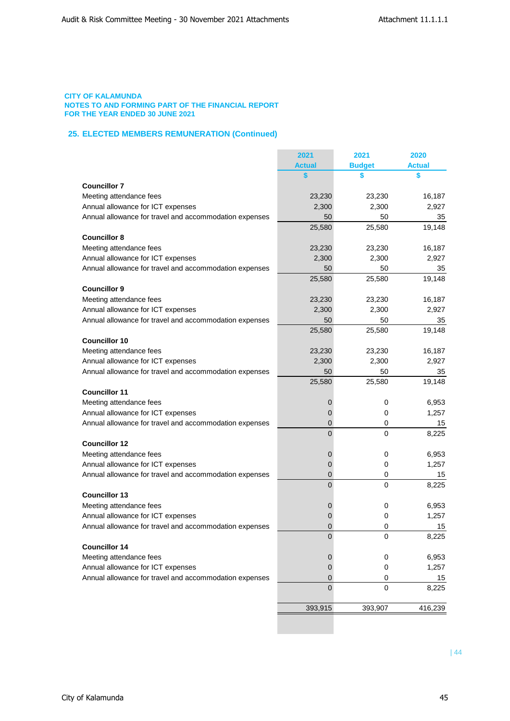## **25. ELECTED MEMBERS REMUNERATION (Continued)**

|                                                        | 2021           | 2021          | 2020          |
|--------------------------------------------------------|----------------|---------------|---------------|
|                                                        | <b>Actual</b>  | <b>Budget</b> | <b>Actual</b> |
|                                                        |                | \$            | \$            |
| <b>Councillor 7</b>                                    |                |               |               |
| Meeting attendance fees                                | 23,230         | 23,230        | 16,187        |
| Annual allowance for ICT expenses                      | 2,300          | 2,300         | 2,927         |
| Annual allowance for travel and accommodation expenses | 50             | 50            | 35            |
|                                                        | 25,580         | 25,580        | 19,148        |
| <b>Councillor 8</b>                                    |                |               |               |
| Meeting attendance fees                                | 23,230         | 23,230        | 16,187        |
| Annual allowance for ICT expenses                      | 2,300          | 2,300         | 2,927         |
| Annual allowance for travel and accommodation expenses | 50             | 50            | 35            |
|                                                        | 25,580         | 25,580        | 19,148        |
| <b>Councillor 9</b>                                    |                |               |               |
| Meeting attendance fees                                | 23,230         | 23,230        | 16,187        |
| Annual allowance for ICT expenses                      | 2,300          | 2,300         | 2,927         |
| Annual allowance for travel and accommodation expenses | 50             | 50            | 35            |
|                                                        | 25,580         | 25,580        | 19,148        |
| <b>Councillor 10</b>                                   |                |               |               |
| Meeting attendance fees                                | 23,230         | 23,230        | 16,187        |
| Annual allowance for ICT expenses                      | 2,300          | 2,300         | 2,927         |
| Annual allowance for travel and accommodation expenses | 50             | 50            | 35            |
|                                                        |                |               |               |
| <b>Councillor 11</b>                                   | 25,580         | 25,580        | 19,148        |
|                                                        |                |               |               |
| Meeting attendance fees                                | 0              | 0             | 6,953         |
| Annual allowance for ICT expenses                      | 0              | 0             | 1,257         |
| Annual allowance for travel and accommodation expenses | 0              | 0             | 15            |
|                                                        | $\overline{0}$ | 0             | 8,225         |
| <b>Councillor 12</b>                                   |                |               |               |
| Meeting attendance fees                                | 0              | 0             | 6,953         |
| Annual allowance for ICT expenses                      | 0              | 0             | 1,257         |
| Annual allowance for travel and accommodation expenses | 0              | 0             | 15            |
|                                                        | $\overline{0}$ | 0             | 8,225         |
| <b>Councillor 13</b>                                   |                |               |               |
| Meeting attendance fees                                | 0              | 0             | 6,953         |
| Annual allowance for ICT expenses                      | 0              | 0             | 1,257         |
| Annual allowance for travel and accommodation expenses | 0              | 0             | 15            |
|                                                        | 0              | $\mathsf 0$   | 8,225         |
| <b>Councillor 14</b>                                   |                |               |               |
| Meeting attendance fees                                | $\mathbf 0$    | 0             | 6,953         |
| Annual allowance for ICT expenses                      | 0              | 0             | 1,257         |
| Annual allowance for travel and accommodation expenses | 0              | 0             | 15            |
|                                                        | $\mathbf{0}$   | 0             | 8,225         |
|                                                        | 393,915        | 393,907       | 416,239       |
|                                                        |                |               |               |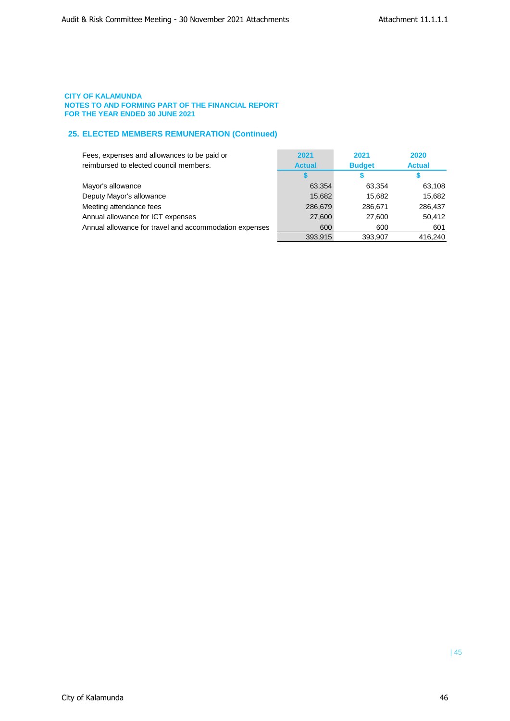## **25. ELECTED MEMBERS REMUNERATION (Continued)**

| Fees, expenses and allowances to be paid or            | 2021          | 2021          | 2020          |
|--------------------------------------------------------|---------------|---------------|---------------|
| reimbursed to elected council members.                 | <b>Actual</b> | <b>Budget</b> | <b>Actual</b> |
|                                                        |               |               |               |
| Mayor's allowance                                      | 63,354        | 63.354        | 63,108        |
| Deputy Mayor's allowance                               | 15,682        | 15.682        | 15,682        |
| Meeting attendance fees                                | 286,679       | 286,671       | 286,437       |
| Annual allowance for ICT expenses                      | 27,600        | 27,600        | 50,412        |
| Annual allowance for travel and accommodation expenses | 600           | 600           | 601           |
|                                                        | 393,915       | 393,907       | 416,240       |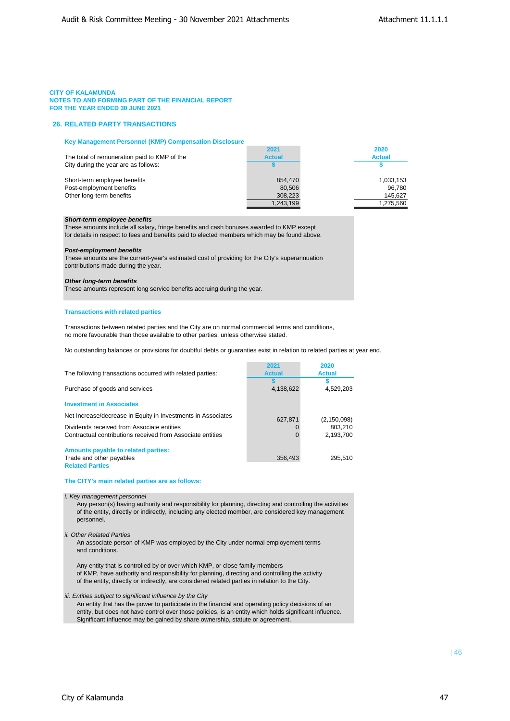## **26. RELATED PARTY TRANSACTIONS**

#### **Key Management Personnel (KMP) Compensation Disclosure**

|                                              | 2021          | 2020          |
|----------------------------------------------|---------------|---------------|
| The total of remuneration paid to KMP of the | <b>Actual</b> | <b>Actual</b> |
| City during the year are as follows:         |               |               |
| Short-term employee benefits                 | 854.470       | 1,033,153     |
| Post-employment benefits                     | 80.506        | 96.780        |
| Other long-term benefits                     | 308.223       | 145.627       |
|                                              | 1.243.199     | 1,275,560     |

## *Short-term employee benefits*

These amounts include all salary, fringe benefits and cash bonuses awarded to KMP except for details in respect to fees and benefits paid to elected members which may be found above.

#### *Post-employment benefits*

These amounts are the current-year's estimated cost of providing for the City's superannuation contributions made during the year.

#### *Other long-term benefits*

These amounts represent long service benefits accruing during the year.

### **Transactions with related parties**

Transactions between related parties and the City are on normal commercial terms and conditions, no more favourable than those available to other parties, unless otherwise stated.

No outstanding balances or provisions for doubtful debts or guaranties exist in relation to related parties at year end.

|                                                              | 2021          | 2020          |
|--------------------------------------------------------------|---------------|---------------|
| The following transactions occurred with related parties:    | <b>Actual</b> | <b>Actual</b> |
|                                                              |               |               |
| Purchase of goods and services                               | 4,138,622     | 4,529,203     |
|                                                              |               |               |
| <b>Investment in Associates</b>                              |               |               |
| Net Increase/decrease in Equity in Investments in Associates |               |               |
|                                                              | 627,871       | (2, 150, 098) |
| Dividends received from Associate entities                   |               | 803.210       |
| Contractual contributions received from Associate entities   |               | 2,193,700     |
|                                                              |               |               |
| Amounts payable to related parties:                          |               |               |
| Trade and other payables                                     | 356,493       | 295,510       |
| _______                                                      |               |               |

**Related Parties**

#### **The CITY's main related parties are as follows:**

#### *i. Key management personnel*

Any person(s) having authority and responsibility for planning, directing and controlling the activities of the entity, directly or indirectly, including any elected member, are considered key management personnel.

#### *ii. Other Related Parties*

An associate person of KMP was employed by the City under normal employement terms and conditions.

Any entity that is controlled by or over which KMP, or close family members of KMP, have authority and responsibility for planning, directing and controlling the activity of the entity, directly or indirectly, are considered related parties in relation to the City.

*iii. Entities subject to significant influence by the City*

An entity that has the power to participate in the financial and operating policy decisions of an entity, but does not have control over those policies, is an entity which holds significant influence. Significant influence may be gained by share ownership, statute or agreement.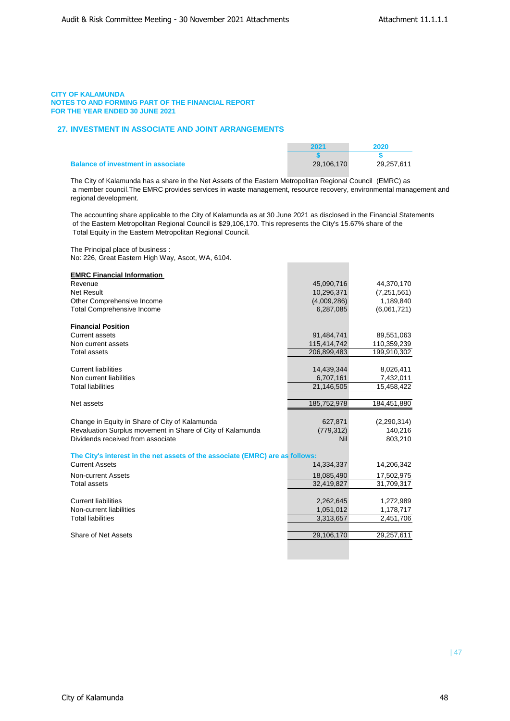## **27. INVESTMENT IN ASSOCIATE AND JOINT ARRANGEMENTS**

|                                           | 2021       | 2020       |
|-------------------------------------------|------------|------------|
|                                           |            |            |
| <b>Balance of investment in associate</b> | 29.106.170 | 29.257.611 |

The City of Kalamunda has a share in the Net Assets of the Eastern Metropolitan Regional Council (EMRC) as a member council.The EMRC provides services in waste management, resource recovery, environmental management and regional development.

The accounting share applicable to the City of Kalamunda as at 30 June 2021 as disclosed in the Financial Statements of the Eastern Metropolitan Regional Council is \$29,106,170. This represents the City's 15.67% share of the Total Equity in the Eastern Metropolitan Regional Council.

The Principal place of business : No: 226, Great Eastern High Way, Ascot, WA, 6104.

| <b>EMRC Financial Information</b>                                             |                        |                        |
|-------------------------------------------------------------------------------|------------------------|------------------------|
| Revenue                                                                       | 45,090,716             | 44,370,170             |
| <b>Net Result</b>                                                             | 10,296,371             | (7, 251, 561)          |
| Other Comprehensive Income                                                    | (4,009,286)            | 1,189,840              |
| <b>Total Comprehensive Income</b>                                             | 6,287,085              | (6,061,721)            |
| <b>Financial Position</b>                                                     |                        |                        |
| Current assets                                                                | 91,484,741             | 89,551,063             |
| Non current assets                                                            | 115,414,742            | 110,359,239            |
| <b>Total assets</b>                                                           | 206,899,483            | 199,910,302            |
| <b>Current liabilities</b>                                                    | 14,439,344             | 8,026,411              |
| Non current liabilities                                                       | 6,707,161              | 7,432,011              |
| <b>Total liabilities</b>                                                      | 21,146,505             | 15,458,422             |
|                                                                               |                        |                        |
| Net assets                                                                    | 185,752,978            | 184,451,880            |
| Change in Equity in Share of City of Kalamunda                                | 627,871                | (2, 290, 314)          |
| Revaluation Surplus movement in Share of City of Kalamunda                    | (779, 312)             | 140,216                |
| Dividends received from associate                                             | <b>Nil</b>             | 803,210                |
| The City's interest in the net assets of the associate (EMRC) are as follows: |                        |                        |
| <b>Current Assets</b>                                                         | 14,334,337             | 14,206,342             |
| <b>Non-current Assets</b>                                                     | 18,085,490             | 17,502,975             |
| <b>Total assets</b>                                                           | 32,419,827             | 31,709,317             |
| <b>Current liabilities</b>                                                    |                        |                        |
| Non-current liabilities                                                       | 2,262,645              | 1,272,989              |
| <b>Total liabilities</b>                                                      | 1,051,012<br>3,313,657 | 1,178,717<br>2,451,706 |
|                                                                               |                        |                        |
| Share of Net Assets                                                           | 29,106,170             | 29,257,611             |
|                                                                               |                        |                        |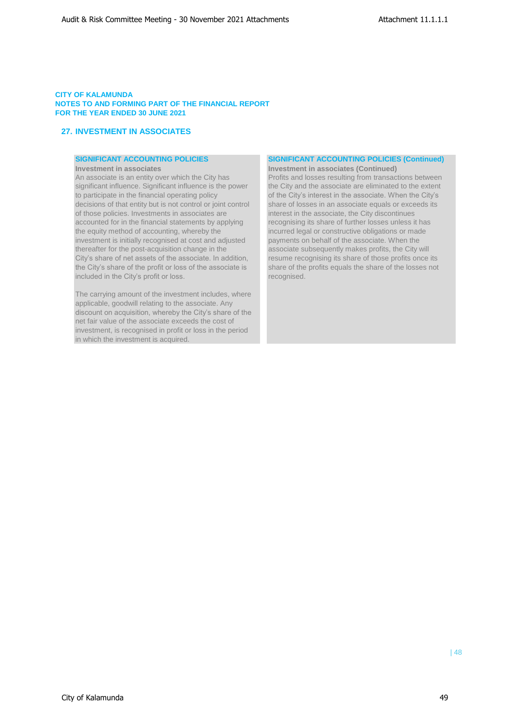## **27. INVESTMENT IN ASSOCIATES**

An associate is an entity over which the City has Profits and losses resulting from transactions between significant influence. Significant influence is the power the City and the associate are eliminated to the extent significant influence. Significant influence is the power the City and the associate are eliminated to the extent<br>to participate in the financial operating policy of the City's interest in the associate. When the City's decisions of that entity but is not control or joint control share of losses in an associate equals or exceeds its of those policies. Investments in associates are interest in the associate, the City discontinues<br>accounted for in the financial statements by applying recognising its share of further losses unless it the equity method of accounting, whereby the incurred legal or constructive obligations or made investment is initially recognised at cost and adjusted payments on behalf of the associate. When the thereafter for the post-acquisition change in the associate subsequently makes profits, the City will<br>City's share of net assets of the associate. In addition, resume recognising its share of those profits once City's share of net assets of the associate. In addition, resume recognising its share of those profits once its the City's share of the profit or loss of the associate is share of the profits equals the share of the losse included in the City's profit or loss. The community of the cognised.

The carrying amount of the investment includes, where applicable, goodwill relating to the associate. Any discount on acquisition, whereby the City's share of the net fair value of the associate exceeds the cost of investment, is recognised in profit or loss in the period in which the investment is acquired.

## **SIGNIFICANT ACCOUNTING POLICIES SIGNIFICANT ACCOUNTING POLICIES (Continued)**

**Investment in associates Investment in associates (Continued)** of the City's interest in the associate. When the City's recognising its share of further losses unless it has share of the profits equals the share of the losses not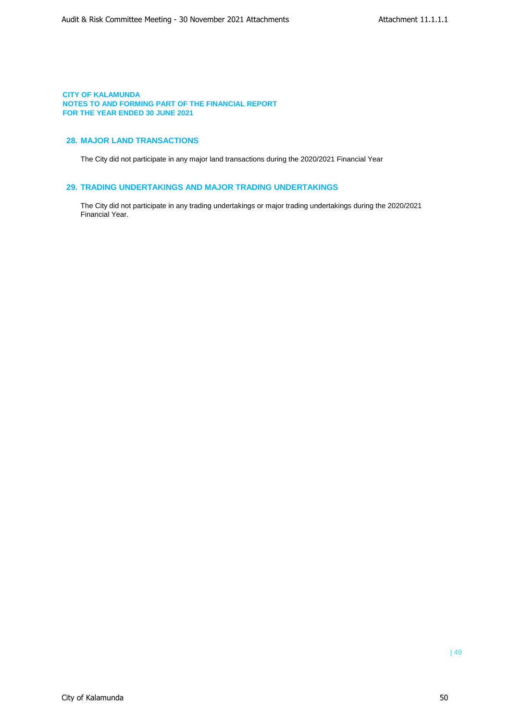## **28. MAJOR LAND TRANSACTIONS**

The City did not participate in any major land transactions during the 2020/2021 Financial Year

## **29. TRADING UNDERTAKINGS AND MAJOR TRADING UNDERTAKINGS**

The City did not participate in any trading undertakings or major trading undertakings during the 2020/2021 Financial Year.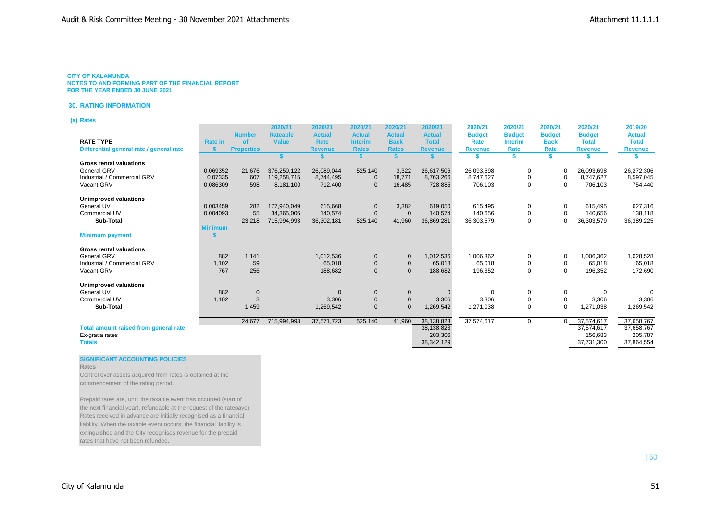**30. RATING INFORMATION**

**(a) Rates**

|                                          |                | <b>Number</b>     | 2020/21<br><b>Rateable</b> | 2020/21<br><b>Actual</b> | 2020/21                         | 2020/21                      | 2020/21<br><b>Actual</b> | 2020/21               | 2020/21                         | 2020/21                      | 2020/21                       | 2019/20<br><b>Actual</b> |
|------------------------------------------|----------------|-------------------|----------------------------|--------------------------|---------------------------------|------------------------------|--------------------------|-----------------------|---------------------------------|------------------------------|-------------------------------|--------------------------|
| <b>RATE TYPE</b>                         | <b>Rate in</b> | <b>of</b>         | <b>Value</b>               | Rate                     | <b>Actual</b><br><b>Interim</b> | <b>Actual</b><br><b>Back</b> | <b>Total</b>             | <b>Budget</b><br>Rate | <b>Budget</b><br><b>Interim</b> | <b>Budget</b><br><b>Back</b> | <b>Budget</b><br><b>Total</b> | <b>Total</b>             |
| Differential general rate / general rate |                | <b>Properties</b> |                            | <b>Revenue</b>           | <b>Rates</b>                    | <b>Rates</b>                 | <b>Revenue</b>           | <b>Revenue</b>        | Rate                            | Rate                         | <b>Revenue</b>                | <b>Revenue</b>           |
|                                          |                |                   |                            |                          |                                 |                              |                          |                       |                                 |                              |                               |                          |
| <b>Gross rental valuations</b>           |                |                   |                            |                          |                                 |                              |                          |                       |                                 |                              |                               |                          |
| <b>General GRV</b>                       | 0.069352       | 21,676            | 376,250,122                | 26,089,044               | 525,140                         | 3,322                        | 26,617,506               | 26,093,698            | $\mathbf 0$                     | $\Omega$                     | 26,093,698                    | 26,272,306               |
| Industrial / Commercial GRV              | 0.07335        | 607               | 119,258,715                | 8,744,495                | $\mathbf 0$                     | 18,771                       | 8,763,266                | 8,747,627             | 0                               | 0                            | 8,747,627                     | 8,597,045                |
| Vacant GRV                               | 0.086309       | 598               | 8,181,100                  | 712,400                  | $\overline{0}$                  | 16,485                       | 728,885                  | 706,103               | $\mathbf 0$                     | $\Omega$                     | 706,103                       | 754,440                  |
|                                          |                |                   |                            |                          |                                 |                              |                          |                       |                                 |                              |                               |                          |
| <b>Unimproved valuations</b>             |                |                   |                            |                          |                                 |                              |                          |                       |                                 |                              |                               |                          |
| General UV                               | 0.003459       | 282               | 177,940,049                | 615,668                  | $\mathbf 0$                     | 3,382                        | 619,050                  | 615,495               | $\mathbf 0$                     | 0                            | 615,495                       | 627,316                  |
| <b>Commercial UV</b>                     | 0.004093       | 55                | 34,365,006                 | 140,574                  | $\Omega$                        | $\Omega$                     | 140,574                  | 140,656               | 0                               | $\Omega$                     | 140,656                       | 138,118                  |
| Sub-Total                                |                | 23,218            | 715,994,993                | 36,302,181               | 525,140                         | 41,960                       | 36,869,281               | 36,303,579            | $\mathbf 0$                     | $\Omega$                     | 36,303,579                    | 36,389,225               |
|                                          | <b>Minimum</b> |                   |                            |                          |                                 |                              |                          |                       |                                 |                              |                               |                          |
| <b>Minimum payment</b>                   |                |                   |                            |                          |                                 |                              |                          |                       |                                 |                              |                               |                          |
|                                          |                |                   |                            |                          |                                 |                              |                          |                       |                                 |                              |                               |                          |
| <b>Gross rental valuations</b>           |                |                   |                            |                          |                                 |                              |                          |                       |                                 |                              |                               |                          |
| <b>General GRV</b>                       | 882            | 1.141             |                            | 1,012,536                | $\mathbf 0$                     | $\mathbf{0}$                 | 1,012,536                | 1,006,362             | 0                               | 0                            | 1,006,362                     | 1,028,528                |
| Industrial / Commercial GRV              | 1,102          | 59                |                            | 65,018                   | $\mathbf 0$                     | $\Omega$                     | 65,018                   | 65,018                | 0                               | $\Omega$                     | 65,018                        | 65,018                   |
| Vacant GRV                               | 767            | 256               |                            | 188,682                  | $\mathbf 0$                     | $\mathbf{0}$                 | 188,682                  | 196,352               | $\mathbf 0$                     | $\Omega$                     | 196,352                       | 172,690                  |
|                                          |                |                   |                            |                          |                                 |                              |                          |                       |                                 |                              |                               |                          |
| <b>Unimproved valuations</b>             |                |                   |                            |                          |                                 |                              |                          |                       |                                 |                              |                               |                          |
| General UV                               | 882            | $\mathbf{0}$      |                            | $\mathbf{0}$             | $\mathbf 0$                     | $\mathbf 0$                  |                          | $\Omega$              | $\mathbf 0$                     | 0                            | $\mathbf 0$                   | $\Omega$                 |
| <b>Commercial UV</b>                     | 1,102          |                   |                            | 3,306                    | $\Omega$                        | $\Omega$                     | 3,306                    | 3,306                 | $\mathbf 0$                     | $\Omega$                     | 3,306                         | 3,306                    |
| Sub-Total                                |                | 1,459             |                            | 1,269,542                | $\mathbf{0}$                    | $\mathbf 0$                  | 1,269,542                | 1,271,038             | 0                               | 0                            | 1,271,038                     | 1,269,542                |
|                                          |                |                   |                            |                          |                                 |                              |                          |                       |                                 |                              |                               |                          |
|                                          |                | 24,677            | 715,994,993                | 37,571,723               | 525,140                         | 41,960                       | 38,138,823               | 37,574,617            | $\mathbf 0$                     | $\Omega$                     | 37,574,617                    | 37,658,767               |
| Total amount raised from general rate    |                |                   |                            |                          |                                 |                              | 38,138,823               |                       |                                 |                              | 37,574,617                    | 37,658,767               |
| Ex-gratia rates                          |                |                   |                            |                          |                                 |                              | 203,306                  |                       |                                 |                              | 156,683                       | 205,787                  |
| <b>Totals</b>                            |                |                   |                            |                          |                                 |                              | 38, 342, 129             |                       |                                 |                              | 37,731,300                    | 37,864,554               |

### **SIGNIFICANT ACCOUNTING POLICIES**

**Rates**

Control over assets acquired from rates is obtained at the commencement of the rating period.

Prepaid rates are, until the taxable event has occurred (start of the next financial year), refundable at the request of the ratepayer. Rates received in advance are initially recognised as a financial liability. When the taxable event occurs, the financial liability is extinguished and the City recognises revenue for the prepaid rates that have not been refunded.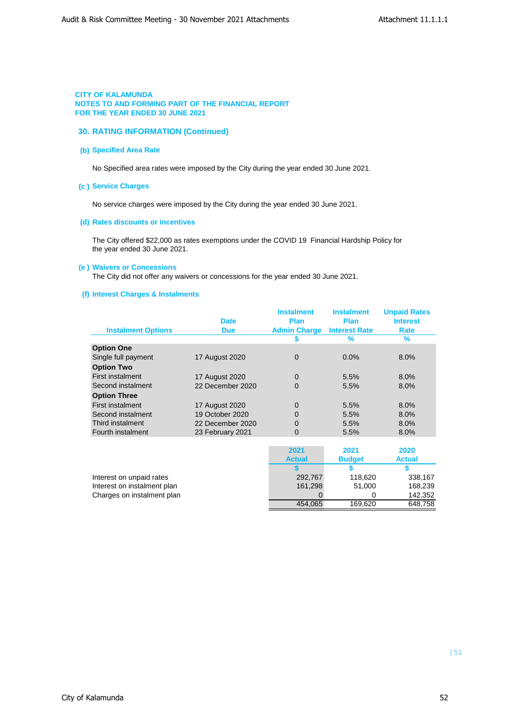## **30. RATING INFORMATION (Continued)**

## **(b) Specified Area Rate**

No Specified area rates were imposed by the City during the year ended 30 June 2021.

### **(c ) Service Charges**

No service charges were imposed by the City during the year ended 30 June 2021.

## **(d) Rates discounts or incentives**

The City offered \$22,000 as rates exemptions under the COVID 19 Financial Hardship Policy for the year ended 30 June 2021.

## **(e ) Waivers or Concessions**

The City did not offer any waivers or concessions for the year ended 30 June 2021.

## **(f) Interest Charges & Instalments**

|                           | <b>Date</b>           | <b>Instalment</b><br><b>Plan</b> | <b>Instalment</b><br><b>Plan</b> | <b>Unpaid Rates</b><br><b>Interest</b> |
|---------------------------|-----------------------|----------------------------------|----------------------------------|----------------------------------------|
| <b>Instalment Options</b> | <b>Due</b>            | <b>Admin Charge</b>              | <b>Interest Rate</b>             | Rate                                   |
|                           |                       |                                  | $\frac{9}{6}$                    | ℅                                      |
| <b>Option One</b>         |                       |                                  |                                  |                                        |
| Single full payment       | <b>17 August 2020</b> | $\Omega$                         | $0.0\%$                          | 8.0%                                   |
| <b>Option Two</b>         |                       |                                  |                                  |                                        |
| <b>First instalment</b>   | <b>17 August 2020</b> | $\Omega$                         | 5.5%                             | 8.0%                                   |
| Second instalment         | 22 December 2020      | $\Omega$                         | 5.5%                             | 8.0%                                   |
| <b>Option Three</b>       |                       |                                  |                                  |                                        |
| <b>First instalment</b>   | <b>17 August 2020</b> | $\mathbf 0$                      | 5.5%                             | 8.0%                                   |
| Second instalment         | 19 October 2020       | $\Omega$                         | 5.5%                             | 8.0%                                   |
| Third instalment          | 22 December 2020      | $\Omega$                         | 5.5%                             | 8.0%                                   |
| Fourth instalment         | 23 February 2021      | $\Omega$                         | 5.5%                             | 8.0%                                   |

|                             | 2021          | 2021          | 2020          |
|-----------------------------|---------------|---------------|---------------|
|                             | <b>Actual</b> | <b>Budget</b> | <b>Actual</b> |
|                             |               |               |               |
| Interest on unpaid rates    | 292,767       | 118.620       | 338,167       |
| Interest on instalment plan | 161.298       | 51.000        | 168.239       |
| Charges on instalment plan  |               |               | 142,352       |
|                             | 454.065       | 169.620       | 648,758       |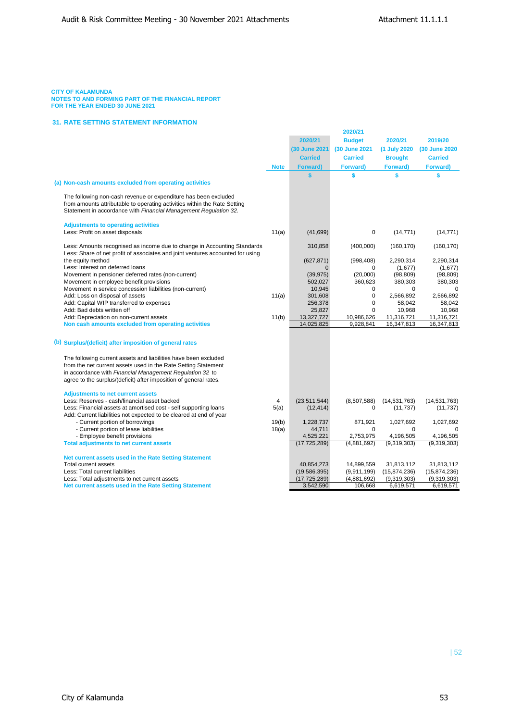#### **CITY OF KALAMUNDA**

**NOTES TO AND FORMING PART OF THE FINANCIAL REPORT FOR THE YEAR ENDED 30 JUNE 2021**

### **31. RATE SETTING STATEMENT INFORMATION**

|                                                                                                                                                                                                                  | 2020/21     |                 |                |                |                |
|------------------------------------------------------------------------------------------------------------------------------------------------------------------------------------------------------------------|-------------|-----------------|----------------|----------------|----------------|
|                                                                                                                                                                                                                  |             | 2020/21         | <b>Budget</b>  | 2020/21        | 2019/20        |
|                                                                                                                                                                                                                  |             | (30 June 2021   | (30 June 2021  | (1 July 2020   | (30 June 2020  |
|                                                                                                                                                                                                                  |             | <b>Carried</b>  | <b>Carried</b> | <b>Brought</b> | <b>Carried</b> |
|                                                                                                                                                                                                                  |             |                 |                |                |                |
|                                                                                                                                                                                                                  | <b>Note</b> | <b>Forward)</b> | Forward)       | Forward)       | Forward)       |
|                                                                                                                                                                                                                  |             | \$              | \$             | \$             | \$             |
| (a) Non-cash amounts excluded from operating activities                                                                                                                                                          |             |                 |                |                |                |
| The following non-cash revenue or expenditure has been excluded<br>from amounts attributable to operating activities within the Rate Setting<br>Statement in accordance with Financial Management Regulation 32. |             |                 |                |                |                |
| <b>Adjustments to operating activities</b>                                                                                                                                                                       |             |                 |                |                |                |
| Less: Profit on asset disposals                                                                                                                                                                                  | 11(a)       | (41, 699)       | 0              | (14, 771)      | (14, 771)      |
|                                                                                                                                                                                                                  |             |                 |                |                |                |
| Less: Amounts recognised as income due to change in Accounting Standards<br>Less: Share of net profit of associates and joint ventures accounted for using                                                       |             | 310,858         | (400,000)      | (160, 170)     | (160, 170)     |
| the equity method                                                                                                                                                                                                |             | (627, 871)      | (998, 408)     | 2,290,314      | 2,290,314      |
| Less: Interest on deferred loans                                                                                                                                                                                 |             | $\Omega$        | $\Omega$       | (1,677)        | (1,677)        |
| Movement in pensioner deferred rates (non-current)                                                                                                                                                               |             | (39, 975)       | (20,000)       | (98, 809)      | (98, 809)      |
| Movement in employee benefit provisions                                                                                                                                                                          |             | 502,027         | 360,623        | 380,303        | 380,303        |
| Movement in service concession liabilities (non-current)                                                                                                                                                         |             | 10,945          | $\Omega$       | $\Omega$       | $\Omega$       |
| Add: Loss on disposal of assets                                                                                                                                                                                  | 11(a)       | 301,608         | $\mathbf 0$    | 2,566,892      | 2,566,892      |
| Add: Capital WIP transferred to expenses                                                                                                                                                                         |             | 256,378         | $\mathbf 0$    | 58,042         | 58,042         |
| Add: Bad debts written off                                                                                                                                                                                       |             | 25,827          | $\mathbf 0$    | 10,968         | 10,968         |
| Add: Depreciation on non-current assets                                                                                                                                                                          | 11(b)       | 13,327,727      | 10,986,626     | 11,316,721     | 11,316,721     |
| Non cash amounts excluded from operating activities                                                                                                                                                              |             | 14,025,825      | 9,928,841      | 16,347,813     | 16,347,813     |
|                                                                                                                                                                                                                  |             |                 |                |                |                |
| (b) Surplus/(deficit) after imposition of general rates                                                                                                                                                          |             |                 |                |                |                |
| The following current assets and liabilities have been excluded                                                                                                                                                  |             |                 |                |                |                |
| from the net current assets used in the Rate Setting Statement                                                                                                                                                   |             |                 |                |                |                |
| in accordance with Financial Management Regulation 32 to                                                                                                                                                         |             |                 |                |                |                |
| agree to the surplus/(deficit) after imposition of general rates.                                                                                                                                                |             |                 |                |                |                |
| <b>Adjustments to net current assets</b>                                                                                                                                                                         |             |                 |                |                |                |
| Less: Reserves - cash/financial asset backed                                                                                                                                                                     | 4           | (23, 511, 544)  | (8,507,588)    | (14, 531, 763) | (14, 531, 763) |
| Less: Financial assets at amortised cost - self supporting loans                                                                                                                                                 | 5(a)        | (12, 414)       | $\mathbf 0$    | (11, 737)      | (11, 737)      |
| Add: Current liabilities not expected to be cleared at end of year                                                                                                                                               |             |                 |                |                |                |
| - Current portion of borrowings                                                                                                                                                                                  | 19(b)       | 1,228,737       | 871,921        | 1,027,692      | 1,027,692      |
| - Current portion of lease liabilities                                                                                                                                                                           | 18(a)       | 44,711          | $\Omega$       | $\Omega$       |                |
| - Employee benefit provisions                                                                                                                                                                                    |             | 4,525,221       | 2,753,975      | 4,196,505      | 4,196,505      |
| <b>Total adjustments to net current assets</b>                                                                                                                                                                   |             | (17, 725, 289)  | (4,881,692)    | (9,319,303)    | (9,319,303)    |
|                                                                                                                                                                                                                  |             |                 |                |                |                |
| Net current assets used in the Rate Setting Statement                                                                                                                                                            |             |                 |                |                |                |
| <b>Total current assets</b>                                                                                                                                                                                      |             | 40,854,273      | 14,899,559     | 31,813,112     | 31,813,112     |
| Less: Total current liabilities                                                                                                                                                                                  |             | (19, 586, 395)  | (9.911, 199)   | (15,874,236)   | (15,874,236)   |
| Less: Total adjustments to net current assets                                                                                                                                                                    |             | (17, 725, 289)  | (4,881,692)    | (9,319,303)    | (9,319,303)    |
| Net current assets used in the Rate Setting Statement                                                                                                                                                            |             | 3,542,590       | 106,668        | 6,619,571      | 6,619,571      |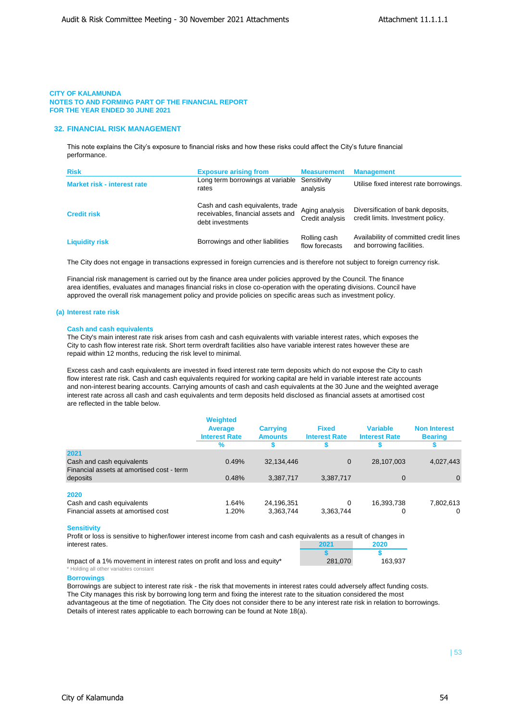## **32. FINANCIAL RISK MANAGEMENT**

This note explains the City's exposure to financial risks and how these risks could affect the City's future financial performance.

| <b>Risk</b>                        | <b>Exposure arising from</b>                                                              | <b>Measurement</b>                | <b>Management</b>                                                      |
|------------------------------------|-------------------------------------------------------------------------------------------|-----------------------------------|------------------------------------------------------------------------|
| <b>Market risk - interest rate</b> | Long term borrowings at variable<br>rates                                                 | Sensitivity<br>analysis           | Utilise fixed interest rate borrowings.                                |
| <b>Credit risk</b>                 | Cash and cash equivalents, trade<br>receivables, financial assets and<br>debt investments | Aging analysis<br>Credit analysis | Diversification of bank deposits,<br>credit limits. Investment policy. |
| <b>Liquidity risk</b>              | Borrowings and other liabilities                                                          | Rolling cash<br>flow forecasts    | Availability of committed credit lines<br>and borrowing facilities.    |

The City does not engage in transactions expressed in foreign currencies and is therefore not subject to foreign currency risk.

Financial risk management is carried out by the finance area under policies approved by the Council. The finance area identifies, evaluates and manages financial risks in close co-operation with the operating divisions. Council have approved the overall risk management policy and provide policies on specific areas such as investment policy.

### **(a) Interest rate risk**

### **Cash and cash equivalents**

The City's main interest rate risk arises from cash and cash equivalents with variable interest rates, which exposes the City to cash flow interest rate risk. Short term overdraft facilities also have variable interest rates however these are repaid within 12 months, reducing the risk level to minimal.

Excess cash and cash equivalents are invested in fixed interest rate term deposits which do not expose the City to cash flow interest rate risk. Cash and cash equivalents required for working capital are held in variable interest rate accounts and non-interest bearing accounts. Carrying amounts of cash and cash equivalents at the 30 June and the weighted average interest rate across all cash and cash equivalents and term deposits held disclosed as financial assets at amortised cost are reflected in the table below.

|                                                                        | <b>Weighted</b><br><b>Average</b><br><b>Interest Rate</b><br>$\%$ | <b>Carrying</b><br><b>Amounts</b> | <b>Fixed</b><br><b>Interest Rate</b> | <b>Variable</b><br><b>Interest Rate</b> | <b>Non Interest</b><br><b>Bearing</b> |
|------------------------------------------------------------------------|-------------------------------------------------------------------|-----------------------------------|--------------------------------------|-----------------------------------------|---------------------------------------|
| 2021                                                                   |                                                                   |                                   |                                      |                                         |                                       |
| Cash and cash equivalents<br>Financial assets at amortised cost - term | 0.49%                                                             | 32,134,446                        | $\mathbf 0$                          | 28,107,003                              | 4,027,443                             |
| deposits                                                               | 0.48%                                                             | 3,387,717                         | 3,387,717                            | $\mathbf 0$                             | $\Omega$                              |
| 2020                                                                   |                                                                   |                                   |                                      |                                         |                                       |
| Cash and cash equivalents                                              | 1.64%                                                             | 24,196,351                        | 0                                    | 16,393,738                              | 7,802,613                             |
| Financial assets at amortised cost                                     | 1.20%                                                             | 3,363,744                         | 3,363,744                            | 0                                       | $\Omega$                              |

### **Sensitivity**

Profit or loss is sensitive to higher/lower interest income from cash and cash equivalents as a result of changes in  $interest rates.$ 

Impact of a 1% movement in interest rates on prof \* Holding all other variables constant

|                         | 2021    | 2020    |
|-------------------------|---------|---------|
|                         |         |         |
| it and loss and equity* | 281,070 | 163.937 |

#### **Borrowings**

Borrowings are subject to interest rate risk - the risk that movements in interest rates could adversely affect funding costs. The City manages this risk by borrowing long term and fixing the interest rate to the situation considered the most advantageous at the time of negotiation. The City does not consider there to be any interest rate risk in relation to borrowings. Details of interest rates applicable to each borrowing can be found at Note 18(a).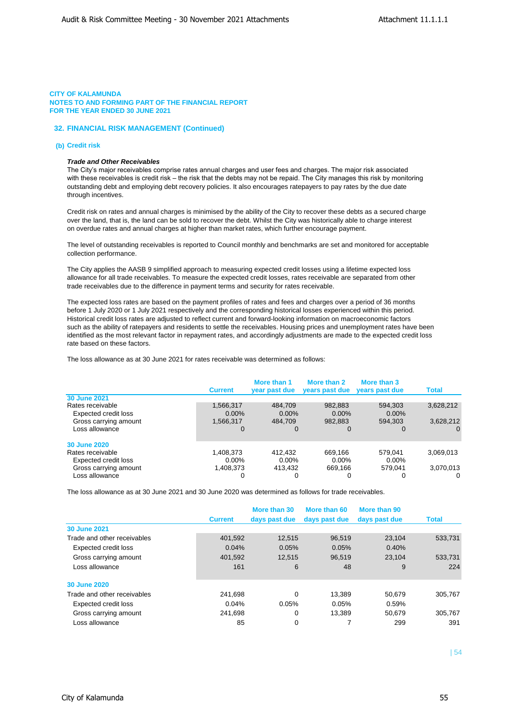## **32. FINANCIAL RISK MANAGEMENT (Continued)**

### **(b) Credit risk**

## *Trade and Other Receivables*

The City's major receivables comprise rates annual charges and user fees and charges. The major risk associated with these receivables is credit risk – the risk that the debts may not be repaid. The City manages this risk by monitoring outstanding debt and employing debt recovery policies. It also encourages ratepayers to pay rates by the due date through incentives.

Credit risk on rates and annual charges is minimised by the ability of the City to recover these debts as a secured charge over the land, that is, the land can be sold to recover the debt. Whilst the City was historically able to charge interest on overdue rates and annual charges at higher than market rates, which further encourage payment.

The level of outstanding receivables is reported to Council monthly and benchmarks are set and monitored for acceptable collection performance.

The City applies the AASB 9 simplified approach to measuring expected credit losses using a lifetime expected loss allowance for all trade receivables. To measure the expected credit losses, rates receivable are separated from other trade receivables due to the difference in payment terms and security for rates receivable.

The expected loss rates are based on the payment profiles of rates and fees and charges over a period of 36 months before 1 July 2020 or 1 July 2021 respectively and the corresponding historical losses experienced within this period. Historical credit loss rates are adjusted to reflect current and forward-looking information on macroeconomic factors such as the ability of ratepayers and residents to settle the receivables. Housing prices and unemployment rates have been identified as the most relevant factor in repayment rates, and accordingly adjustments are made to the expected credit loss rate based on these factors.

The loss allowance as at 30 June 2021 for rates receivable was determined as follows:

|                             | <b>Current</b> | More than 1<br>year past due | More than 2<br>years past due | More than 3<br>years past due | Total     |
|-----------------------------|----------------|------------------------------|-------------------------------|-------------------------------|-----------|
| <b>30 June 2021</b>         |                |                              |                               |                               |           |
| Rates receivable            | 1,566,317      | 484,709                      | 982,883                       | 594,303                       | 3,628,212 |
| <b>Expected credit loss</b> | $0.00\%$       | $0.00\%$                     | $0.00\%$                      | $0.00\%$                      |           |
| Gross carrying amount       | 1,566,317      | 484.709                      | 982.883                       | 594.303                       | 3,628,212 |
| Loss allowance              | 0              | 0                            | 0                             | $\Omega$                      | 0         |
| <b>30 June 2020</b>         |                |                              |                               |                               |           |
| Rates receivable            | 1,408,373      | 412.432                      | 669.166                       | 579.041                       | 3,069,013 |
| Expected credit loss        | $0.00\%$       | $0.00\%$                     | $0.00\%$                      | $0.00\%$                      |           |
| Gross carrying amount       | 1,408,373      | 413.432                      | 669.166                       | 579.041                       | 3,070,013 |
| Loss allowance              | 0              | 0                            | 0                             |                               | $\Omega$  |

The loss allowance as at 30 June 2021 and 30 June 2020 was determined as follows for trade receivables.

|                             |                | More than 30  | More than 60  | More than 90  |              |
|-----------------------------|----------------|---------------|---------------|---------------|--------------|
|                             | <b>Current</b> | days past due | days past due | days past due | <b>Total</b> |
| <b>30 June 2021</b>         |                |               |               |               |              |
| Trade and other receivables | 401,592        | 12.515        | 96,519        | 23.104        | 533,731      |
| Expected credit loss        | 0.04%          | 0.05%         | 0.05%         | 0.40%         |              |
| Gross carrying amount       | 401,592        | 12,515        | 96,519        | 23.104        | 533,731      |
| Loss allowance              | 161            | 6             | 48            | 9             | 224          |
| 30 June 2020                |                |               |               |               |              |
| Trade and other receivables | 241.698        | $\Omega$      | 13.389        | 50.679        | 305.767      |
| Expected credit loss        | 0.04%          | 0.05%         | 0.05%         | 0.59%         |              |
| Gross carrying amount       | 241.698        | 0             | 13.389        | 50.679        | 305.767      |
| Loss allowance              | 85             | 0             |               | 299           | 391          |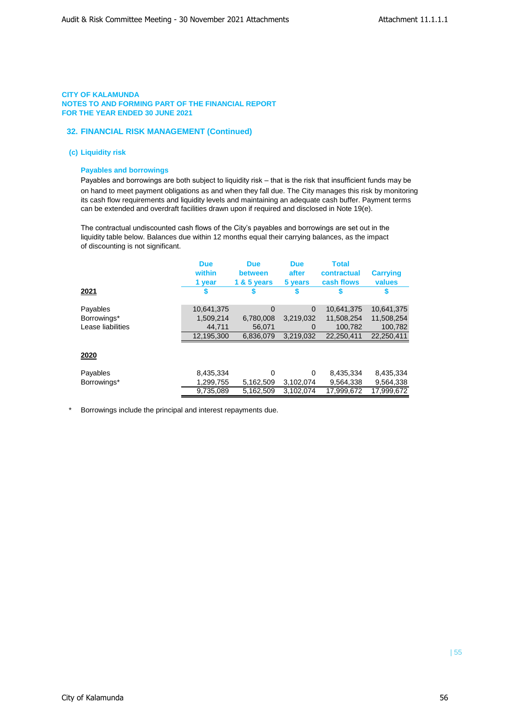## **32. FINANCIAL RISK MANAGEMENT (Continued)**

## **(c) Liquidity risk**

## **Payables and borrowings**

Payables and borrowings are both subject to liquidity risk – that is the risk that insufficient funds may be on hand to meet payment obligations as and when they fall due. The City manages this risk by monitoring its cash flow requirements and liquidity levels and maintaining an adequate cash buffer. Payment terms can be extended and overdraft facilities drawn upon if required and disclosed in Note 19(e).

The contractual undiscounted cash flows of the City's payables and borrowings are set out in the liquidity table below. Balances due within 12 months equal their carrying balances, as the impact of discounting is not significant.

| 2021              | <b>Due</b><br>within<br>1 year | <b>Due</b><br>between<br>1 $85$ years | <b>Due</b><br>after<br>5 years | <b>Total</b><br>contractual<br>cash flows | <b>Carrying</b><br>values<br>S |
|-------------------|--------------------------------|---------------------------------------|--------------------------------|-------------------------------------------|--------------------------------|
|                   |                                |                                       |                                |                                           |                                |
| Payables          | 10,641,375                     | $\Omega$                              | $\Omega$                       | 10,641,375                                | 10,641,375                     |
| Borrowings*       | 1,509,214                      | 6,780,008                             | 3,219,032                      | 11,508,254                                | 11,508,254                     |
| Lease liabilities | 44,711                         | 56.071                                | 0                              | 100,782                                   | 100,782                        |
|                   | 12,195,300                     | 6.836.079                             | 3.219.032                      | 22.250.411                                | 22,250,411                     |
| 2020              |                                |                                       |                                |                                           |                                |
| Payables          | 8,435,334                      | 0                                     | $\Omega$                       | 8,435,334                                 | 8,435,334                      |
| Borrowings*       | 1,299,755                      | 5,162,509                             | 3,102,074                      | 9,564,338                                 | 9,564,338                      |
|                   | 9,735,089                      | 5,162,509                             | 3,102,074                      | 17,999,672                                | 17,999,672                     |

Borrowings include the principal and interest repayments due.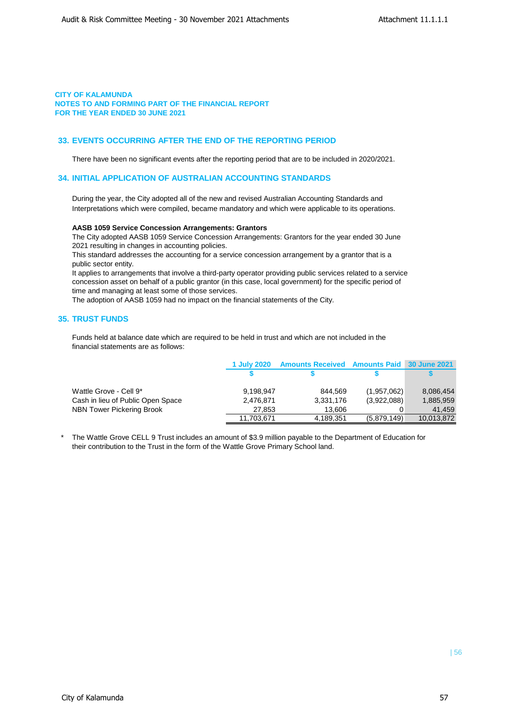## **33. EVENTS OCCURRING AFTER THE END OF THE REPORTING PERIOD**

There have been no significant events after the reporting period that are to be included in 2020/2021.

## **34. INITIAL APPLICATION OF AUSTRALIAN ACCOUNTING STANDARDS**

During the year, the City adopted all of the new and revised Australian Accounting Standards and Interpretations which were compiled, became mandatory and which were applicable to its operations.

### **AASB 1059 Service Concession Arrangements: Grantors**

The City adopted AASB 1059 Service Concession Arrangements: Grantors for the year ended 30 June 2021 resulting in changes in accounting policies.

This standard addresses the accounting for a service concession arrangement by a grantor that is a public sector entity.

It applies to arrangements that involve a third-party operator providing public services related to a service concession asset on behalf of a public grantor (in this case, local government) for the specific period of time and managing at least some of those services.

The adoption of AASB 1059 had no impact on the financial statements of the City.

## **35. TRUST FUNDS**

Funds held at balance date which are required to be held in trust and which are not included in the financial statements are as follows:

|                                   | 1 July 2020 | <b>Amounts Received Amounts Paid 30 June 2021</b> |             |            |
|-----------------------------------|-------------|---------------------------------------------------|-------------|------------|
|                                   |             |                                                   |             |            |
| Wattle Grove - Cell 9*            | 9,198,947   | 844.569                                           | (1,957,062) | 8,086,454  |
| Cash in lieu of Public Open Space | 2,476,871   | 3,331,176                                         | (3,922,088) | 1,885,959  |
| NBN Tower Pickering Brook         | 27.853      | 13.606                                            |             | 41.459     |
|                                   | 11,703,671  | 4,189,351                                         | (5,879,149) | 10,013,872 |

The Wattle Grove CELL 9 Trust includes an amount of \$3.9 million payable to the Department of Education for their contribution to the Trust in the form of the Wattle Grove Primary School land.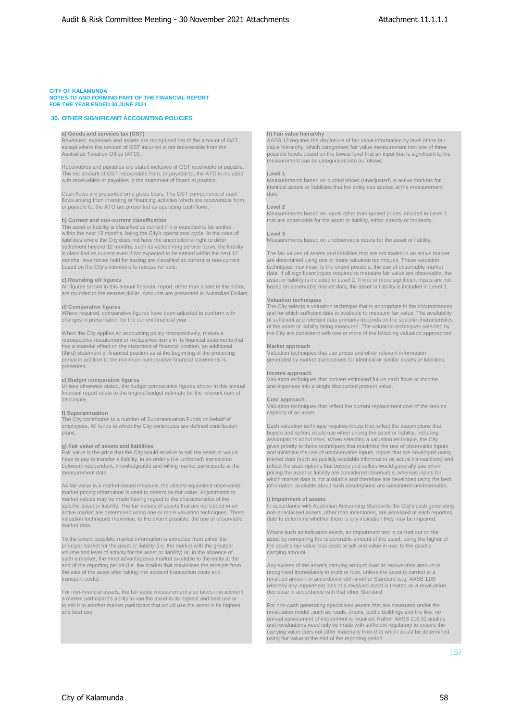#### **CITY OF KALAMUNDA**

#### **NOTES TO AND FORMING PART OF THE FINANCIAL REPORT FOR THE YEAR ENDED 30 JUNE 2021**

## **36. OTHER SIGNIFICANT ACCOUNTING POLICIES**

**a) Goods and services tax (GST) h) Fair value hierarchy**<br>
Revenues, expenses and assets are recognised net of the amount of GST, AASB 13 requires the diverse of except where the amount of GST incurred is not recoverable

Receivables and payables are stated inclusive of GST receivable or payable. The net amount of GST recoverable from, or payable to, the ATO is included **Level 1 Level 1 Level 1 Conservent is a start of the statement** of financial position. Number the statements based on quoted prices (unadjus

Cash flows are presented on a gross basis. The GST components of cash and the date.<br>flows arising from investing or financing activities which are recoverable from, or payable to, the ATO are presented as operating cash flows. **Level 2**

The asset or liability is classified as current if it is expected to be settled within the next 12 months, being the City's operational cycle. In the case of **Level 3**<br>
liabilities where the City does not have the unconditional right to defer<br>
Measurements based on unobservable inputs for the asset or liabilities where the City does not have the unconditional right to defer settlement beyond 12 months, such as vested long service leave, the liability is classified as current even if not expected to be settled within the next 12 months. Inventories held for trading are classified as current or non-current based on the City's intentions to release for sale.

are rounded to the nearest dollar. Amounts are presented in Australian Dollars.

retrospective restatement or reclassifies items in its financial statements that has a material effect on the statement of financial position, an additional **Market approach**<br>(third) statement of financial position as at the beginning of the preceding Valuation techniques that use prices and other rele (third) statement of financial position as at the beginning of the preceding Valuation techniques that use prices and other relevant information or priori of the priori of the priori of the priori of the priori of the prio period in addition to the minimum comparative financial statements is presented.

Unless otherwise stated, the budget comparative figures shown in this annual financial report relate to the original budget estimate for the relevant item of disclosure. **Cost approach**

The City contributes to a number of Superannuation Funds on behalf of employees. All funds to which the City contributes are defined contribution Each valuation technique requires inputs that reflect the assumptions that plans. buyers and sellers would use when pricing the asset or liability, including

between independent, knowledgeable and willing market participants at the reflect the assumptions that buyers and sellers would generally use when

market pricing information is used to determine fair value. Adjustments to market values may be made having regard to the characteristics of the **i) Impairment of assets**<br>specific asset or liability. The fair values of assets that are not traded in an ln accordance with Austr<br>active market are de valuation techniques maximise, to the extent possible, the use of observable date to determine whether there is any indication they may be impaired. market data.

principal market for the asset or liability (i.e. the market with the greatest volume and level of activity for the asset or liability) or, in the absence of carrying amount. such a market, the most advantageous market available to the entity at the end of the reporting period (i.e. the market that maximises the receipts from Any excess of the asset's carrying amount over its recoverable amount is<br>the sale of the asset after taking into account transaction costs and r

For non-financial assets, the fair value measurement also takes into account decrease in accordance with that other Standard. a market participant's ability to use the asset in its highest and best use or to sell it to another market participant that would use the asset in its highest For non-cash generating specialised assets that are measured under the the non-cash generating specialised assets that are measured under the

Revenues, expenses and assets are recognised net of the amount of GST, AASB 13 requires the disclosure of fair value information by level of the fair<br>Nature the amount of GST incurred is not recoverable from the same and a Australian Taxation Office (ATO). possible levels based on the lowest level that an input that is significant to the measurement can be categorised into as follows:

identical assets or liabilities that the entity can access at the measurement

Measurements based on inputs other than quoted prices included in Level 1 **b) Current and non-current classification** that are observable for the asset or liability, either directly or indirectly

The fair values of assets and liabilities that are not traded in an active market are determined using one or more valuation techniques. These valuation techniques maximise, to the extent possible, the use of observable market data. If all significant inputs required to measure fair value are observable, the **c) Rounding off figures** asset or liability is included in Level 2. If one or more significant inputs are not All figures shown in this annual financial report, other than a rate in the dollar, based on observable market data, the asset or liability is included in Level 3.

#### **Valuation techniques**

**d) Comparative figures** The City selects a valuation technique that is appropriate in the circumstances Where required, comparative figures have been adjusted to conform with and for which sufficient data is available to measure fair value. The availability<br>
changes in presentation for the current financial year. So the spec changes in the current financial year. On the current financial year. On the current financial year. On the specific characteristics of the asset or liability being measured. The valuation techniques selected by When the City applies an accounting policy retrospectively, makes a the City are consistent with one or more of the following valuation approaches:

#### **Income approach**

**e) Budget comparative figures income**<br>
Unless otherwise stated, the budget comparative figures shown in this annual and expenses into a single discounted present value.

Valuation techniques that reflect the current replacement cost of the service **f) Superannuation** capacity of an asset. **Capacity of an asset.** Capacity of an asset.

assumptions about risks. When selecting a valuation technique, the City **g) Fair value of assets and liabilities** gives priority to those techniques that maximise the use of observable inputs Fair value is the price that the City would receive to sell the asset or would<br>have to pay to transfer Fair value is the price that the City would receive to sell the asset or would and minimise the use of unobservable inputs. Inputs that are developed using<br>have to pay to transfer a liability, in an orderly (i.e. unforced) measurement date.<br>pricing the asset or liability are considered observable, whereas inputs for liability are considered observable, whereas inputs for liability are considered observable, whereas inputs for liability are c As fair value is a market-based measure, the closest equivalent observable information available about such assumptions are considered unobservable.

specific asset or liability. The fair values of assets that are not traded in an limity and limit coordance with Australian Accounting Standards the City's cash generating<br>active market are determined using one or more val

Where such an indication exists, an impairment test is carried out on the To the extent possible, market information is extracted from either the asset by comparing the recoverable amount of the asset, being the higher of principal market for the asset or liability (i.e. the market with the grea

recognised immediately in profit or loss, unless the asset is carried at a transport costs). The costs of the costs of the costs of the costs of the costs amount in accordance with another Standard (e.g. AASB 116) whereby any impairment loss of a revalued asset is treated as a revaluation

> revaluation model ,such as roads, drains, public buildings and the like, no annual assessment of impairment is required. Rather AASB 116.31 applies and revaluations need only be made with sufficient regulatory to ensure the carrying value does not differ materially from that which would be determined using fair value at the end of the reporting period.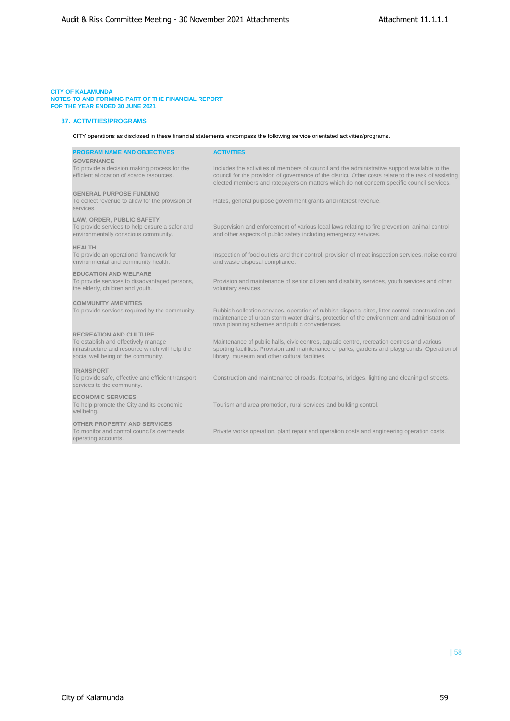## **CITY OF KALAMUNDA**

**NOTES TO AND FORMING PART OF THE FINANCIAL REPORT FOR THE YEAR ENDED 30 JUNE 2021**

## **37. ACTIVITIES/PROGRAMS**

CITY operations as disclosed in these financial statements encompass the following service orientated activities/programs.

| <b>PROGRAM NAME AND OBJECTIVES</b><br><b>GOVERNANCE</b>                                                                                                        | <b>ACTIVITIES</b>                                                                                                                                                                                                                                                                                  |
|----------------------------------------------------------------------------------------------------------------------------------------------------------------|----------------------------------------------------------------------------------------------------------------------------------------------------------------------------------------------------------------------------------------------------------------------------------------------------|
| To provide a decision making process for the<br>efficient allocation of scarce resources.                                                                      | Includes the activities of members of council and the administrative support available to the<br>council for the provision of governance of the district. Other costs relate to the task of assisting<br>elected members and ratepayers on matters which do not concern specific council services. |
| <b>GENERAL PURPOSE FUNDING</b><br>To collect revenue to allow for the provision of<br>services.                                                                | Rates, general purpose government grants and interest revenue.                                                                                                                                                                                                                                     |
| LAW, ORDER, PUBLIC SAFETY<br>To provide services to help ensure a safer and<br>environmentally conscious community.                                            | Supervision and enforcement of various local laws relating to fire prevention, animal control<br>and other aspects of public safety including emergency services.                                                                                                                                  |
| <b>HEALTH</b><br>To provide an operational framework for<br>environmental and community health.                                                                | Inspection of food outlets and their control, provision of meat inspection services, noise control<br>and waste disposal compliance.                                                                                                                                                               |
| <b>EDUCATION AND WELFARE</b><br>To provide services to disadvantaged persons,<br>the elderly, children and youth.                                              | Provision and maintenance of senior citizen and disability services, youth services and other<br>voluntary services.                                                                                                                                                                               |
| <b>COMMUNITY AMENITIES</b><br>To provide services required by the community.                                                                                   | Rubbish collection services, operation of rubbish disposal sites, litter control, construction and<br>maintenance of urban storm water drains, protection of the environment and administration of<br>town planning schemes and public conveniences.                                               |
| <b>RECREATION AND CULTURE</b><br>To establish and effectively manage<br>infrastructure and resource which will help the<br>social well being of the community. | Maintenance of public halls, civic centres, aquatic centre, recreation centres and various<br>sporting facilities. Provision and maintenance of parks, gardens and playgrounds. Operation of<br>library, museum and other cultural facilities.                                                     |
| <b>TRANSPORT</b><br>To provide safe, effective and efficient transport<br>services to the community.                                                           | Construction and maintenance of roads, footpaths, bridges, lighting and cleaning of streets.                                                                                                                                                                                                       |
| <b>ECONOMIC SERVICES</b><br>To help promote the City and its economic<br>wellbeing.                                                                            | Tourism and area promotion, rural services and building control.                                                                                                                                                                                                                                   |
| OTHER PROPERTY AND SERVICES<br>To monitor and control council's overheads<br>operating accounts.                                                               | Private works operation, plant repair and operation costs and engineering operation costs.                                                                                                                                                                                                         |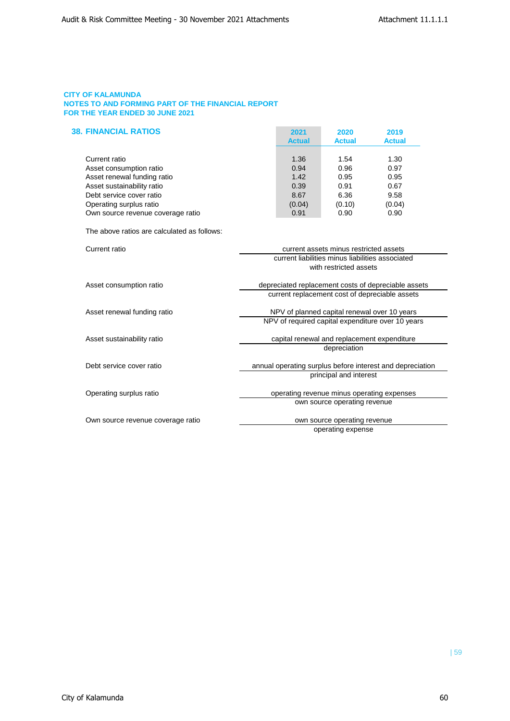| <b>38. FINANCIAL RATIOS</b>       | 2021          | 2020          | 2019          |
|-----------------------------------|---------------|---------------|---------------|
|                                   | <b>Actual</b> | <b>Actual</b> | <b>Actual</b> |
| Current ratio                     | 1.36          | 1.54          | 1.30          |
| Asset consumption ratio           | 0.94          | 0.96          | 0.97          |
| Asset renewal funding ratio       | 1.42          | 0.95          | 0.95          |
| Asset sustainability ratio        | 0.39          | 0.91          | 0.67          |
| Debt service cover ratio          | 8.67          | 6.36          | 9.58          |
| Operating surplus ratio           | (0.04)        | (0.10)        | (0.04)        |
| Own source revenue coverage ratio | 0.91          | 0.90          | 0.90          |

The above ratios are calculated as follows:

| Current ratio                     | current assets minus restricted assets                    |
|-----------------------------------|-----------------------------------------------------------|
|                                   | current liabilities minus liabilities associated          |
|                                   | with restricted assets                                    |
|                                   |                                                           |
| Asset consumption ratio           | depreciated replacement costs of depreciable assets       |
|                                   | current replacement cost of depreciable assets            |
| Asset renewal funding ratio       | NPV of planned capital renewal over 10 years              |
|                                   | NPV of required capital expenditure over 10 years         |
| Asset sustainability ratio        | capital renewal and replacement expenditure               |
|                                   | depreciation                                              |
| Debt service cover ratio          | annual operating surplus before interest and depreciation |
|                                   | principal and interest                                    |
| Operating surplus ratio           | operating revenue minus operating expenses                |
|                                   |                                                           |
|                                   | own source operating revenue                              |
| Own source revenue coverage ratio | own source operating revenue                              |
|                                   | operating expense                                         |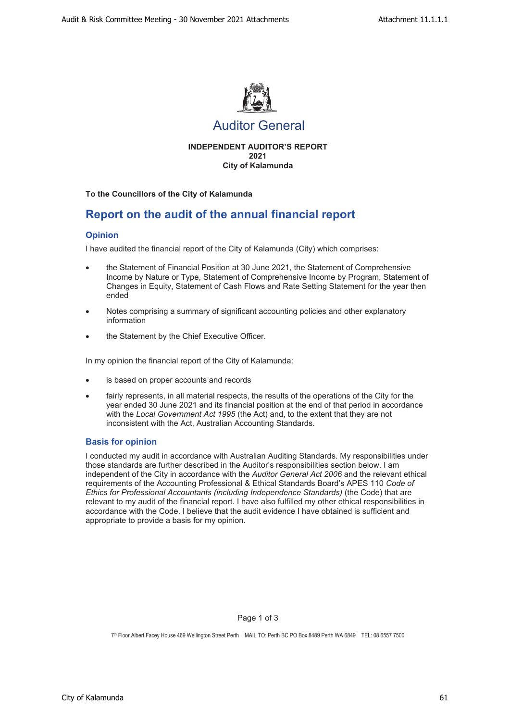

# Auditor General

**INDEPENDENT AUDITOR'S REPORT 2021 City of Kalamunda**

**To the Councillors of the City of Kalamunda**

# **Report on the audit of the annual financial report**

## **Opinion**

I have audited the financial report of the City of Kalamunda (City) which comprises:

- the Statement of Financial Position at 30 June 2021, the Statement of Comprehensive Income by Nature or Type, Statement of Comprehensive Income by Program, Statement of Changes in Equity, Statement of Cash Flows and Rate Setting Statement for the year then ended
- Notes comprising a summary of significant accounting policies and other explanatory information
- the Statement by the Chief Executive Officer.

In my opinion the financial report of the City of Kalamunda:

- is based on proper accounts and records
- fairly represents, in all material respects, the results of the operations of the City for the year ended 30 June 2021 and its financial position at the end of that period in accordance with the *Local Government Act 1995* (the Act) and, to the extent that they are not inconsistent with the Act, Australian Accounting Standards.

## **Basis for opinion**

I conducted my audit in accordance with Australian Auditing Standards. My responsibilities under those standards are further described in the Auditor's responsibilities section below. I am independent of the City in accordance with the *Auditor General Act 2006* and the relevant ethical requirements of the Accounting Professional & Ethical Standards Board's APES 110 *Code of Ethics for Professional Accountants (including Independence Standards)* (the Code) that are relevant to my audit of the financial report. I have also fulfilled my other ethical responsibilities in accordance with the Code. I believe that the audit evidence I have obtained is sufficient and appropriate to provide a basis for my opinion.

## Page 1 of 3

7th Floor Albert Facey House 469 Wellington Street Perth MAIL TO: Perth BC PO Box 8489 Perth WA 6849 TEL: 08 6557 7500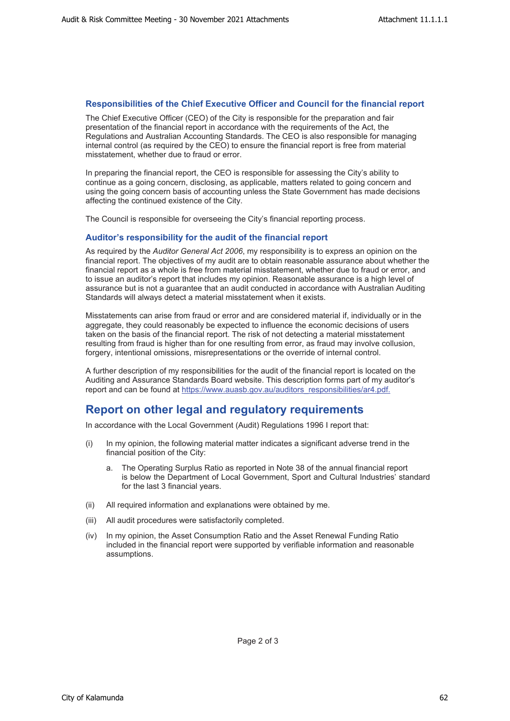## **Responsibilities of the Chief Executive Officer and Council for the financial report**

The Chief Executive Officer (CEO) of the City is responsible for the preparation and fair presentation of the financial report in accordance with the requirements of the Act, the Regulations and Australian Accounting Standards. The CEO is also responsible for managing internal control (as required by the CEO) to ensure the financial report is free from material misstatement, whether due to fraud or error.

In preparing the financial report, the CEO is responsible for assessing the City's ability to continue as a going concern, disclosing, as applicable, matters related to going concern and using the going concern basis of accounting unless the State Government has made decisions affecting the continued existence of the City.

The Council is responsible for overseeing the City's financial reporting process.

## **Auditor's responsibility for the audit of the financial report**

As required by the *Auditor General Act 2006*, my responsibility is to express an opinion on the financial report. The objectives of my audit are to obtain reasonable assurance about whether the financial report as a whole is free from material misstatement, whether due to fraud or error, and to issue an auditor's report that includes my opinion. Reasonable assurance is a high level of assurance but is not a guarantee that an audit conducted in accordance with Australian Auditing Standards will always detect a material misstatement when it exists.

Misstatements can arise from fraud or error and are considered material if, individually or in the aggregate, they could reasonably be expected to influence the economic decisions of users taken on the basis of the financial report. The risk of not detecting a material misstatement resulting from fraud is higher than for one resulting from error, as fraud may involve collusion, forgery, intentional omissions, misrepresentations or the override of internal control.

A further description of my responsibilities for the audit of the financial report is located on the Auditing and Assurance Standards Board website. This description forms part of my auditor's report and can be found at https://www.auasb.gov.au/auditors\_responsibilities/ar4.pdf.

# **Report on other legal and regulatory requirements**

In accordance with the Local Government (Audit) Regulations 1996 I report that:

- (i) In my opinion, the following material matter indicates a significant adverse trend in the financial position of the City:
	- a. The Operating Surplus Ratio as reported in Note 38 of the annual financial report is below the Department of Local Government, Sport and Cultural Industries' standard for the last 3 financial years.
- (ii) All required information and explanations were obtained by me.
- (iii) All audit procedures were satisfactorily completed.
- (iv) In my opinion, the Asset Consumption Ratio and the Asset Renewal Funding Ratio included in the financial report were supported by verifiable information and reasonable assumptions.